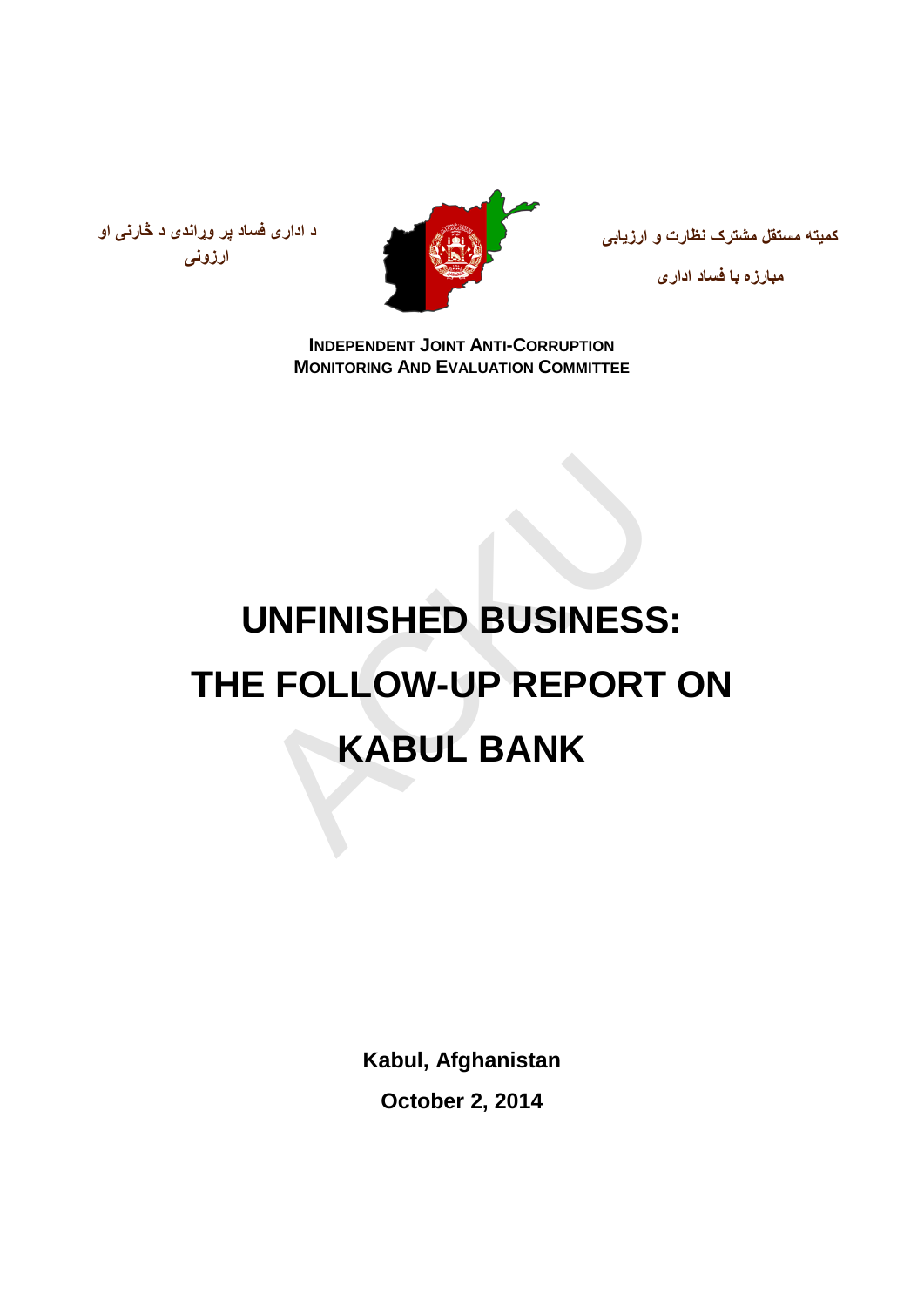**د اداری فساد پر وړاندی د څارنی او ارزونی**



**کميته مستقل مشترک نظارت و ارزيابی**

**مبارزه با فساد اداری**

**INDEPENDENT JOINT ANTI-CORRUPTION MONITORING AND EVALUATION COMMITTEE**

# **UNFINISHED BUSINESS: THE FOLLOW-UP REPORT ON KABUL BANK JNFINISHED BUSINESS<br>E FOLLOW-UP REPORT<br>KABUL BANK**

**Kabul, Afghanistan**

**October 2, 2014**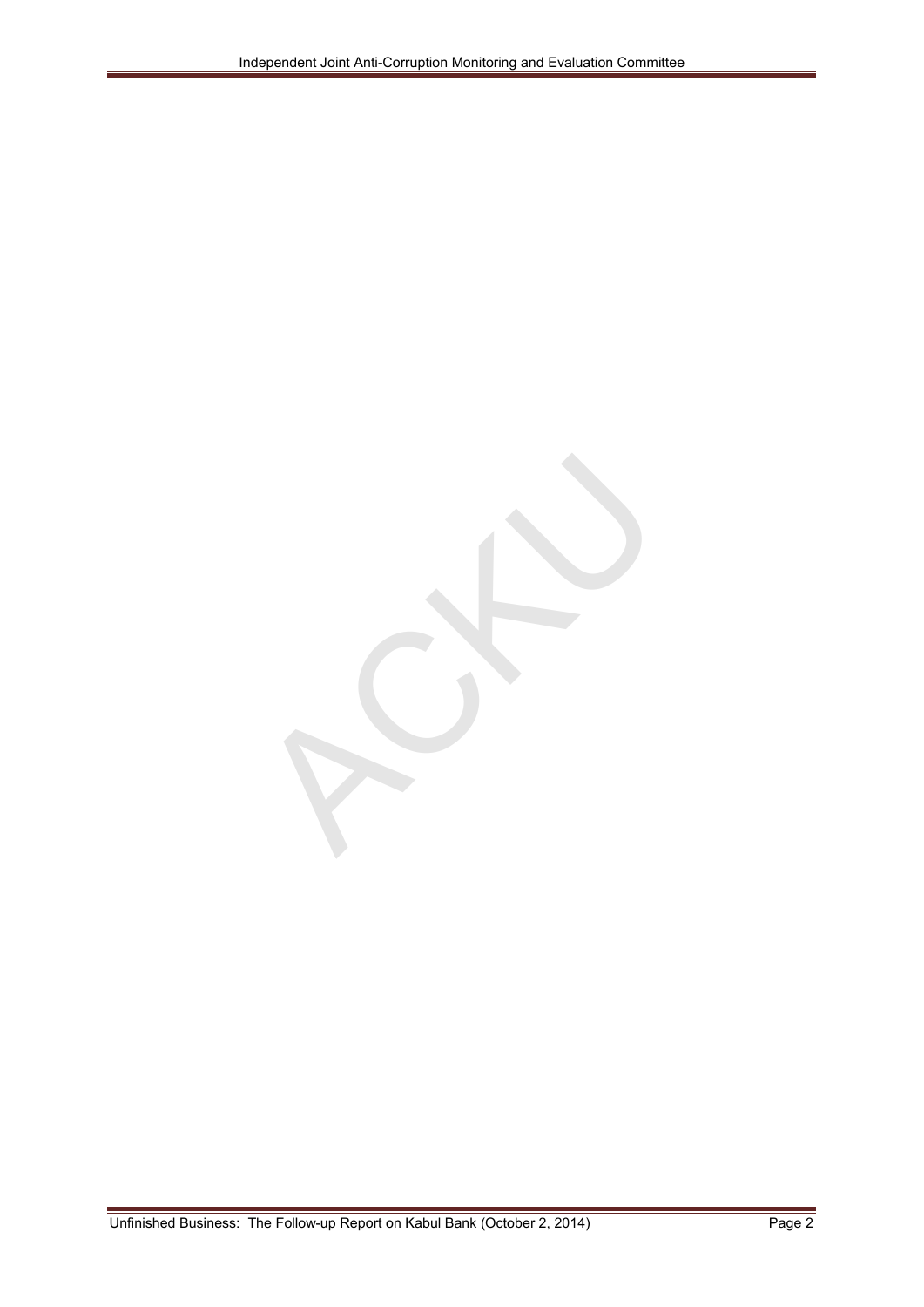ACKU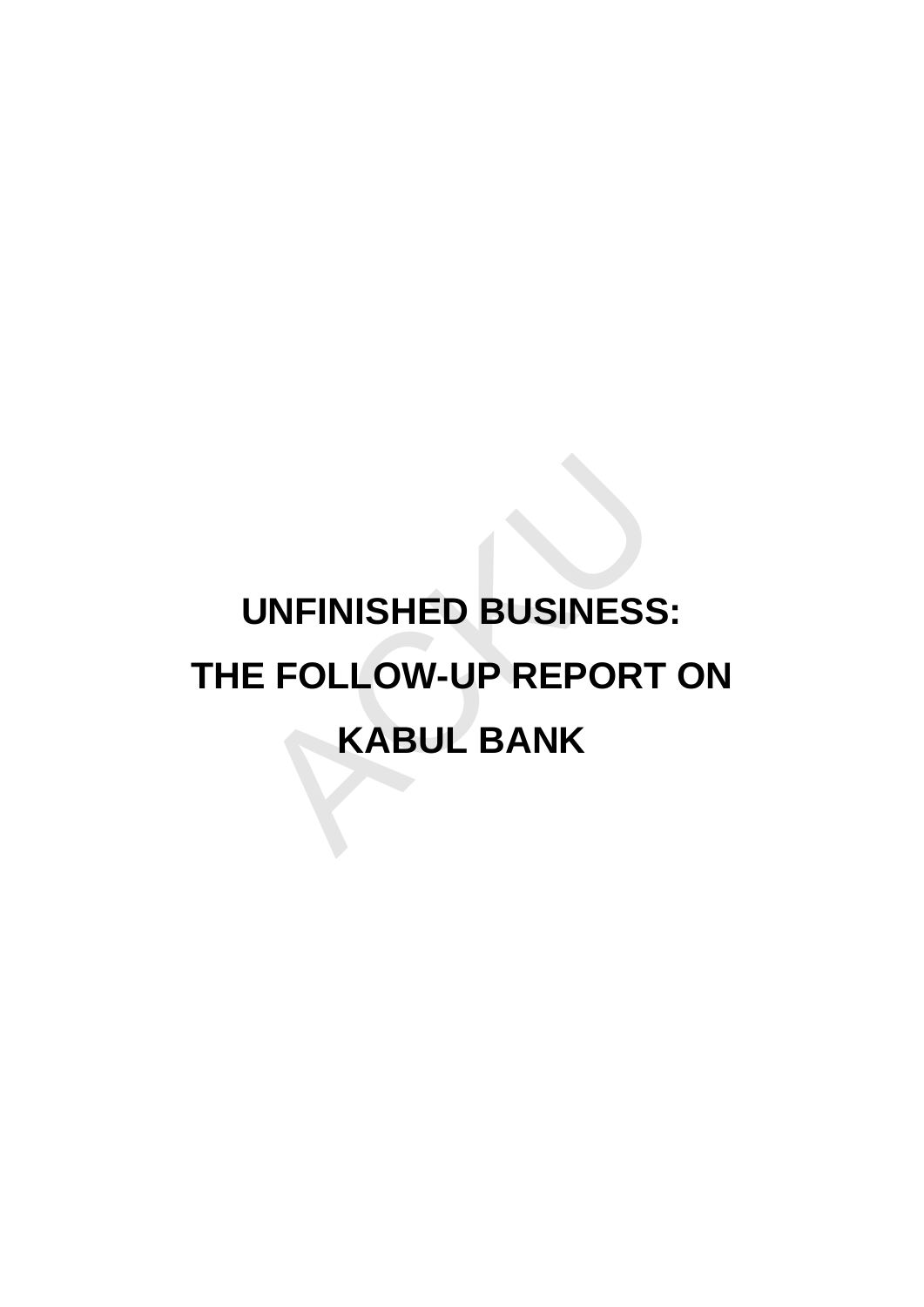# **UNFINISHED BUSINESS: THE FOLLOW-UP REPORT ON KABUL BANK UNFINISHED BUSINESS<br>E FOLLOW-UP REPORT<br>KABUL BANK**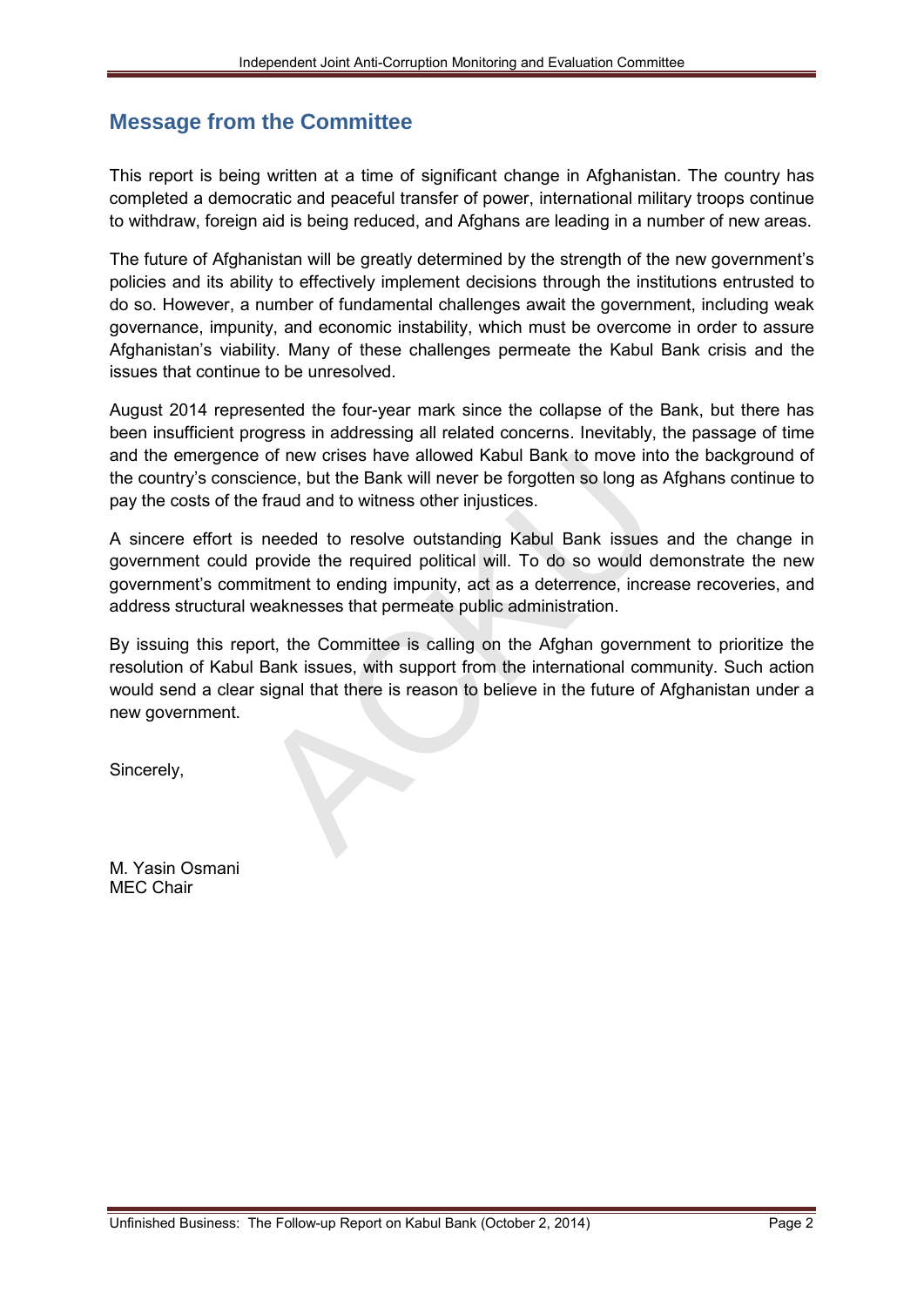## <span id="page-3-0"></span>**Message from the Committee**

This report is being written at a time of significant change in Afghanistan. The country has completed a democratic and peaceful transfer of power, international military troops continue to withdraw, foreign aid is being reduced, and Afghans are leading in a number of new areas.

The future of Afghanistan will be greatly determined by the strength of the new government's policies and its ability to effectively implement decisions through the institutions entrusted to do so. However, a number of fundamental challenges await the government, including weak governance, impunity, and economic instability, which must be overcome in order to assure Afghanistan's viability. Many of these challenges permeate the Kabul Bank crisis and the issues that continue to be unresolved.

August 2014 represented the four-year mark since the collapse of the Bank, but there has been insufficient progress in addressing all related concerns. Inevitably, the passage of time and the emergence of new crises have allowed Kabul Bank to move into the background of the country's conscience, but the Bank will never be forgotten so long as Afghans continue to pay the costs of the fraud and to witness other injustices.

A sincere effort is needed to resolve outstanding Kabul Bank issues and the change in government could provide the required political will. To do so would demonstrate the new government's commitment to ending impunity, act as a deterrence, increase recoveries, and address structural weaknesses that permeate public administration.

By issuing this report, the Committee is calling on the Afghan government to prioritize the resolution of Kabul Bank issues, with support from the international community. Such action would send a clear signal that there is reason to believe in the future of Afghanistan under a new government. e or new crises have allowed Kabul Bank to move interince, but the Bank will never be forgotten so long as fraud and to witness other injustices.<br>
Reeded to resolve outstanding Kabul Bank issues provide the required politi

Sincerely,

M. Yasin Osmani MEC Chair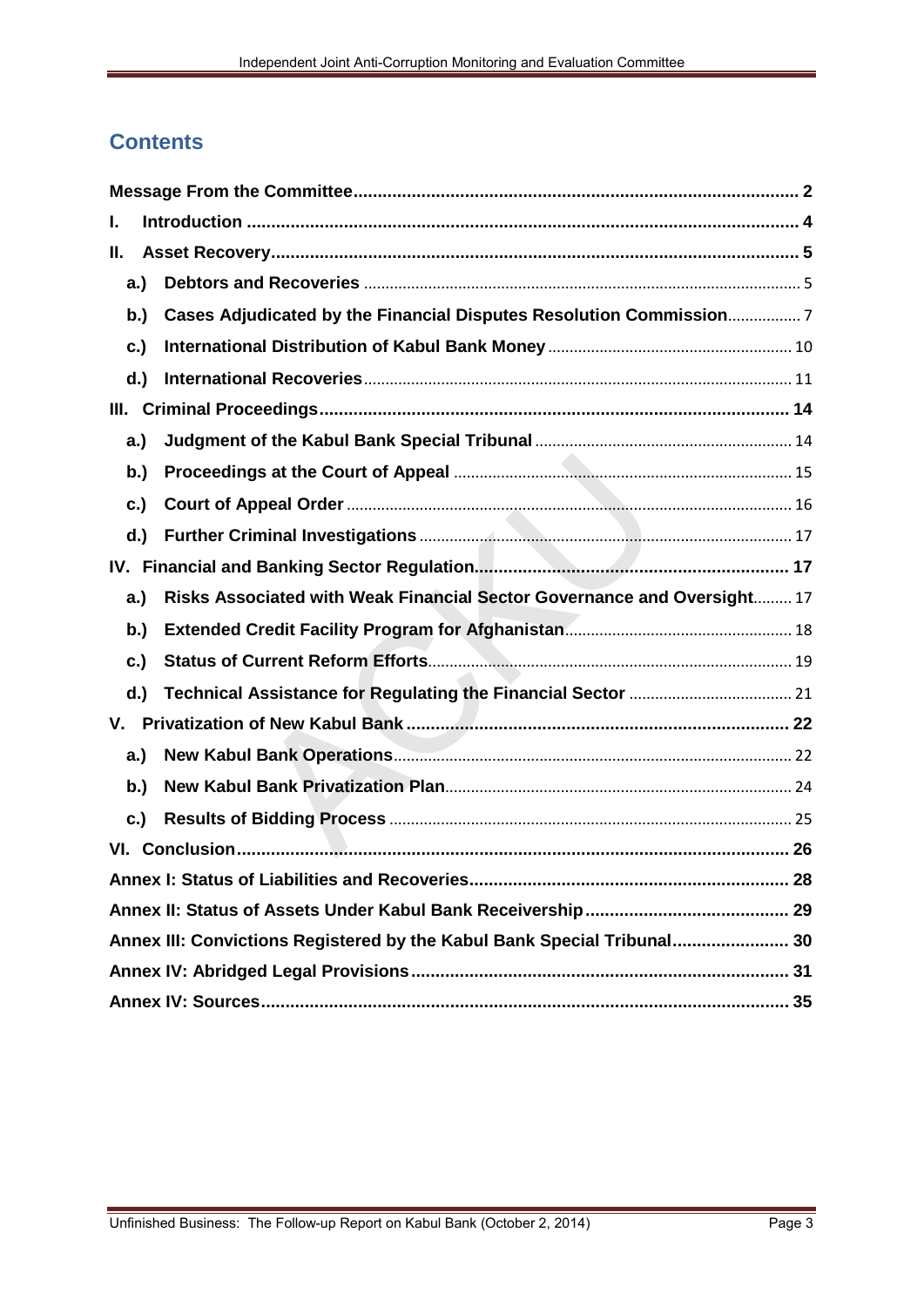## **Contents**

| I.  |                                                                         |  |
|-----|-------------------------------------------------------------------------|--|
| Ш.  |                                                                         |  |
| a.) |                                                                         |  |
| b.  |                                                                         |  |
| c.) |                                                                         |  |
| d.  |                                                                         |  |
|     |                                                                         |  |
| a.) |                                                                         |  |
| b.  |                                                                         |  |
| c.  |                                                                         |  |
| d.  |                                                                         |  |
|     |                                                                         |  |
| a.) | Risks Associated with Weak Financial Sector Governance and Oversight 17 |  |
| b.  |                                                                         |  |
| c.) |                                                                         |  |
| d.  |                                                                         |  |
| V.  |                                                                         |  |
| a.) |                                                                         |  |
| b.  |                                                                         |  |
| c.) |                                                                         |  |
|     |                                                                         |  |
|     |                                                                         |  |
|     |                                                                         |  |
|     | Annex III: Convictions Registered by the Kabul Bank Special Tribunal 30 |  |
|     |                                                                         |  |
|     |                                                                         |  |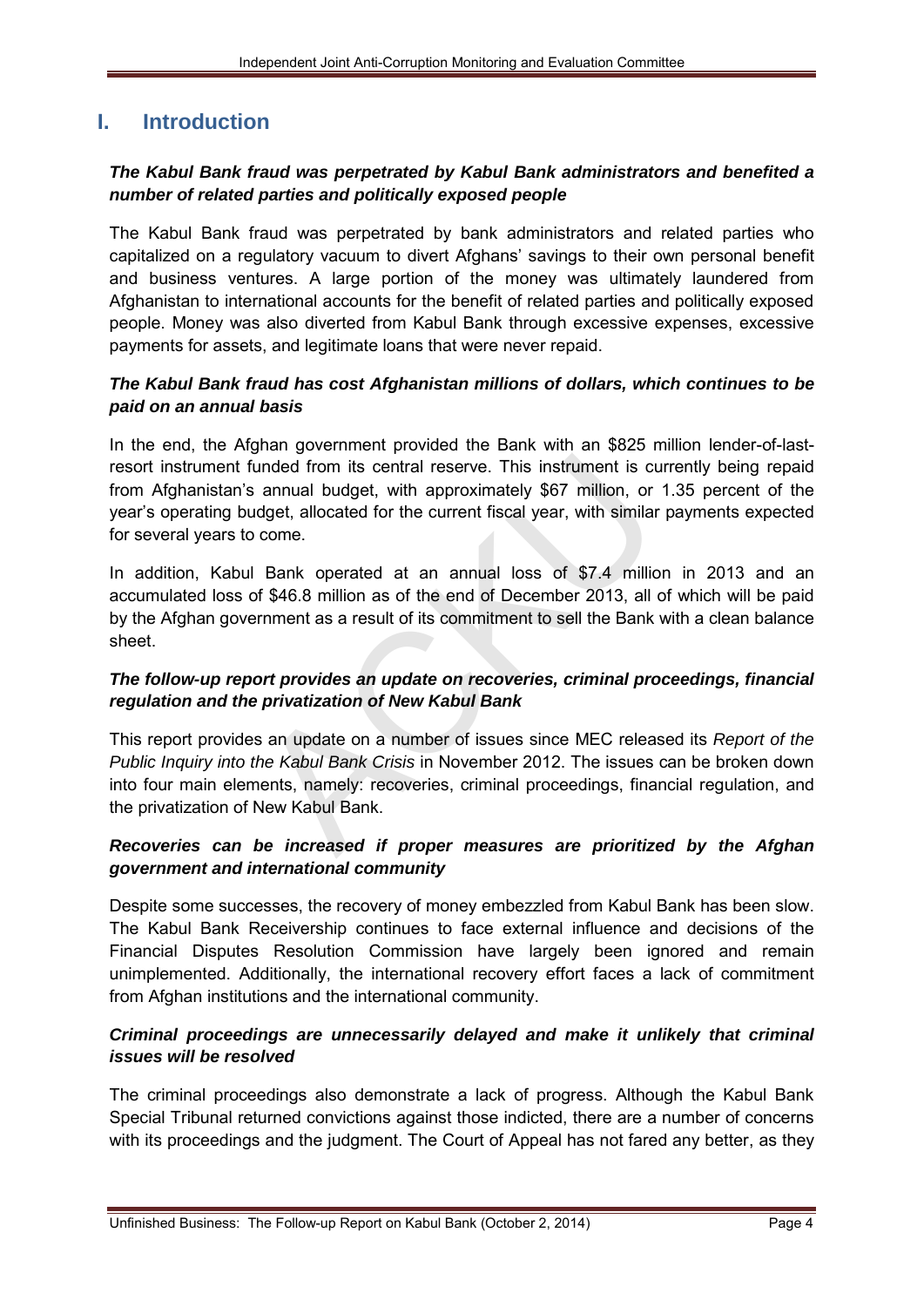## <span id="page-5-0"></span>**I. Introduction**

#### *The Kabul Bank fraud was perpetrated by Kabul Bank administrators and benefited a number of related parties and politically exposed people*

The Kabul Bank fraud was perpetrated by bank administrators and related parties who capitalized on a regulatory vacuum to divert Afghans' savings to their own personal benefit and business ventures. A large portion of the money was ultimately laundered from Afghanistan to international accounts for the benefit of related parties and politically exposed people. Money was also diverted from Kabul Bank through excessive expenses, excessive payments for assets, and legitimate loans that were never repaid.

#### *The Kabul Bank fraud has cost Afghanistan millions of dollars, which continues to be paid on an annual basis*

In the end, the Afghan government provided the Bank with an \$825 million lender-of-lastresort instrument funded from its central reserve. This instrument is currently being repaid from Afghanistan's annual budget, with approximately \$67 million, or 1.35 percent of the year's operating budget, allocated for the current fiscal year, with similar payments expected for several years to come. unded from its central reserve. This instrument is cumual budget, with approximately \$67 million, or udget, allocated for the current fiscal year, with similar ocome.<br>
I Bank operated at an annual loss of \$7.4 millions of

In addition, Kabul Bank operated at an annual loss of \$7.4 million in 2013 and an accumulated loss of \$46.8 million as of the end of December 2013, all of which will be paid by the Afghan government as a result of its commitment to sell the Bank with a clean balance sheet.

#### *The follow-up report provides an update on recoveries, criminal proceedings, financial regulation and the privatization of New Kabul Bank*

This report provides an update on a number of issues since MEC released its *Report of the Public Inquiry into the Kabul Bank Crisis* in November 2012. The issues can be broken down into four main elements, namely: recoveries, criminal proceedings, financial regulation, and the privatization of New Kabul Bank.

#### *Recoveries can be increased if proper measures are prioritized by the Afghan government and international community*

Despite some successes, the recovery of money embezzled from Kabul Bank has been slow. The Kabul Bank Receivership continues to face external influence and decisions of the Financial Disputes Resolution Commission have largely been ignored and remain unimplemented. Additionally, the international recovery effort faces a lack of commitment from Afghan institutions and the international community.

#### *Criminal proceedings are unnecessarily delayed and make it unlikely that criminal issues will be resolved*

The criminal proceedings also demonstrate a lack of progress. Although the Kabul Bank Special Tribunal returned convictions against those indicted, there are a number of concerns with its proceedings and the judgment. The Court of Appeal has not fared any better, as they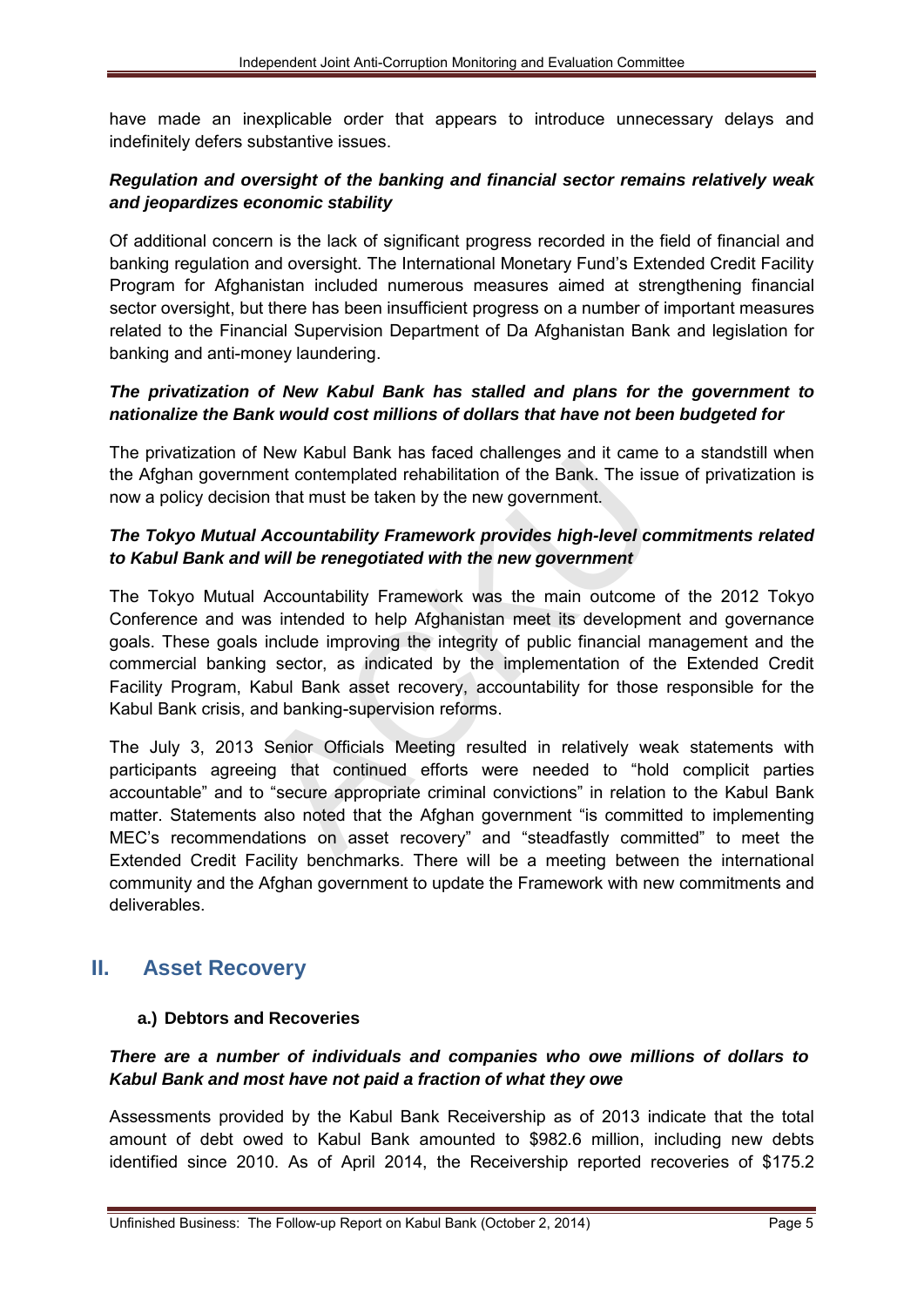have made an inexplicable order that appears to introduce unnecessary delays and indefinitely defers substantive issues.

#### *Regulation and oversight of the banking and financial sector remains relatively weak and jeopardizes economic stability*

Of additional concern is the lack of significant progress recorded in the field of financial and banking regulation and oversight. The International Monetary Fund's Extended Credit Facility Program for Afghanistan included numerous measures aimed at strengthening financial sector oversight, but there has been insufficient progress on a number of important measures related to the Financial Supervision Department of Da Afghanistan Bank and legislation for banking and anti-money laundering.

#### *The privatization of New Kabul Bank has stalled and plans for the government to nationalize the Bank would cost millions of dollars that have not been budgeted for*

The privatization of New Kabul Bank has faced challenges and it came to a standstill when the Afghan government contemplated rehabilitation of the Bank. The issue of privatization is now a policy decision that must be taken by the new government.

#### *The Tokyo Mutual Accountability Framework provides high-level commitments related to Kabul Bank and will be renegotiated with the new government*

The Tokyo Mutual Accountability Framework was the main outcome of the 2012 Tokyo Conference and was intended to help Afghanistan meet its development and governance goals. These goals include improving the integrity of public financial management and the commercial banking sector, as indicated by the implementation of the Extended Credit Facility Program, Kabul Bank asset recovery, accountability for those responsible for the Kabul Bank crisis, and banking-supervision reforms. The New Kabul Bahk has faced challenges and it came<br>ment contemplated rehabilitation of the Bank. The iss<br>on that must be taken by the new government.<br> **I Accountability Framework provides high-level cc**<br> **d will be renego** 

The July 3, 2013 Senior Officials Meeting resulted in relatively weak statements with participants agreeing that continued efforts were needed to "hold complicit parties accountable" and to "secure appropriate criminal convictions" in relation to the Kabul Bank matter. Statements also noted that the Afghan government "is committed to implementing MEC's recommendations on asset recovery" and "steadfastly committed" to meet the Extended Credit Facility benchmarks. There will be a meeting between the international community and the Afghan government to update the Framework with new commitments and deliverables.

## <span id="page-6-0"></span>**II. Asset Recovery**

#### <span id="page-6-1"></span>**a.) Debtors and Recoveries**

#### *There are a number of individuals and companies who owe millions of dollars to Kabul Bank and most have not paid a fraction of what they owe*

Assessments provided by the Kabul Bank Receivership as of 2013 indicate that the total amount of debt owed to Kabul Bank amounted to \$982.6 million, including new debts identified since 2010. As of April 2014, the Receivership reported recoveries of \$175.2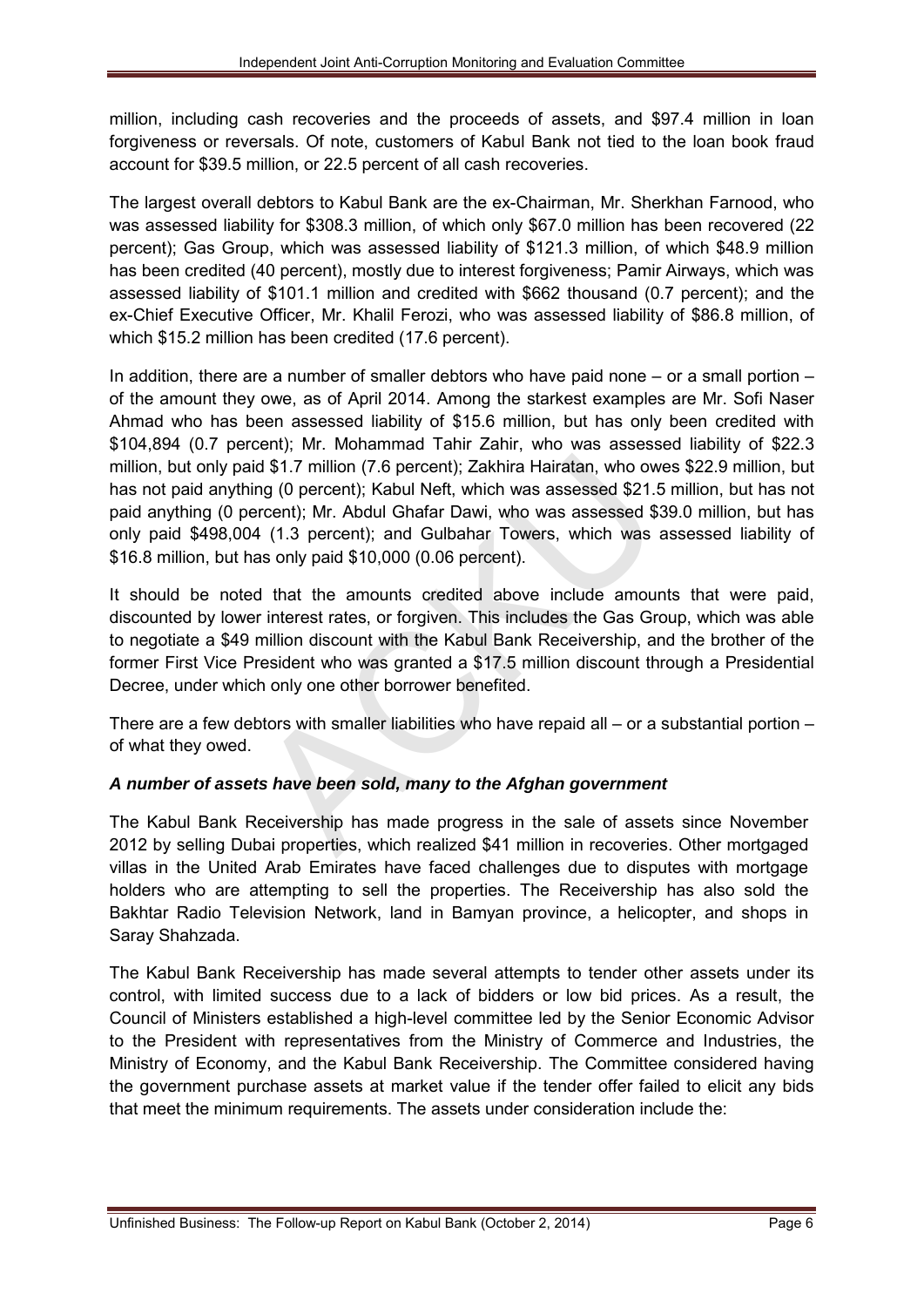million, including cash recoveries and the proceeds of assets, and \$97.4 million in loan forgiveness or reversals. Of note, customers of Kabul Bank not tied to the loan book fraud account for \$39.5 million, or 22.5 percent of all cash recoveries.

The largest overall debtors to Kabul Bank are the ex-Chairman, Mr. Sherkhan Farnood, who was assessed liability for \$308.3 million, of which only \$67.0 million has been recovered (22 percent); Gas Group, which was assessed liability of \$121.3 million, of which \$48.9 million has been credited (40 percent), mostly due to interest forgiveness; Pamir Airways, which was assessed liability of \$101.1 million and credited with \$662 thousand (0.7 percent); and the ex-Chief Executive Officer, Mr. Khalil Ferozi, who was assessed liability of \$86.8 million, of which \$15.2 million has been credited (17.6 percent).

In addition, there are a number of smaller debtors who have paid none – or a small portion – of the amount they owe, as of April 2014. Among the starkest examples are Mr. Sofi Naser Ahmad who has been assessed liability of \$15.6 million, but has only been credited with \$104,894 (0.7 percent); Mr. Mohammad Tahir Zahir, who was assessed liability of \$22.3 million, but only paid \$1.7 million (7.6 percent); Zakhira Hairatan, who owes \$22.9 million, but has not paid anything (0 percent); Kabul Neft, which was assessed \$21.5 million, but has not paid anything (0 percent); Mr. Abdul Ghafar Dawi, who was assessed \$39.0 million, but has only paid \$498,004 (1.3 percent); and Gulbahar Towers, which was assessed liability of \$16.8 million, but has only paid \$10,000 (0.06 percent). id \$1.7 million (7.6 percent); Zakhira Hairatan, who ow<br>ing (0 percent); Kabul Neft, which was assessed \$21.<br>ercent); Mr. Abdul Ghafar Dawi, who was assessed \$21.<br>4 (1.3 percent); and Gulbahar Towers, which was<br>as only pai

It should be noted that the amounts credited above include amounts that were paid, discounted by lower interest rates, or forgiven. This includes the Gas Group, which was able to negotiate a \$49 million discount with the Kabul Bank Receivership, and the brother of the former First Vice President who was granted a \$17.5 million discount through a Presidential Decree, under which only one other borrower benefited.

There are a few debtors with smaller liabilities who have repaid all – or a substantial portion – of what they owed.

#### *A number of assets have been sold, many to the Afghan government*

The Kabul Bank Receivership has made progress in the sale of assets since November 2012 by selling Dubai properties, which realized \$41 million in recoveries. Other mortgaged villas in the United Arab Emirates have faced challenges due to disputes with mortgage holders who are attempting to sell the properties. The Receivership has also sold the Bakhtar Radio Television Network, land in Bamyan province, a helicopter, and shops in Saray Shahzada.

The Kabul Bank Receivership has made several attempts to tender other assets under its control, with limited success due to a lack of bidders or low bid prices. As a result, the Council of Ministers established a high-level committee led by the Senior Economic Advisor to the President with representatives from the Ministry of Commerce and Industries, the Ministry of Economy, and the Kabul Bank Receivership. The Committee considered having the government purchase assets at market value if the tender offer failed to elicit any bids that meet the minimum requirements. The assets under consideration include the: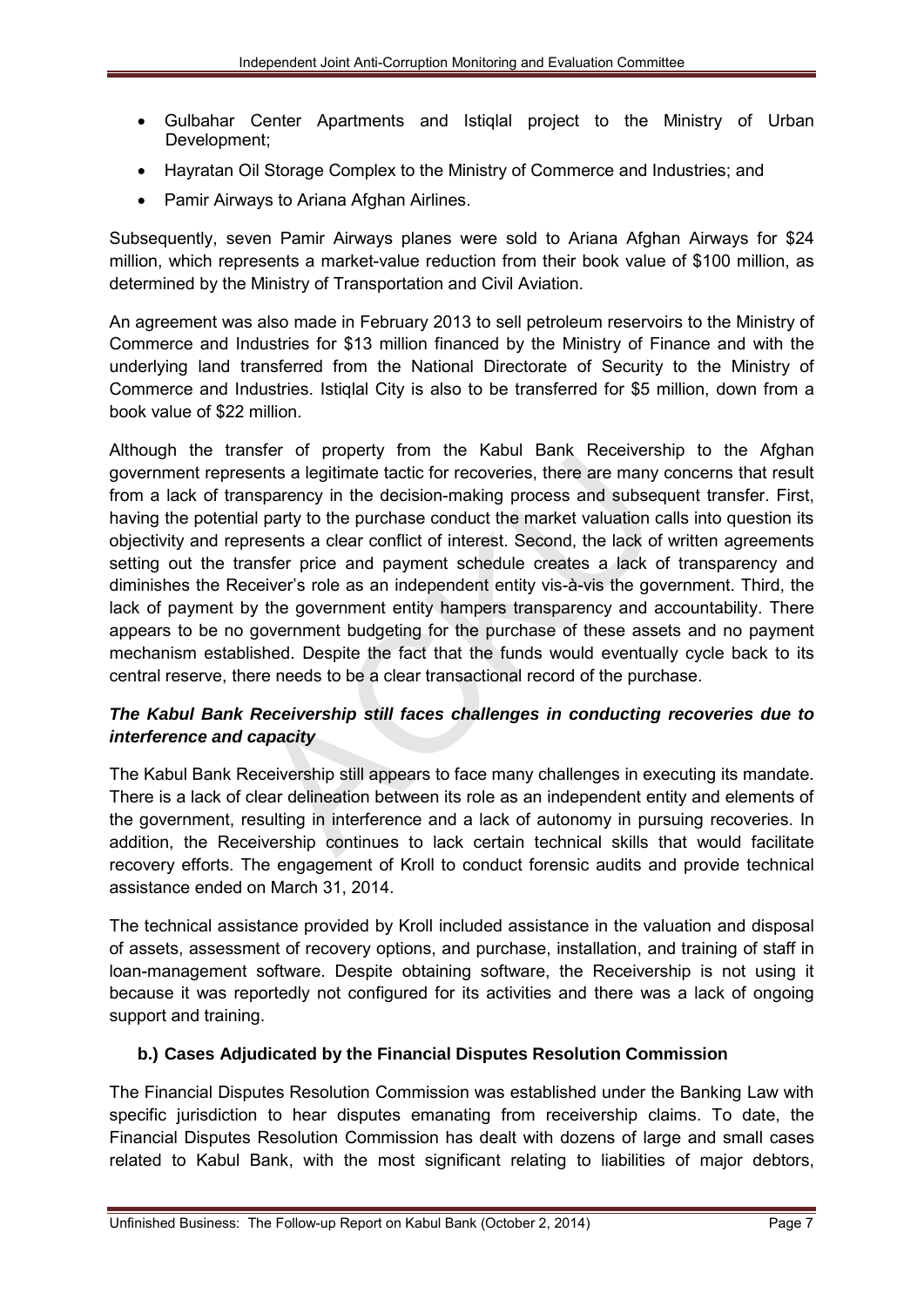- Gulbahar Center Apartments and Istiqlal project to the Ministry of Urban Development;
- Hayratan Oil Storage Complex to the Ministry of Commerce and Industries; and
- Pamir Airways to Ariana Afghan Airlines.

Subsequently, seven Pamir Airways planes were sold to Ariana Afghan Airways for \$24 million, which represents a market-value reduction from their book value of \$100 million, as determined by the Ministry of Transportation and Civil Aviation.

An agreement was also made in February 2013 to sell petroleum reservoirs to the Ministry of Commerce and Industries for \$13 million financed by the Ministry of Finance and with the underlying land transferred from the National Directorate of Security to the Ministry of Commerce and Industries. Istiqlal City is also to be transferred for \$5 million, down from a book value of \$22 million.

Although the transfer of property from the Kabul Bank Receivership to the Afghan government represents a legitimate tactic for recoveries, there are many concerns that result from a lack of transparency in the decision-making process and subsequent transfer. First, having the potential party to the purchase conduct the market valuation calls into question its objectivity and represents a clear conflict of interest. Second, the lack of written agreements setting out the transfer price and payment schedule creates a lack of transparency and diminishes the Receiver's role as an independent entity vis-à-vis the government. Third, the lack of payment by the government entity hampers transparency and accountability. There appears to be no government budgeting for the purchase of these assets and no payment mechanism established. Despite the fact that the funds would eventually cycle back to its central reserve, there needs to be a clear transactional record of the purchase. ents a legitimate tactic for recoveries, there are many<br>sparency in the decision-making process and subsetled party to the purchase conduct the market valuation resents a clear conflict of interest. Second, the lack of<br>mas

#### *The Kabul Bank Receivership still faces challenges in conducting recoveries due to interference and capacity*

The Kabul Bank Receivership still appears to face many challenges in executing its mandate. There is a lack of clear delineation between its role as an independent entity and elements of the government, resulting in interference and a lack of autonomy in pursuing recoveries. In addition, the Receivership continues to lack certain technical skills that would facilitate recovery efforts. The engagement of Kroll to conduct forensic audits and provide technical assistance ended on March 31, 2014.

The technical assistance provided by Kroll included assistance in the valuation and disposal of assets, assessment of recovery options, and purchase, installation, and training of staff in loan-management software. Despite obtaining software, the Receivership is not using it because it was reportedly not configured for its activities and there was a lack of ongoing support and training.

#### <span id="page-8-0"></span>**b.) Cases Adjudicated by the Financial Disputes Resolution Commission**

The Financial Disputes Resolution Commission was established under the Banking Law with specific jurisdiction to hear disputes emanating from receivership claims. To date, the Financial Disputes Resolution Commission has dealt with dozens of large and small cases related to Kabul Bank, with the most significant relating to liabilities of major debtors,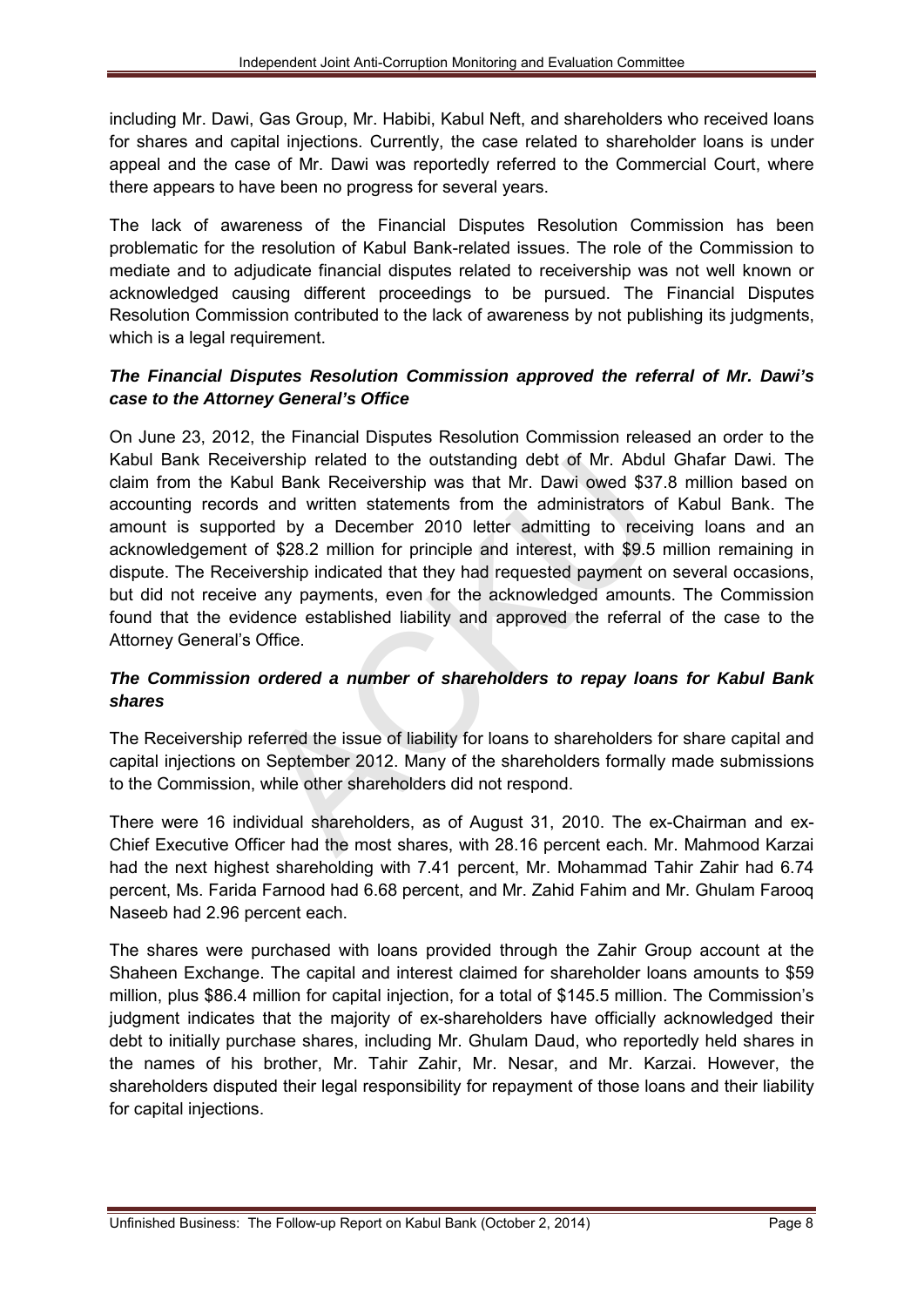including Mr. Dawi, Gas Group, Mr. Habibi, Kabul Neft, and shareholders who received loans for shares and capital injections. Currently, the case related to shareholder loans is under appeal and the case of Mr. Dawi was reportedly referred to the Commercial Court, where there appears to have been no progress for several years.

The lack of awareness of the Financial Disputes Resolution Commission has been problematic for the resolution of Kabul Bank-related issues. The role of the Commission to mediate and to adjudicate financial disputes related to receivership was not well known or acknowledged causing different proceedings to be pursued. The Financial Disputes Resolution Commission contributed to the lack of awareness by not publishing its judgments, which is a legal requirement.

#### *The Financial Disputes Resolution Commission approved the referral of Mr. Dawi's case to the Attorney General's Office*

On June 23, 2012, the Financial Disputes Resolution Commission released an order to the Kabul Bank Receivership related to the outstanding debt of Mr. Abdul Ghafar Dawi. The claim from the Kabul Bank Receivership was that Mr. Dawi owed \$37.8 million based on accounting records and written statements from the administrators of Kabul Bank. The amount is supported by a December 2010 letter admitting to receiving loans and an acknowledgement of \$28.2 million for principle and interest, with \$9.5 million remaining in dispute. The Receivership indicated that they had requested payment on several occasions, but did not receive any payments, even for the acknowledged amounts. The Commission found that the evidence established liability and approved the referral of the case to the Attorney General's Office. vership related to the outstanding debt of Mr. Abdu<br>bul Bank Receivership was that Mr. Dawi owed \$37<br>s and written statements from the administrators of<br>ted by a December 2010 letter admitting to rece<br>of \$28.2 million for

#### *The Commission ordered a number of shareholders to repay loans for Kabul Bank shares*

The Receivership referred the issue of liability for loans to shareholders for share capital and capital injections on September 2012. Many of the shareholders formally made submissions to the Commission, while other shareholders did not respond.

There were 16 individual shareholders, as of August 31, 2010. The ex-Chairman and ex-Chief Executive Officer had the most shares, with 28.16 percent each. Mr. Mahmood Karzai had the next highest shareholding with 7.41 percent, Mr. Mohammad Tahir Zahir had 6.74 percent, Ms. Farida Farnood had 6.68 percent, and Mr. Zahid Fahim and Mr. Ghulam Farooq Naseeb had 2.96 percent each.

The shares were purchased with loans provided through the Zahir Group account at the Shaheen Exchange. The capital and interest claimed for shareholder loans amounts to \$59 million, plus \$86.4 million for capital injection, for a total of \$145.5 million. The Commission's judgment indicates that the majority of ex-shareholders have officially acknowledged their debt to initially purchase shares, including Mr. Ghulam Daud, who reportedly held shares in the names of his brother, Mr. Tahir Zahir, Mr. Nesar, and Mr. Karzai. However, the shareholders disputed their legal responsibility for repayment of those loans and their liability for capital injections.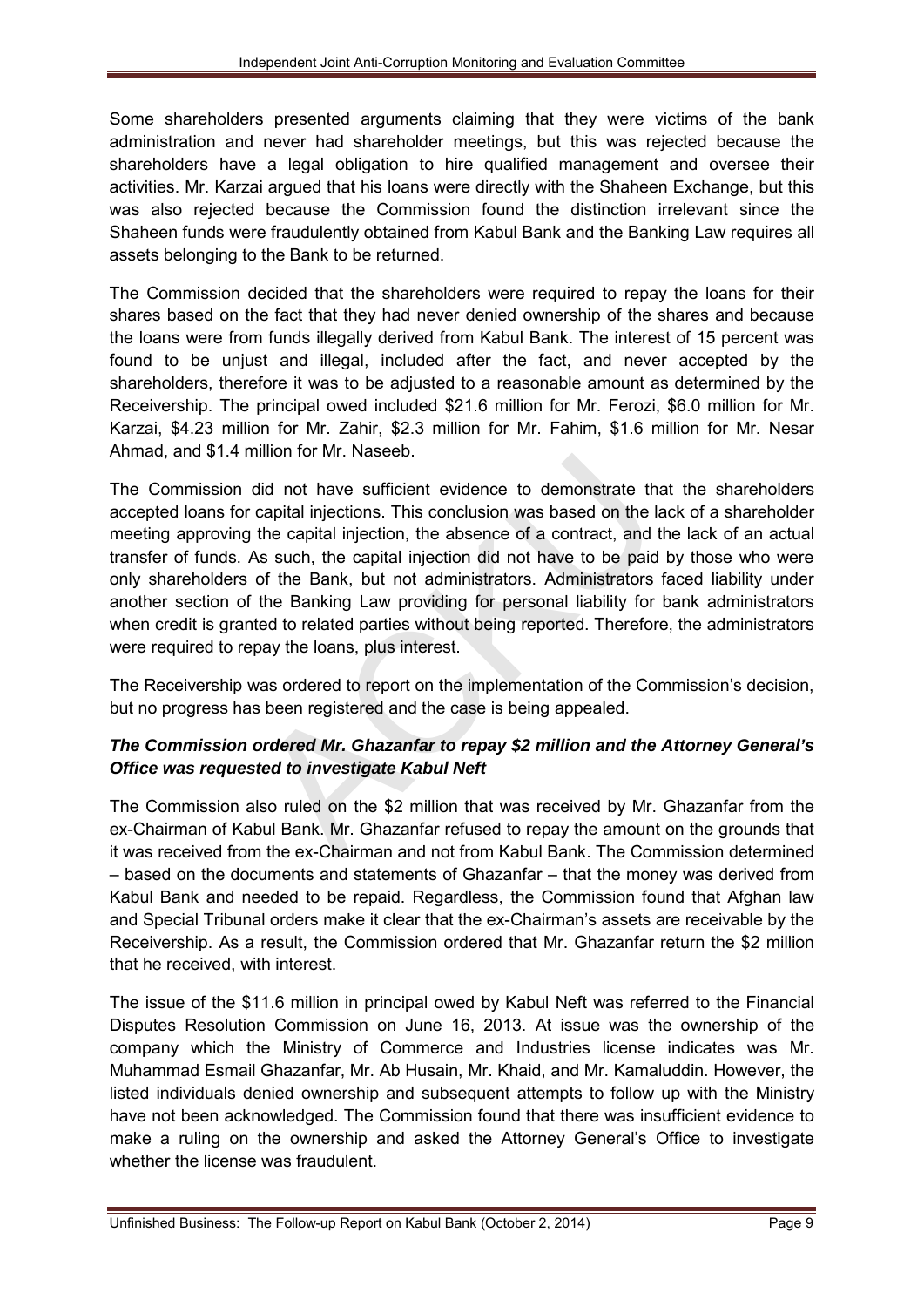Some shareholders presented arguments claiming that they were victims of the bank administration and never had shareholder meetings, but this was rejected because the shareholders have a legal obligation to hire qualified management and oversee their activities. Mr. Karzai argued that his loans were directly with the Shaheen Exchange, but this was also rejected because the Commission found the distinction irrelevant since the Shaheen funds were fraudulently obtained from Kabul Bank and the Banking Law requires all assets belonging to the Bank to be returned.

The Commission decided that the shareholders were required to repay the loans for their shares based on the fact that they had never denied ownership of the shares and because the loans were from funds illegally derived from Kabul Bank. The interest of 15 percent was found to be unjust and illegal, included after the fact, and never accepted by the shareholders, therefore it was to be adjusted to a reasonable amount as determined by the Receivership. The principal owed included \$21.6 million for Mr. Ferozi, \$6.0 million for Mr. Karzai, \$4.23 million for Mr. Zahir, \$2.3 million for Mr. Fahim, \$1.6 million for Mr. Nesar Ahmad, and \$1.4 million for Mr. Naseeb.

The Commission did not have sufficient evidence to demonstrate that the shareholders accepted loans for capital injections. This conclusion was based on the lack of a shareholder meeting approving the capital injection, the absence of a contract, and the lack of an actual transfer of funds. As such, the capital injection did not have to be paid by those who were only shareholders of the Bank, but not administrators. Administrators faced liability under another section of the Banking Law providing for personal liability for bank administrators when credit is granted to related parties without being reported. Therefore, the administrators were required to repay the loans, plus interest. did not have sufficient evidence to demonstrate th<br>capital injections. This conclusion was based on the l<br>the capital injection, the absence of a contract, and<br>As such, the capital injection did not have to be paid<br>of the

The Receivership was ordered to report on the implementation of the Commission's decision, but no progress has been registered and the case is being appealed.

#### *The Commission ordered Mr. Ghazanfar to repay \$2 million and the Attorney General's Office was requested to investigate Kabul Neft*

The Commission also ruled on the \$2 million that was received by Mr. Ghazanfar from the ex-Chairman of Kabul Bank. Mr. Ghazanfar refused to repay the amount on the grounds that it was received from the ex-Chairman and not from Kabul Bank. The Commission determined – based on the documents and statements of Ghazanfar – that the money was derived from Kabul Bank and needed to be repaid. Regardless, the Commission found that Afghan law and Special Tribunal orders make it clear that the ex-Chairman's assets are receivable by the Receivership. As a result, the Commission ordered that Mr. Ghazanfar return the \$2 million that he received, with interest.

The issue of the \$11.6 million in principal owed by Kabul Neft was referred to the Financial Disputes Resolution Commission on June 16, 2013. At issue was the ownership of the company which the Ministry of Commerce and Industries license indicates was Mr. Muhammad Esmail Ghazanfar, Mr. Ab Husain, Mr. Khaid, and Mr. Kamaluddin. However, the listed individuals denied ownership and subsequent attempts to follow up with the Ministry have not been acknowledged. The Commission found that there was insufficient evidence to make a ruling on the ownership and asked the Attorney General's Office to investigate whether the license was fraudulent.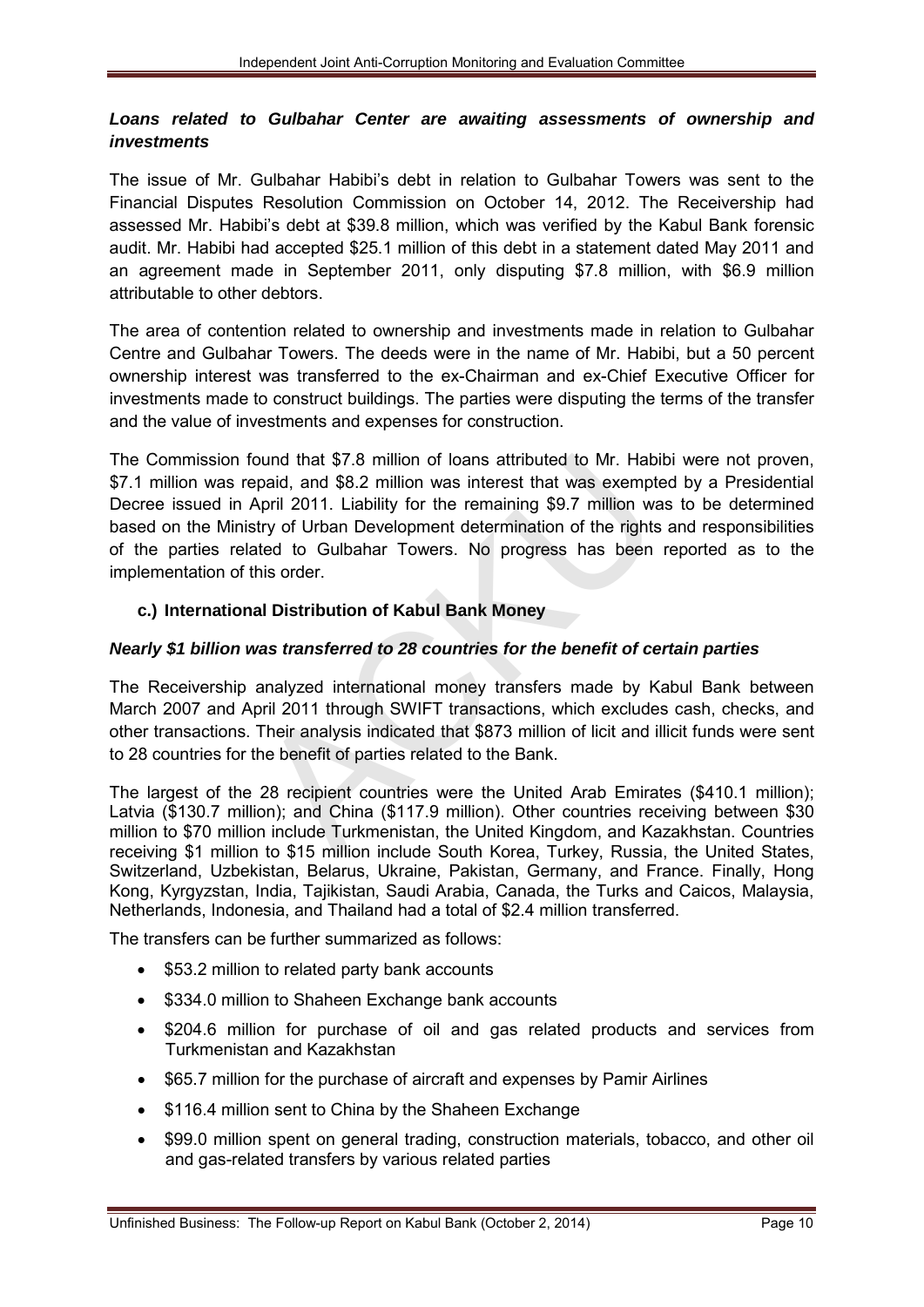#### *Loans related to Gulbahar Center are awaiting assessments of ownership and investments*

The issue of Mr. Gulbahar Habibi's debt in relation to Gulbahar Towers was sent to the Financial Disputes Resolution Commission on October 14, 2012. The Receivership had assessed Mr. Habibi's debt at \$39.8 million, which was verified by the Kabul Bank forensic audit. Mr. Habibi had accepted \$25.1 million of this debt in a statement dated May 2011 and an agreement made in September 2011, only disputing \$7.8 million, with \$6.9 million attributable to other debtors.

The area of contention related to ownership and investments made in relation to Gulbahar Centre and Gulbahar Towers. The deeds were in the name of Mr. Habibi, but a 50 percent ownership interest was transferred to the ex-Chairman and ex-Chief Executive Officer for investments made to construct buildings. The parties were disputing the terms of the transfer and the value of investments and expenses for construction.

The Commission found that \$7.8 million of loans attributed to Mr. Habibi were not proven, \$7.1 million was repaid, and \$8.2 million was interest that was exempted by a Presidential Decree issued in April 2011. Liability for the remaining \$9.7 million was to be determined based on the Ministry of Urban Development determination of the rights and responsibilities of the parties related to Gulbahar Towers. No progress has been reported as to the implementation of this order. ound that \$7.8 million of loans attributed to Mr. Hab<br>
spaid, and \$8.2 million was interest that was exempt<br>
April 2011. Liability for the remaining \$9.7 million watry of Urban Development determination of the rights<br>
atte

#### <span id="page-11-0"></span>**c.) International Distribution of Kabul Bank Money**

#### *Nearly \$1 billion was transferred to 28 countries for the benefit of certain parties*

The Receivership analyzed international money transfers made by Kabul Bank between March 2007 and April 2011 through SWIFT transactions, which excludes cash, checks, and other transactions. Their analysis indicated that \$873 million of licit and illicit funds were sent to 28 countries for the benefit of parties related to the Bank.

The largest of the 28 recipient countries were the United Arab Emirates (\$410.1 million); Latvia (\$130.7 million); and China (\$117.9 million). Other countries receiving between \$30 million to \$70 million include Turkmenistan, the United Kingdom, and Kazakhstan. Countries receiving \$1 million to \$15 million include South Korea, Turkey, Russia, the United States, Switzerland, Uzbekistan, Belarus, Ukraine, Pakistan, Germany, and France. Finally, Hong Kong, Kyrgyzstan, India, Tajikistan, Saudi Arabia, Canada, the Turks and Caicos, Malaysia, Netherlands, Indonesia, and Thailand had a total of \$2.4 million transferred.

The transfers can be further summarized as follows:

- \$53.2 million to related party bank accounts
- \$334.0 million to Shaheen Exchange bank accounts
- \$204.6 million for purchase of oil and gas related products and services from Turkmenistan and Kazakhstan
- \$65.7 million for the purchase of aircraft and expenses by Pamir Airlines
- \$116.4 million sent to China by the Shaheen Exchange
- \$99.0 million spent on general trading, construction materials, tobacco, and other oil and gas-related transfers by various related parties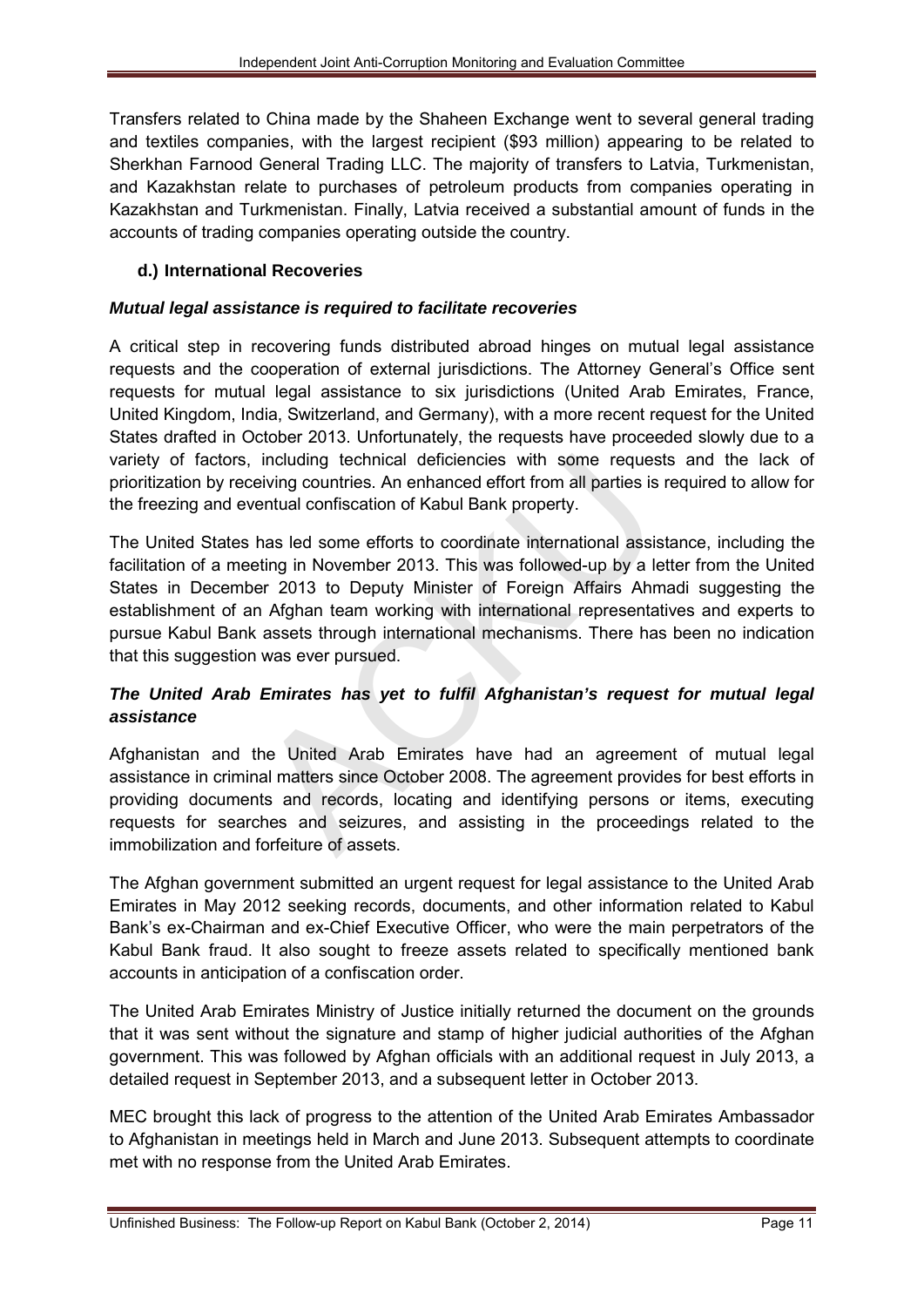Transfers related to China made by the Shaheen Exchange went to several general trading and textiles companies, with the largest recipient (\$93 million) appearing to be related to Sherkhan Farnood General Trading LLC. The majority of transfers to Latvia, Turkmenistan, and Kazakhstan relate to purchases of petroleum products from companies operating in Kazakhstan and Turkmenistan. Finally, Latvia received a substantial amount of funds in the accounts of trading companies operating outside the country.

#### <span id="page-12-0"></span>**d.) International Recoveries**

#### *Mutual legal assistance is required to facilitate recoveries*

A critical step in recovering funds distributed abroad hinges on mutual legal assistance requests and the cooperation of external jurisdictions. The Attorney General's Office sent requests for mutual legal assistance to six jurisdictions (United Arab Emirates, France, United Kingdom, India, Switzerland, and Germany), with a more recent request for the United States drafted in October 2013. Unfortunately, the requests have proceeded slowly due to a variety of factors, including technical deficiencies with some requests and the lack of prioritization by receiving countries. An enhanced effort from all parties is required to allow for the freezing and eventual confiscation of Kabul Bank property.

The United States has led some efforts to coordinate international assistance, including the facilitation of a meeting in November 2013. This was followed-up by a letter from the United States in December 2013 to Deputy Minister of Foreign Affairs Ahmadi suggesting the establishment of an Afghan team working with international representatives and experts to pursue Kabul Bank assets through international mechanisms. There has been no indication that this suggestion was ever pursued. including technical deficiencies with some requeseiving countries. An enhanced effort from all parties is<br>ventual confiscation of Kabul Bank property.<br>has led some efforts to coordinate international assisting in November

#### *The United Arab Emirates has yet to fulfil Afghanistan's request for mutual legal assistance*

Afghanistan and the United Arab Emirates have had an agreement of mutual legal assistance in criminal matters since October 2008. The agreement provides for best efforts in providing documents and records, locating and identifying persons or items, executing requests for searches and seizures, and assisting in the proceedings related to the immobilization and forfeiture of assets.

The Afghan government submitted an urgent request for legal assistance to the United Arab Emirates in May 2012 seeking records, documents, and other information related to Kabul Bank's ex-Chairman and ex-Chief Executive Officer, who were the main perpetrators of the Kabul Bank fraud. It also sought to freeze assets related to specifically mentioned bank accounts in anticipation of a confiscation order.

The United Arab Emirates Ministry of Justice initially returned the document on the grounds that it was sent without the signature and stamp of higher judicial authorities of the Afghan government. This was followed by Afghan officials with an additional request in July 2013, a detailed request in September 2013, and a subsequent letter in October 2013.

MEC brought this lack of progress to the attention of the United Arab Emirates Ambassador to Afghanistan in meetings held in March and June 2013. Subsequent attempts to coordinate met with no response from the United Arab Emirates.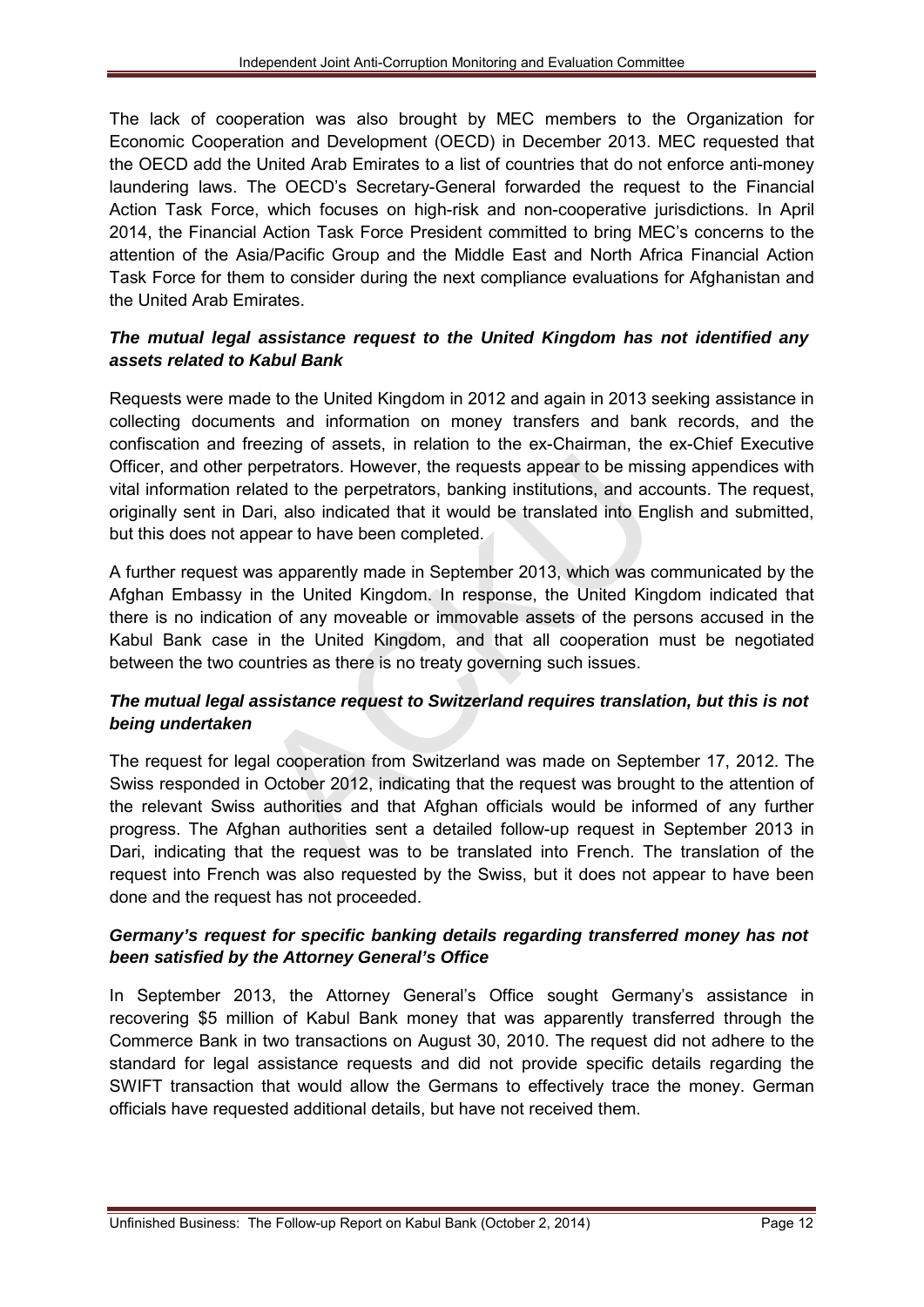The lack of cooperation was also brought by MEC members to the Organization for Economic Cooperation and Development (OECD) in December 2013. MEC requested that the OECD add the United Arab Emirates to a list of countries that do not enforce anti-money laundering laws. The OECD's Secretary-General forwarded the request to the Financial Action Task Force, which focuses on high-risk and non-cooperative jurisdictions. In April 2014, the Financial Action Task Force President committed to bring MEC's concerns to the attention of the Asia/Pacific Group and the Middle East and North Africa Financial Action Task Force for them to consider during the next compliance evaluations for Afghanistan and the United Arab Emirates.

#### *The mutual legal assistance request to the United Kingdom has not identified any assets related to Kabul Bank*

Requests were made to the United Kingdom in 2012 and again in 2013 seeking assistance in collecting documents and information on money transfers and bank records, and the confiscation and freezing of assets, in relation to the ex-Chairman, the ex-Chief Executive Officer, and other perpetrators. However, the requests appear to be missing appendices with vital information related to the perpetrators, banking institutions, and accounts. The request, originally sent in Dari, also indicated that it would be translated into English and submitted, but this does not appear to have been completed.

A further request was apparently made in September 2013, which was communicated by the Afghan Embassy in the United Kingdom. In response, the United Kingdom indicated that there is no indication of any moveable or immovable assets of the persons accused in the Kabul Bank case in the United Kingdom, and that all cooperation must be negotiated between the two countries as there is no treaty governing such issues. berpetrators. However, the requests appear to be miss<br>lated to the perpetrators, banking institutions, and accari, also indicated that it would be translated into En<br>oppear to have been completed.<br>vas apparently made in Se

#### *The mutual legal assistance request to Switzerland requires translation, but this is not being undertaken*

The request for legal cooperation from Switzerland was made on September 17, 2012. The Swiss responded in October 2012, indicating that the request was brought to the attention of the relevant Swiss authorities and that Afghan officials would be informed of any further progress. The Afghan authorities sent a detailed follow-up request in September 2013 in Dari, indicating that the request was to be translated into French. The translation of the request into French was also requested by the Swiss, but it does not appear to have been done and the request has not proceeded.

#### *Germany's request for specific banking details regarding transferred money has not been satisfied by the Attorney General's Office*

In September 2013, the Attorney General's Office sought Germany's assistance in recovering \$5 million of Kabul Bank money that was apparently transferred through the Commerce Bank in two transactions on August 30, 2010. The request did not adhere to the standard for legal assistance requests and did not provide specific details regarding the SWIFT transaction that would allow the Germans to effectively trace the money. German officials have requested additional details, but have not received them.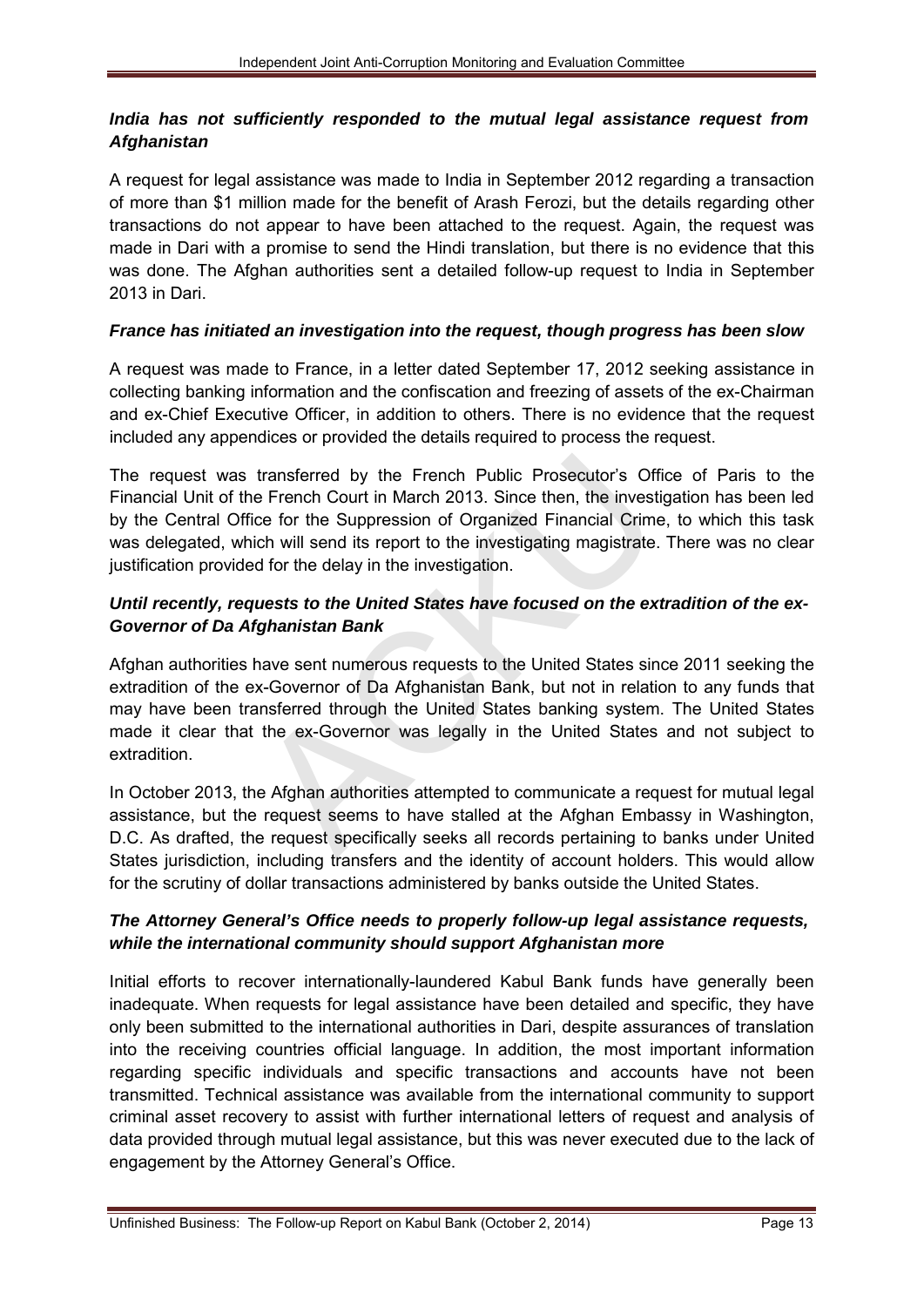#### *India has not sufficiently responded to the mutual legal assistance request from Afghanistan*

A request for legal assistance was made to India in September 2012 regarding a transaction of more than \$1 million made for the benefit of Arash Ferozi, but the details regarding other transactions do not appear to have been attached to the request. Again, the request was made in Dari with a promise to send the Hindi translation, but there is no evidence that this was done. The Afghan authorities sent a detailed follow-up request to India in September 2013 in Dari.

#### *France has initiated an investigation into the request, though progress has been slow*

A request was made to France, in a letter dated September 17, 2012 seeking assistance in collecting banking information and the confiscation and freezing of assets of the ex-Chairman and ex-Chief Executive Officer, in addition to others. There is no evidence that the request included any appendices or provided the details required to process the request.

The request was transferred by the French Public Prosecutor's Office of Paris to the Financial Unit of the French Court in March 2013. Since then, the investigation has been led by the Central Office for the Suppression of Organized Financial Crime, to which this task was delegated, which will send its report to the investigating magistrate. There was no clear justification provided for the delay in the investigation. transferred by the French Public Prosecutor's Office French Court in March 2013. Since then, the investice for the Suppression of Organized Financial Crimetic in will send its report to the investigating magistrate.<br>And fo

#### *Until recently, requests to the United States have focused on the extradition of the ex-Governor of Da Afghanistan Bank*

Afghan authorities have sent numerous requests to the United States since 2011 seeking the extradition of the ex-Governor of Da Afghanistan Bank, but not in relation to any funds that may have been transferred through the United States banking system. The United States made it clear that the ex-Governor was legally in the United States and not subject to extradition.

In October 2013, the Afghan authorities attempted to communicate a request for mutual legal assistance, but the request seems to have stalled at the Afghan Embassy in Washington, D.C. As drafted, the request specifically seeks all records pertaining to banks under United States jurisdiction, including transfers and the identity of account holders. This would allow for the scrutiny of dollar transactions administered by banks outside the United States.

#### *The Attorney General's Office needs to properly follow-up legal assistance requests, while the international community should support Afghanistan more*

Initial efforts to recover internationally-laundered Kabul Bank funds have generally been inadequate. When requests for legal assistance have been detailed and specific, they have only been submitted to the international authorities in Dari, despite assurances of translation into the receiving countries official language. In addition, the most important information regarding specific individuals and specific transactions and accounts have not been transmitted. Technical assistance was available from the international community to support criminal asset recovery to assist with further international letters of request and analysis of data provided through mutual legal assistance, but this was never executed due to the lack of engagement by the Attorney General's Office.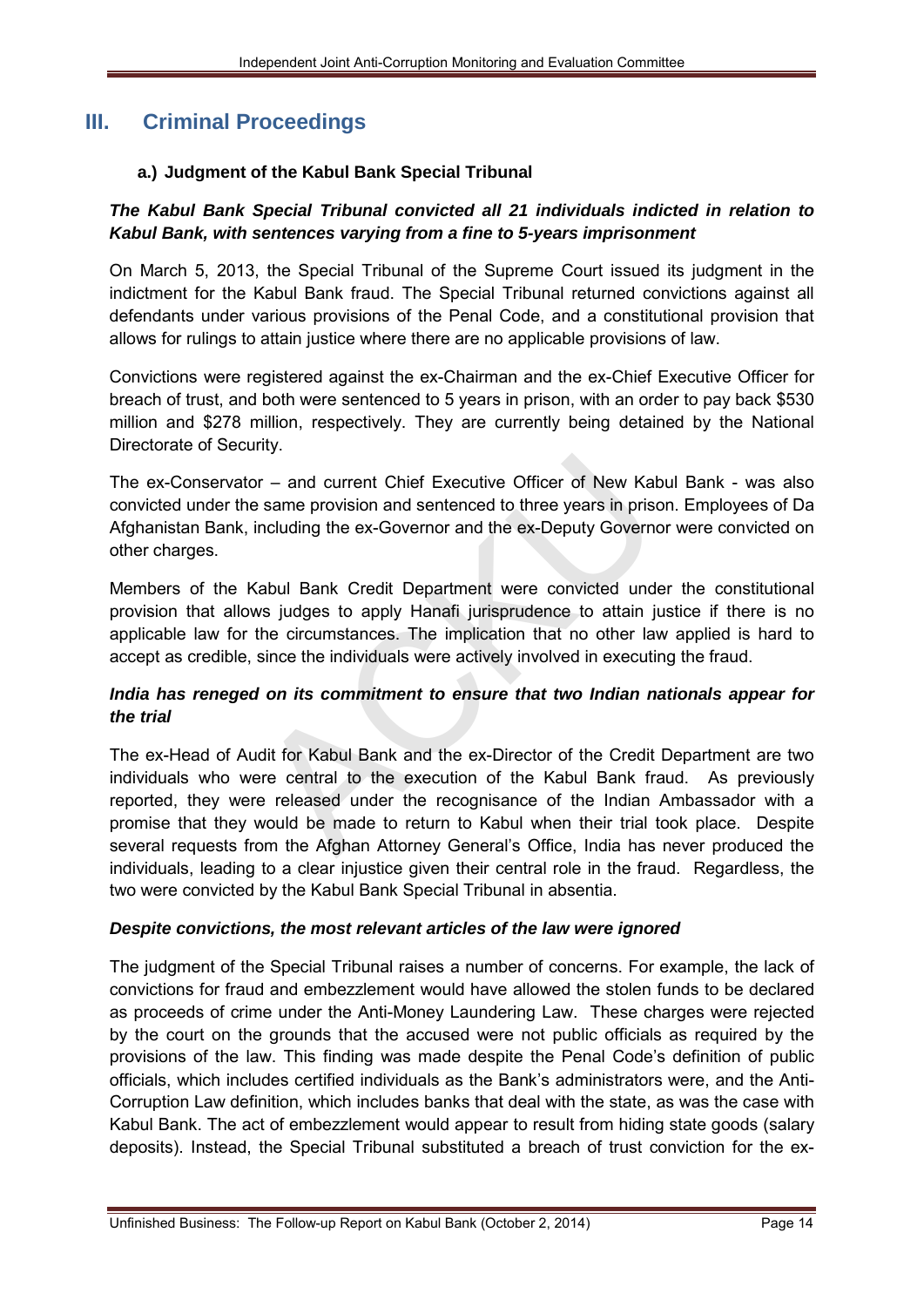## <span id="page-15-0"></span>**III. Criminal Proceedings**

#### <span id="page-15-1"></span>**a.) Judgment of the Kabul Bank Special Tribunal**

#### *The Kabul Bank Special Tribunal convicted all 21 individuals indicted in relation to Kabul Bank, with sentences varying from a fine to 5-years imprisonment*

On March 5, 2013, the Special Tribunal of the Supreme Court issued its judgment in the indictment for the Kabul Bank fraud. The Special Tribunal returned convictions against all defendants under various provisions of the Penal Code, and a constitutional provision that allows for rulings to attain justice where there are no applicable provisions of law.

Convictions were registered against the ex-Chairman and the ex-Chief Executive Officer for breach of trust, and both were sentenced to 5 years in prison, with an order to pay back \$530 million and \$278 million, respectively. They are currently being detained by the National Directorate of Security.

The ex-Conservator – and current Chief Executive Officer of New Kabul Bank - was also convicted under the same provision and sentenced to three years in prison. Employees of Da Afghanistan Bank, including the ex-Governor and the ex-Deputy Governor were convicted on other charges.

Members of the Kabul Bank Credit Department were convicted under the constitutional provision that allows judges to apply Hanafi jurisprudence to attain justice if there is no applicable law for the circumstances. The implication that no other law applied is hard to accept as credible, since the individuals were actively involved in executing the fraud.

#### *India has reneged on its commitment to ensure that two Indian nationals appear for the trial*

The ex-Head of Audit for Kabul Bank and the ex-Director of the Credit Department are two individuals who were central to the execution of the Kabul Bank fraud. As previously reported, they were released under the recognisance of the Indian Ambassador with a promise that they would be made to return to Kabul when their trial took place. Despite several requests from the Afghan Attorney General's Office, India has never produced the individuals, leading to a clear injustice given their central role in the fraud. Regardless, the two were convicted by the Kabul Bank Special Tribunal in absentia. or – and current Chief Executive Officer of New Kate same provision and sentenced to three years in prision including the ex-Governor and the ex-Deputy Governor and the ex-Deputy Governor and the ex-Deputy Governor and the

#### *Despite convictions, the most relevant articles of the law were ignored*

The judgment of the Special Tribunal raises a number of concerns. For example, the lack of convictions for fraud and embezzlement would have allowed the stolen funds to be declared as proceeds of crime under the Anti-Money Laundering Law. These charges were rejected by the court on the grounds that the accused were not public officials as required by the provisions of the law. This finding was made despite the Penal Code's definition of public officials, which includes certified individuals as the Bank's administrators were, and the Anti-Corruption Law definition, which includes banks that deal with the state, as was the case with Kabul Bank. The act of embezzlement would appear to result from hiding state goods (salary deposits). Instead, the Special Tribunal substituted a breach of trust conviction for the ex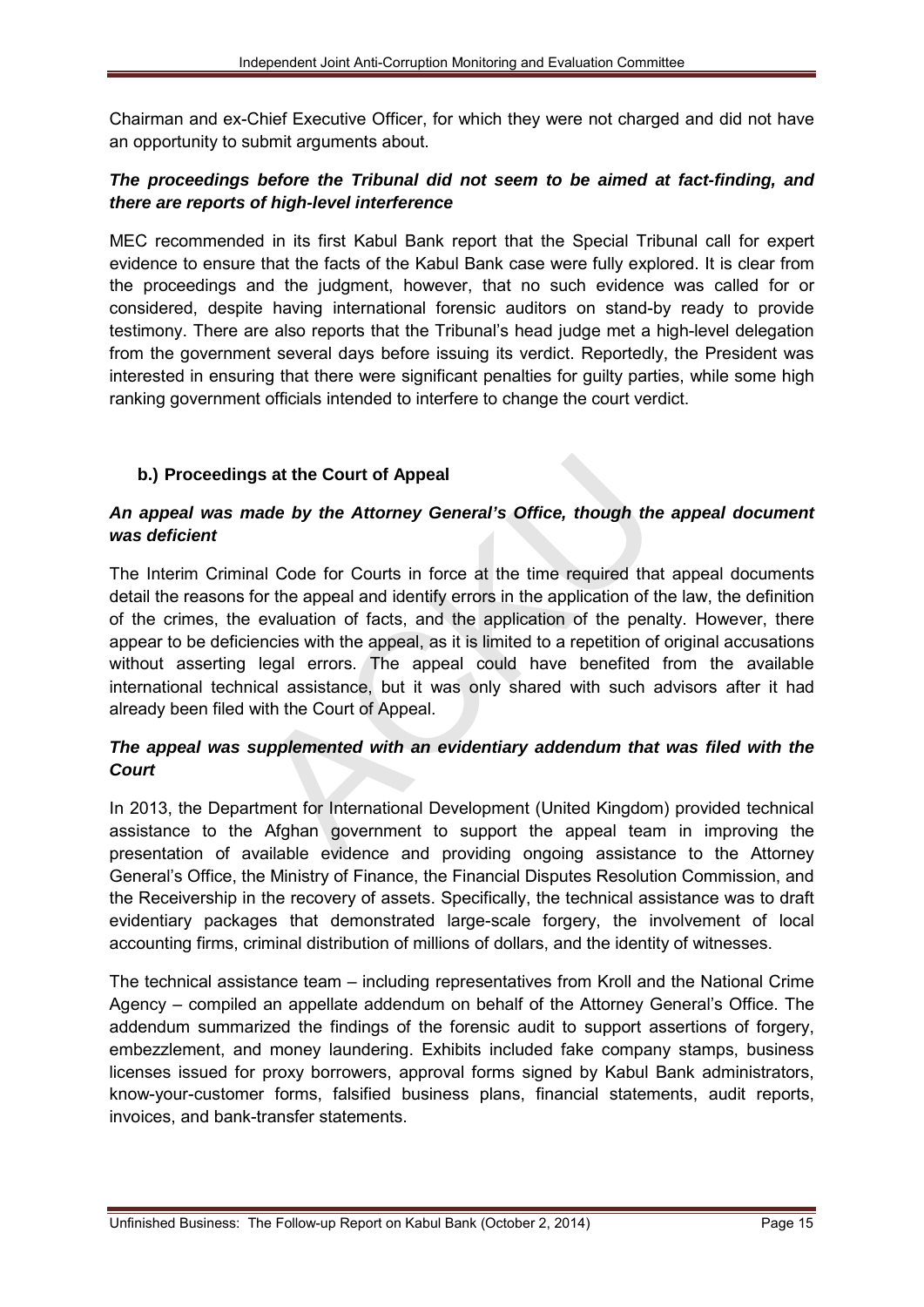Chairman and ex-Chief Executive Officer, for which they were not charged and did not have an opportunity to submit arguments about.

#### *The proceedings before the Tribunal did not seem to be aimed at fact-finding, and there are reports of high-level interference*

MEC recommended in its first Kabul Bank report that the Special Tribunal call for expert evidence to ensure that the facts of the Kabul Bank case were fully explored. It is clear from the proceedings and the judgment, however, that no such evidence was called for or considered, despite having international forensic auditors on stand-by ready to provide testimony. There are also reports that the Tribunal's head judge met a high-level delegation from the government several days before issuing its verdict. Reportedly, the President was interested in ensuring that there were significant penalties for guilty parties, while some high ranking government officials intended to interfere to change the court verdict.

#### **b.) Proceedings at the Court of Appeal**

#### *An appeal was made by the Attorney General's Office, though the appeal document was deficient*

<span id="page-16-0"></span>The Interim Criminal Code for Courts in force at the time required that appeal documents detail the reasons for the appeal and identify errors in the application of the law, the definition of the crimes, the evaluation of facts, and the application of the penalty. However, there appear to be deficiencies with the appeal, as it is limited to a repetition of original accusations without asserting legal errors. The appeal could have benefited from the available international technical assistance, but it was only shared with such advisors after it had already been filed with the Court of Appeal. **Solution** Solution and Code for Courts in force at the time required than all Code for Courts in force at the time required than all Code for Courts in force at the time required than for the appeal and identify errors in

#### *The appeal was supplemented with an evidentiary addendum that was filed with the Court*

In 2013, the Department for International Development (United Kingdom) provided technical assistance to the Afghan government to support the appeal team in improving the presentation of available evidence and providing ongoing assistance to the Attorney General's Office, the Ministry of Finance, the Financial Disputes Resolution Commission, and the Receivership in the recovery of assets. Specifically, the technical assistance was to draft evidentiary packages that demonstrated large-scale forgery, the involvement of local accounting firms, criminal distribution of millions of dollars, and the identity of witnesses.

The technical assistance team – including representatives from Kroll and the National Crime Agency – compiled an appellate addendum on behalf of the Attorney General's Office. The addendum summarized the findings of the forensic audit to support assertions of forgery, embezzlement, and money laundering. Exhibits included fake company stamps, business licenses issued for proxy borrowers, approval forms signed by Kabul Bank administrators, know-your-customer forms, falsified business plans, financial statements, audit reports, invoices, and bank-transfer statements.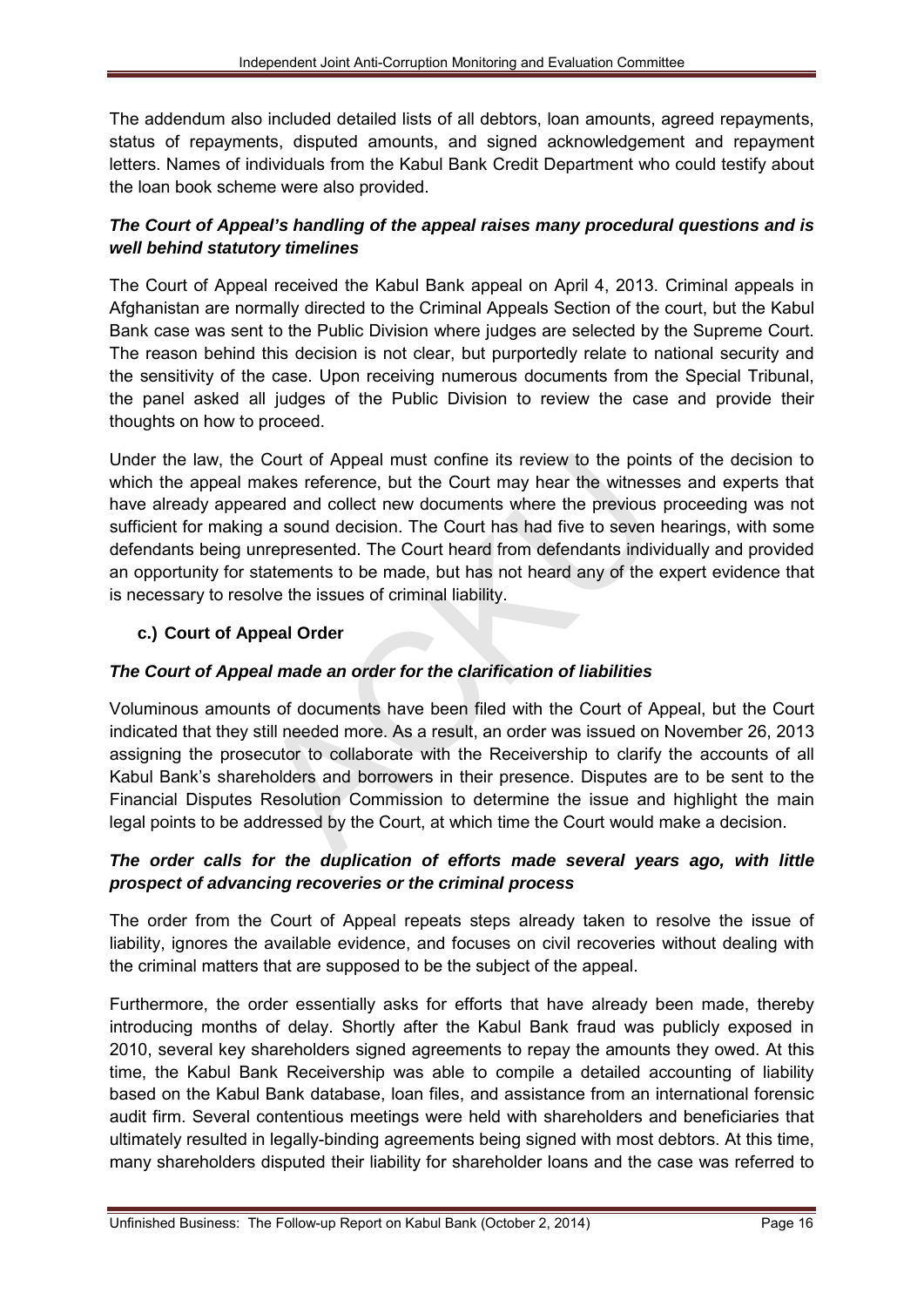The addendum also included detailed lists of all debtors, loan amounts, agreed repayments, status of repayments, disputed amounts, and signed acknowledgement and repayment letters. Names of individuals from the Kabul Bank Credit Department who could testify about the loan book scheme were also provided.

#### *The Court of Appeal's handling of the appeal raises many procedural questions and is well behind statutory timelines*

The Court of Appeal received the Kabul Bank appeal on April 4, 2013. Criminal appeals in Afghanistan are normally directed to the Criminal Appeals Section of the court, but the Kabul Bank case was sent to the Public Division where judges are selected by the Supreme Court. The reason behind this decision is not clear, but purportedly relate to national security and the sensitivity of the case. Upon receiving numerous documents from the Special Tribunal, the panel asked all judges of the Public Division to review the case and provide their thoughts on how to proceed.

Under the law, the Court of Appeal must confine its review to the points of the decision to which the appeal makes reference, but the Court may hear the witnesses and experts that have already appeared and collect new documents where the previous proceeding was not sufficient for making a sound decision. The Court has had five to seven hearings, with some defendants being unrepresented. The Court heard from defendants individually and provided an opportunity for statements to be made, but has not heard any of the expert evidence that is necessary to resolve the issues of criminal liability. For the divention of Appeal must confine its review to the poin<br>makes reference, but the Court may hear the witness<br>ared and collect new documents where the previous<br>g a sound decision. The Court has had five to seven<br>unre

#### <span id="page-17-0"></span>**c.) Court of Appeal Order**

#### *The Court of Appeal made an order for the clarification of liabilities*

Voluminous amounts of documents have been filed with the Court of Appeal, but the Court indicated that they still needed more. As a result, an order was issued on November 26, 2013 assigning the prosecutor to collaborate with the Receivership to clarify the accounts of all Kabul Bank's shareholders and borrowers in their presence. Disputes are to be sent to the Financial Disputes Resolution Commission to determine the issue and highlight the main legal points to be addressed by the Court, at which time the Court would make a decision.

#### *The order calls for the duplication of efforts made several years ago, with little prospect of advancing recoveries or the criminal process*

The order from the Court of Appeal repeats steps already taken to resolve the issue of liability, ignores the available evidence, and focuses on civil recoveries without dealing with the criminal matters that are supposed to be the subject of the appeal.

Furthermore, the order essentially asks for efforts that have already been made, thereby introducing months of delay. Shortly after the Kabul Bank fraud was publicly exposed in 2010, several key shareholders signed agreements to repay the amounts they owed. At this time, the Kabul Bank Receivership was able to compile a detailed accounting of liability based on the Kabul Bank database, loan files, and assistance from an international forensic audit firm. Several contentious meetings were held with shareholders and beneficiaries that ultimately resulted in legally-binding agreements being signed with most debtors. At this time, many shareholders disputed their liability for shareholder loans and the case was referred to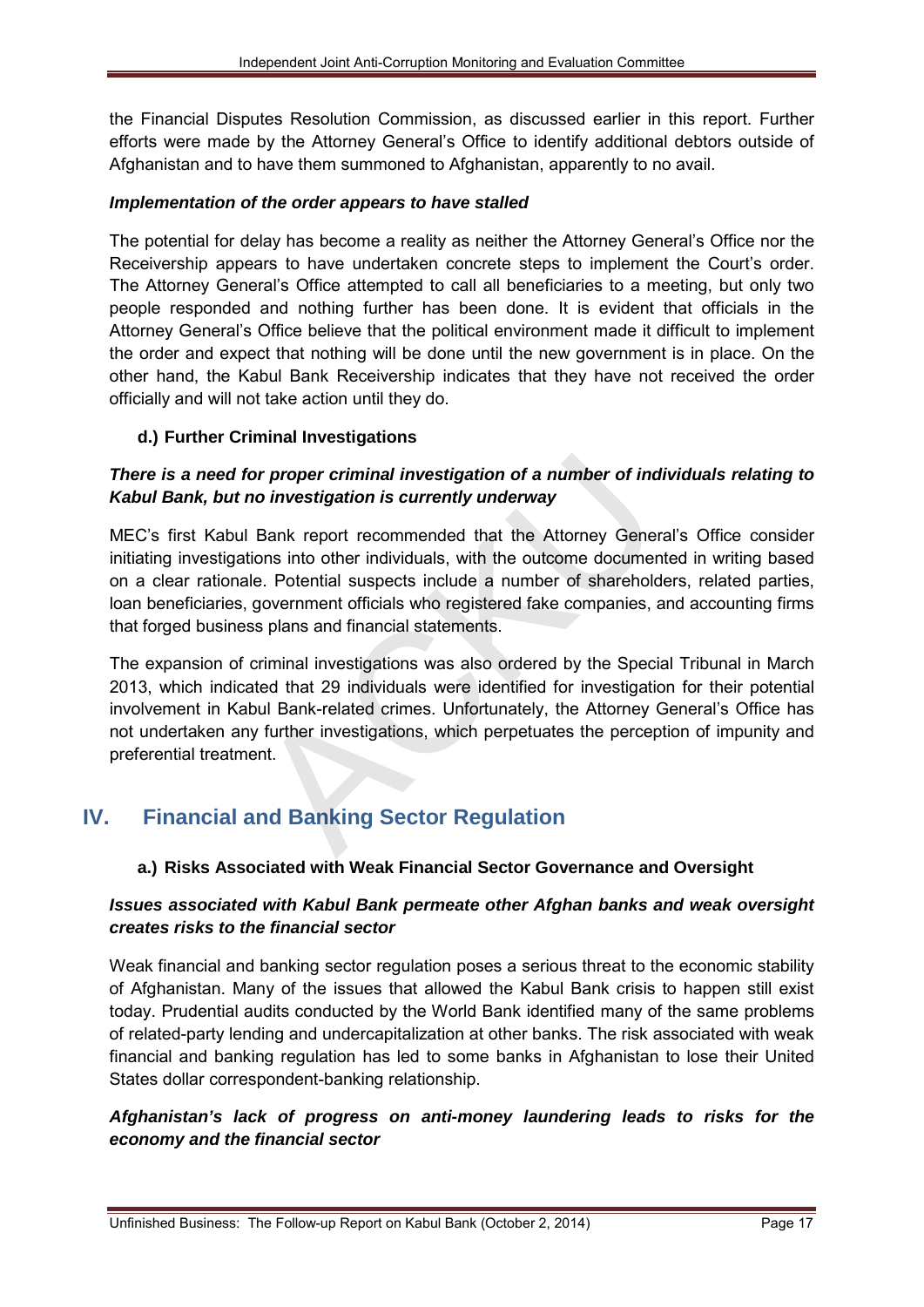the Financial Disputes Resolution Commission, as discussed earlier in this report. Further efforts were made by the Attorney General's Office to identify additional debtors outside of Afghanistan and to have them summoned to Afghanistan, apparently to no avail.

#### *Implementation of the order appears to have stalled*

The potential for delay has become a reality as neither the Attorney General's Office nor the Receivership appears to have undertaken concrete steps to implement the Court's order. The Attorney General's Office attempted to call all beneficiaries to a meeting, but only two people responded and nothing further has been done. It is evident that officials in the Attorney General's Office believe that the political environment made it difficult to implement the order and expect that nothing will be done until the new government is in place. On the other hand, the Kabul Bank Receivership indicates that they have not received the order officially and will not take action until they do.

#### **d.) Further Criminal Investigations**

#### *There is a need for proper criminal investigation of a number of individuals relating to Kabul Bank, but no investigation is currently underway*

<span id="page-18-0"></span>MEC's first Kabul Bank report recommended that the Attorney General's Office consider initiating investigations into other individuals, with the outcome documented in writing based on a clear rationale. Potential suspects include a number of shareholders, related parties, loan beneficiaries, government officials who registered fake companies, and accounting firms that forged business plans and financial statements. or proper criminal investigation of a number of inction investigation is currently underway<br>
Bank report recommended that the Attorney Generations into other individuals, with the outcome documer<br>
e. Potential suspects inc

The expansion of criminal investigations was also ordered by the Special Tribunal in March 2013, which indicated that 29 individuals were identified for investigation for their potential involvement in Kabul Bank-related crimes. Unfortunately, the Attorney General's Office has not undertaken any further investigations, which perpetuates the perception of impunity and preferential treatment.

## <span id="page-18-1"></span>**IV. Financial and Banking Sector Regulation**

#### <span id="page-18-2"></span>**a.) Risks Associated with Weak Financial Sector Governance and Oversight**

#### *Issues associated with Kabul Bank permeate other Afghan banks and weak oversight creates risks to the financial sector*

Weak financial and banking sector regulation poses a serious threat to the economic stability of Afghanistan. Many of the issues that allowed the Kabul Bank crisis to happen still exist today. Prudential audits conducted by the World Bank identified many of the same problems of related-party lending and undercapitalization at other banks. The risk associated with weak financial and banking regulation has led to some banks in Afghanistan to lose their United States dollar correspondent-banking relationship.

#### *Afghanistan's lack of progress on anti-money laundering leads to risks for the economy and the financial sector*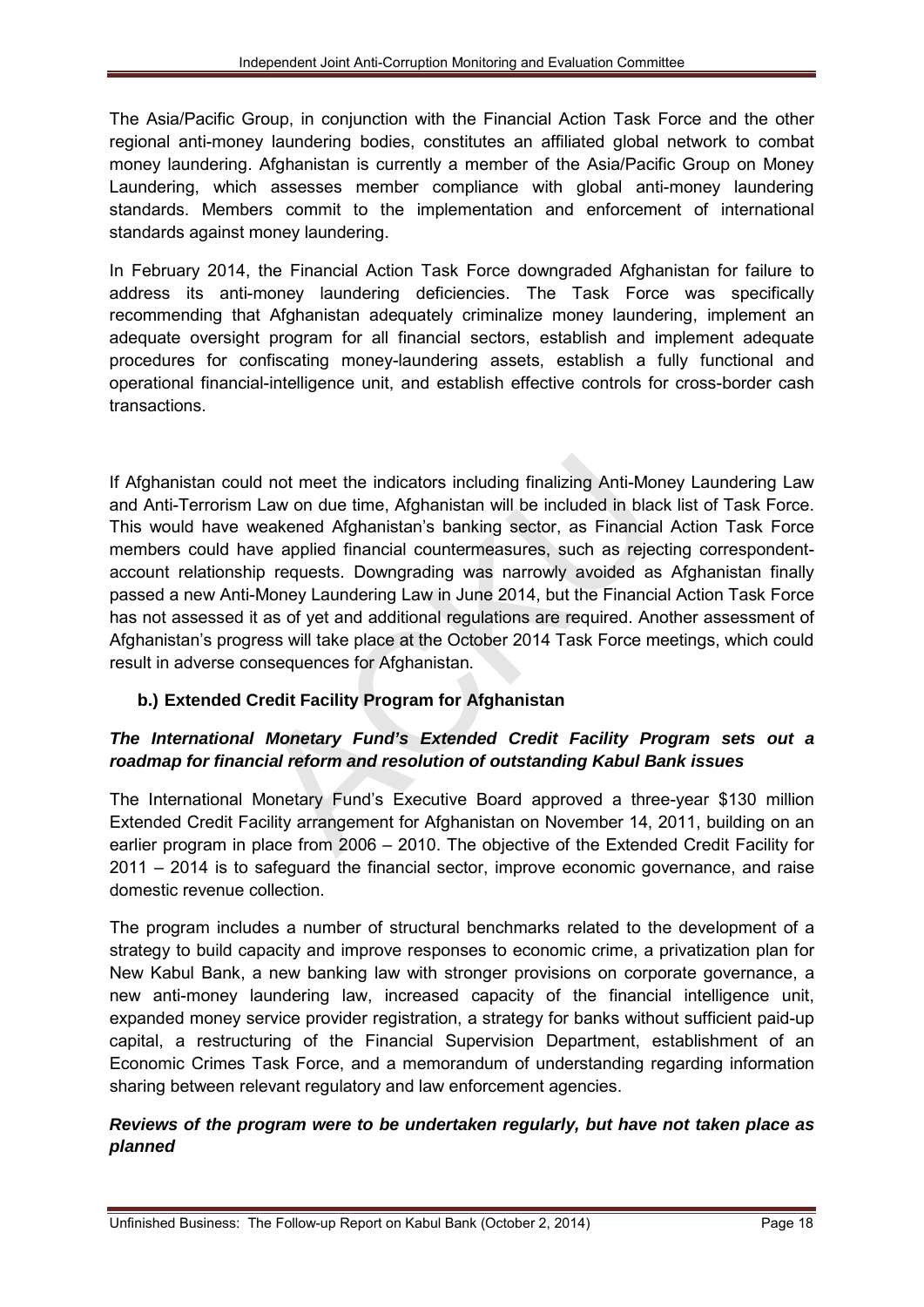The Asia/Pacific Group, in conjunction with the Financial Action Task Force and the other regional anti-money laundering bodies, constitutes an affiliated global network to combat money laundering. Afghanistan is currently a member of the Asia/Pacific Group on Money Laundering, which assesses member compliance with global anti-money laundering standards. Members commit to the implementation and enforcement of international standards against money laundering.

In February 2014, the Financial Action Task Force downgraded Afghanistan for failure to address its anti-money laundering deficiencies. The Task Force was specifically recommending that Afghanistan adequately criminalize money laundering, implement an adequate oversight program for all financial sectors, establish and implement adequate procedures for confiscating money-laundering assets, establish a fully functional and operational financial-intelligence unit, and establish effective controls for cross-border cash transactions.

If Afghanistan could not meet the indicators including finalizing Anti-Money Laundering Law and Anti-Terrorism Law on due time, Afghanistan will be included in black list of Task Force. This would have weakened Afghanistan's banking sector, as Financial Action Task Force members could have applied financial countermeasures, such as rejecting correspondentaccount relationship requests. Downgrading was narrowly avoided as Afghanistan finally passed a new Anti-Money Laundering Law in June 2014, but the Financial Action Task Force has not assessed it as of yet and additional regulations are required. Another assessment of Afghanistan's progress will take place at the October 2014 Task Force meetings, which could result in adverse consequences for Afghanistan. Id not meet the indicators including finalizing Anti-Mo<br>Law on due time, Afghanistan will be included in blace<br>weakened Afghanistan's banking sector, as Financia<br>ave applied financial countermeasures, such as rejection<br>ave

#### <span id="page-19-0"></span>**b.) Extended Credit Facility Program for Afghanistan**

#### *The International Monetary Fund's Extended Credit Facility Program sets out a roadmap for financial reform and resolution of outstanding Kabul Bank issues*

The International Monetary Fund's Executive Board approved a three-year \$130 million Extended Credit Facility arrangement for Afghanistan on November 14, 2011, building on an earlier program in place from 2006 – 2010. The objective of the Extended Credit Facility for 2011 – 2014 is to safeguard the financial sector, improve economic governance, and raise domestic revenue collection.

The program includes a number of structural benchmarks related to the development of a strategy to build capacity and improve responses to economic crime, a privatization plan for New Kabul Bank, a new banking law with stronger provisions on corporate governance, a new anti-money laundering law, increased capacity of the financial intelligence unit, expanded money service provider registration, a strategy for banks without sufficient paid-up capital, a restructuring of the Financial Supervision Department, establishment of an Economic Crimes Task Force, and a memorandum of understanding regarding information sharing between relevant regulatory and law enforcement agencies.

#### *Reviews of the program were to be undertaken regularly, but have not taken place as planned*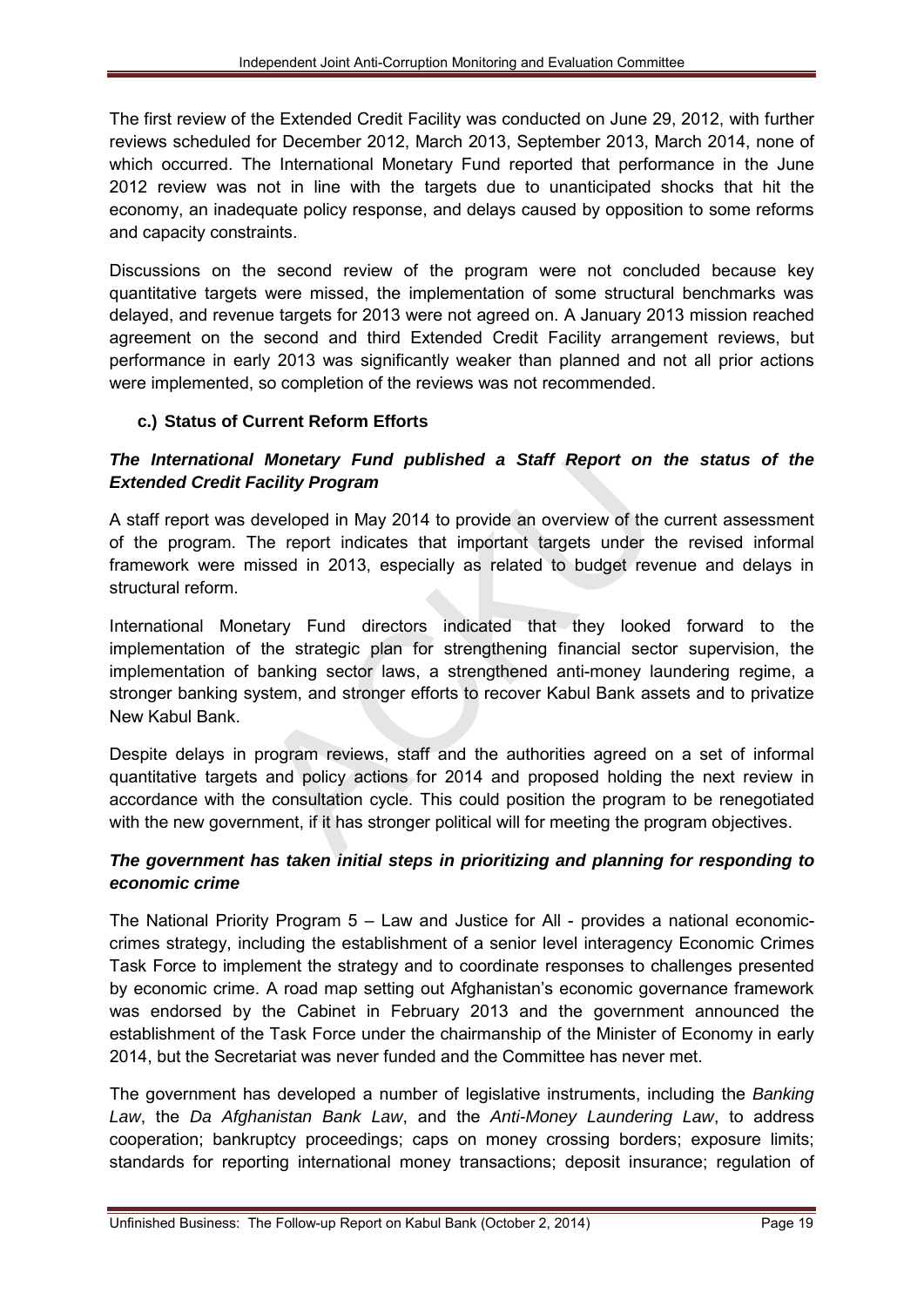The first review of the Extended Credit Facility was conducted on June 29, 2012, with further reviews scheduled for December 2012, March 2013, September 2013, March 2014, none of which occurred. The International Monetary Fund reported that performance in the June 2012 review was not in line with the targets due to unanticipated shocks that hit the economy, an inadequate policy response, and delays caused by opposition to some reforms and capacity constraints.

Discussions on the second review of the program were not concluded because key quantitative targets were missed, the implementation of some structural benchmarks was delayed, and revenue targets for 2013 were not agreed on. A January 2013 mission reached agreement on the second and third Extended Credit Facility arrangement reviews, but performance in early 2013 was significantly weaker than planned and not all prior actions were implemented, so completion of the reviews was not recommended.

#### <span id="page-20-0"></span>**c.) Status of Current Reform Efforts**

#### *The International Monetary Fund published a Staff Report on the status of the Extended Credit Facility Program*

A staff report was developed in May 2014 to provide an overview of the current assessment of the program. The report indicates that important targets under the revised informal framework were missed in 2013, especially as related to budget revenue and delays in structural reform.

International Monetary Fund directors indicated that they looked forward to the implementation of the strategic plan for strengthening financial sector supervision, the implementation of banking sector laws, a strengthened anti-money laundering regime, a stronger banking system, and stronger efforts to recover Kabul Bank assets and to privatize New Kabul Bank. *I* Monetary Fund published a Staff Report on<br>Facility Program<br>developed in May 2014 to provide an overview of the<br>The report indicates that important targets under this<br>sed in 2013, especially as related to budget rev<br>eta

Despite delays in program reviews, staff and the authorities agreed on a set of informal quantitative targets and policy actions for 2014 and proposed holding the next review in accordance with the consultation cycle. This could position the program to be renegotiated with the new government, if it has stronger political will for meeting the program objectives.

#### *The government has taken initial steps in prioritizing and planning for responding to economic crime*

The National Priority Program 5 – Law and Justice for All - provides a national economiccrimes strategy, including the establishment of a senior level interagency Economic Crimes Task Force to implement the strategy and to coordinate responses to challenges presented by economic crime. A road map setting out Afghanistan's economic governance framework was endorsed by the Cabinet in February 2013 and the government announced the establishment of the Task Force under the chairmanship of the Minister of Economy in early 2014, but the Secretariat was never funded and the Committee has never met.

The government has developed a number of legislative instruments, including the *Banking Law*, the *Da Afghanistan Bank Law*, and the *Anti-Money Laundering Law*, to address cooperation; bankruptcy proceedings; caps on money crossing borders; exposure limits; standards for reporting international money transactions; deposit insurance; regulation of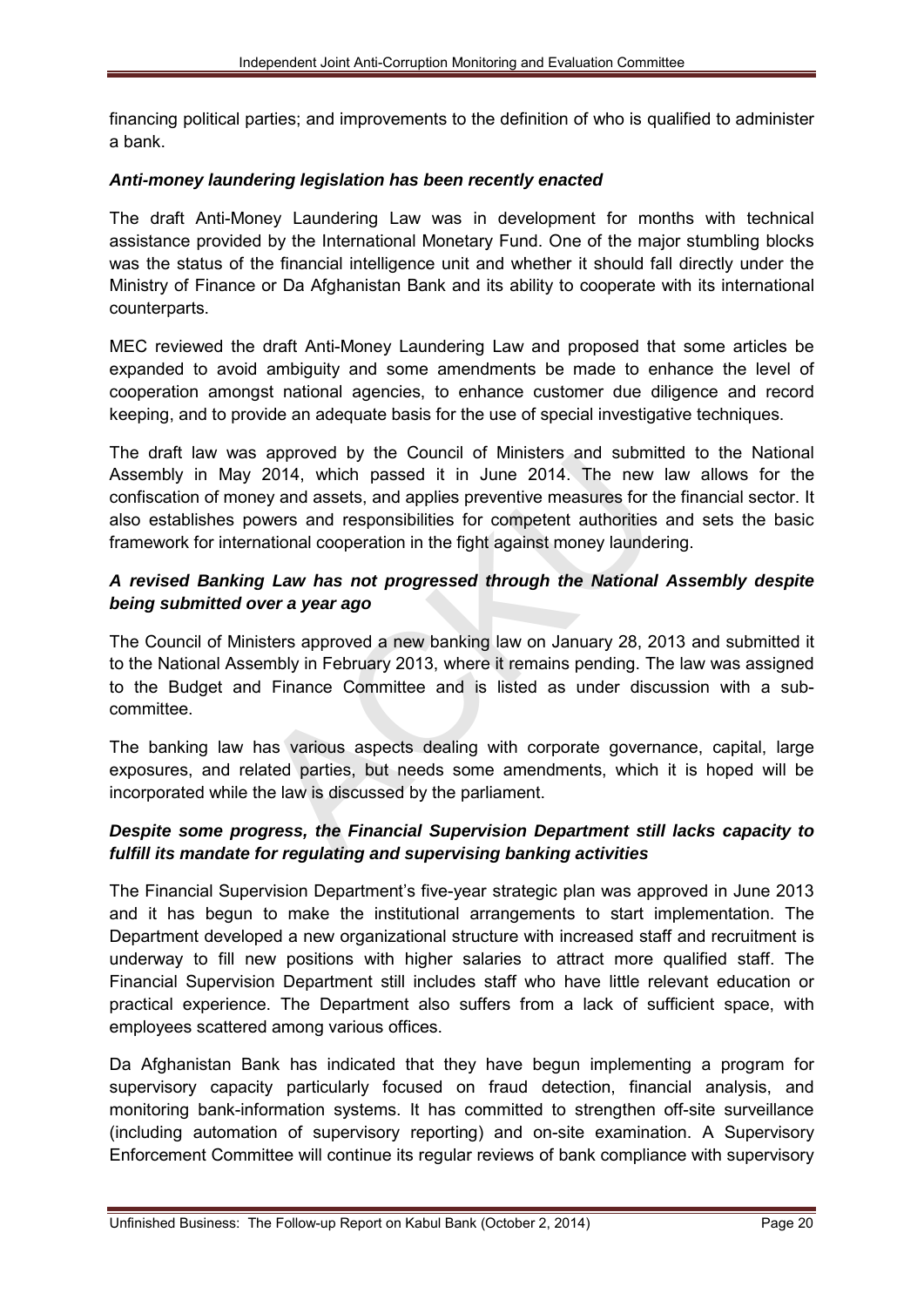financing political parties; and improvements to the definition of who is qualified to administer a bank.

#### *Anti-money laundering legislation has been recently enacted*

The draft Anti-Money Laundering Law was in development for months with technical assistance provided by the International Monetary Fund. One of the major stumbling blocks was the status of the financial intelligence unit and whether it should fall directly under the Ministry of Finance or Da Afghanistan Bank and its ability to cooperate with its international counterparts.

MEC reviewed the draft Anti-Money Laundering Law and proposed that some articles be expanded to avoid ambiguity and some amendments be made to enhance the level of cooperation amongst national agencies, to enhance customer due diligence and record keeping, and to provide an adequate basis for the use of special investigative techniques.

The draft law was approved by the Council of Ministers and submitted to the National Assembly in May 2014, which passed it in June 2014. The new law allows for the confiscation of money and assets, and applies preventive measures for the financial sector. It also establishes powers and responsibilities for competent authorities and sets the basic framework for international cooperation in the fight against money laundering. abundantly the Council of Ministers and Submit 2014, which passed it in June 2014. The new<br>rey and assets, and applies preventive measures for t<br>owers and responsibilities for competent authorities<br>national cooperation in

#### *A revised Banking Law has not progressed through the National Assembly despite being submitted over a year ago*

The Council of Ministers approved a new banking law on January 28, 2013 and submitted it to the National Assembly in February 2013, where it remains pending. The law was assigned to the Budget and Finance Committee and is listed as under discussion with a subcommittee.

The banking law has various aspects dealing with corporate governance, capital, large exposures, and related parties, but needs some amendments, which it is hoped will be incorporated while the law is discussed by the parliament.

#### *Despite some progress, the Financial Supervision Department still lacks capacity to fulfill its mandate for regulating and supervising banking activities*

The Financial Supervision Department's five-year strategic plan was approved in June 2013 and it has begun to make the institutional arrangements to start implementation. The Department developed a new organizational structure with increased staff and recruitment is underway to fill new positions with higher salaries to attract more qualified staff. The Financial Supervision Department still includes staff who have little relevant education or practical experience. The Department also suffers from a lack of sufficient space, with employees scattered among various offices.

Da Afghanistan Bank has indicated that they have begun implementing a program for supervisory capacity particularly focused on fraud detection, financial analysis, and monitoring bank-information systems. It has committed to strengthen off-site surveillance (including automation of supervisory reporting) and on-site examination. A Supervisory Enforcement Committee will continue its regular reviews of bank compliance with supervisory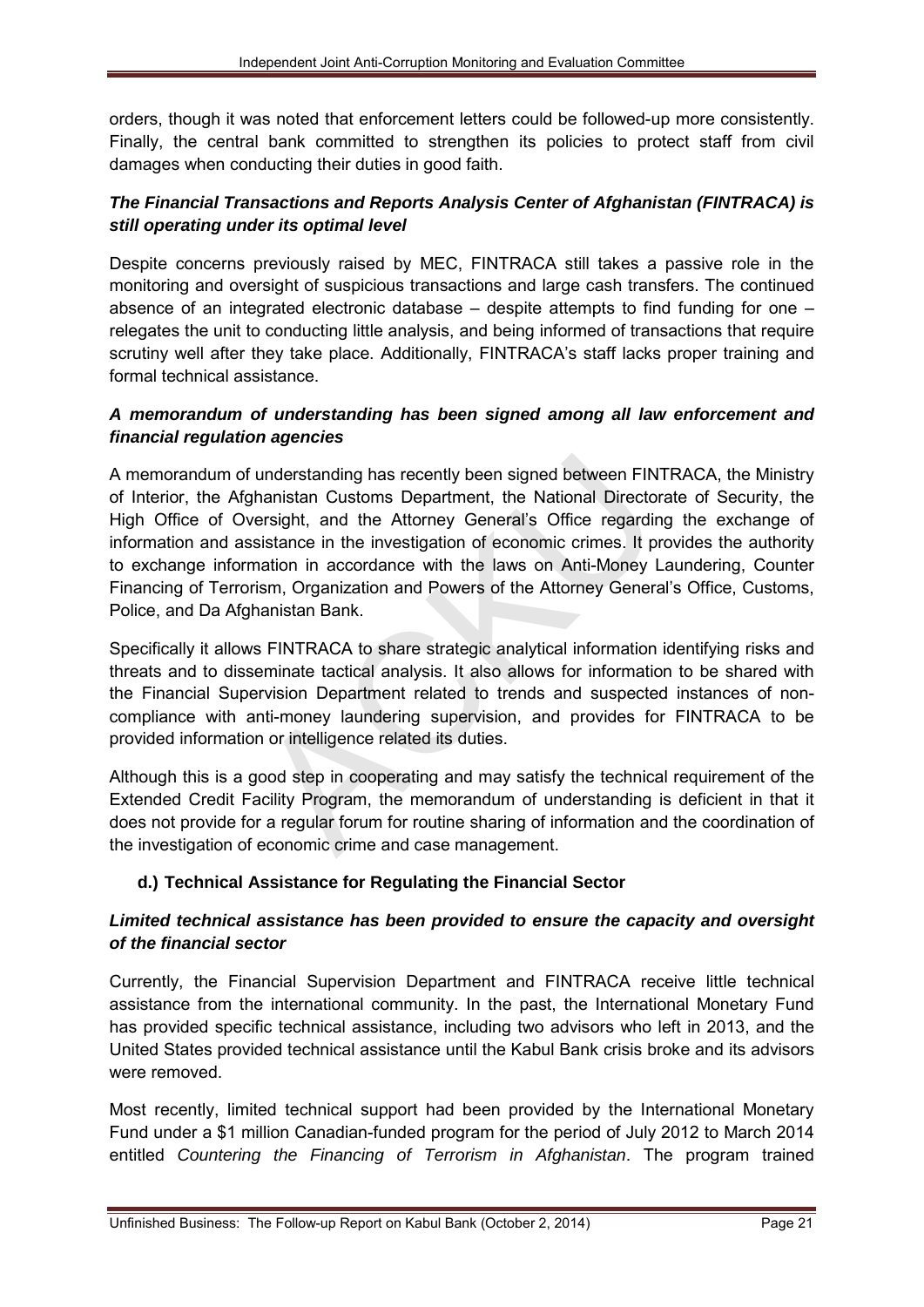orders, though it was noted that enforcement letters could be followed-up more consistently. Finally, the central bank committed to strengthen its policies to protect staff from civil damages when conducting their duties in good faith.

#### *The Financial Transactions and Reports Analysis Center of Afghanistan (FINTRACA) is still operating under its optimal level*

Despite concerns previously raised by MEC, FINTRACA still takes a passive role in the monitoring and oversight of suspicious transactions and large cash transfers. The continued absence of an integrated electronic database  $-$  despite attempts to find funding for one  $$ relegates the unit to conducting little analysis, and being informed of transactions that require scrutiny well after they take place. Additionally, FINTRACA's staff lacks proper training and formal technical assistance.

#### *A memorandum of understanding has been signed among all law enforcement and financial regulation agencies*

A memorandum of understanding has recently been signed between FINTRACA, the Ministry of Interior, the Afghanistan Customs Department, the National Directorate of Security, the High Office of Oversight, and the Attorney General's Office regarding the exchange of information and assistance in the investigation of economic crimes. It provides the authority to exchange information in accordance with the laws on Anti-Money Laundering, Counter Financing of Terrorism, Organization and Powers of the Attorney General's Office, Customs, Police, and Da Afghanistan Bank. understanding has recently been signed between FIN<br>hanistan Customs Department, the National Directo<br>versight, and the Attorney General's Office regardir<br>sistance in the investigation of economic crimes. It p<br>mation in acc

Specifically it allows FINTRACA to share strategic analytical information identifying risks and threats and to disseminate tactical analysis. It also allows for information to be shared with the Financial Supervision Department related to trends and suspected instances of noncompliance with anti-money laundering supervision, and provides for FINTRACA to be provided information or intelligence related its duties.

Although this is a good step in cooperating and may satisfy the technical requirement of the Extended Credit Facility Program, the memorandum of understanding is deficient in that it does not provide for a regular forum for routine sharing of information and the coordination of the investigation of economic crime and case management.

#### <span id="page-22-0"></span>**d.) Technical Assistance for Regulating the Financial Sector**

#### *Limited technical assistance has been provided to ensure the capacity and oversight of the financial sector*

Currently, the Financial Supervision Department and FINTRACA receive little technical assistance from the international community. In the past, the International Monetary Fund has provided specific technical assistance, including two advisors who left in 2013, and the United States provided technical assistance until the Kabul Bank crisis broke and its advisors were removed.

Most recently, limited technical support had been provided by the International Monetary Fund under a \$1 million Canadian-funded program for the period of July 2012 to March 2014 entitled *Countering the Financing of Terrorism in Afghanistan*. The program trained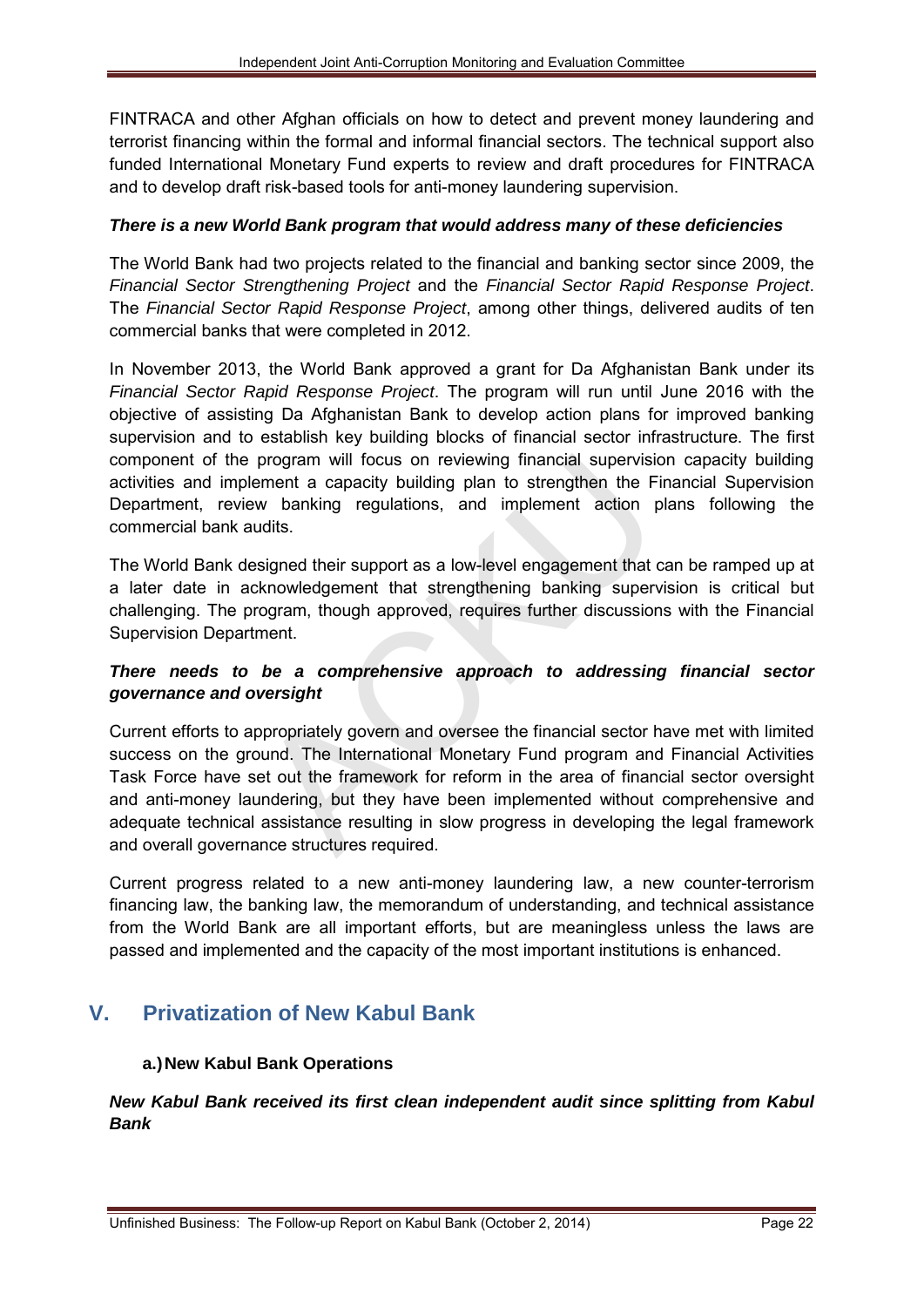FINTRACA and other Afghan officials on how to detect and prevent money laundering and terrorist financing within the formal and informal financial sectors. The technical support also funded International Monetary Fund experts to review and draft procedures for FINTRACA and to develop draft risk-based tools for anti-money laundering supervision.

#### *There is a new World Bank program that would address many of these deficiencies*

The World Bank had two projects related to the financial and banking sector since 2009, the *Financial Sector Strengthening Project* and the *Financial Sector Rapid Response Project*. The *Financial Sector Rapid Response Project*, among other things, delivered audits of ten commercial banks that were completed in 2012.

In November 2013, the World Bank approved a grant for Da Afghanistan Bank under its *Financial Sector Rapid Response Project*. The program will run until June 2016 with the objective of assisting Da Afghanistan Bank to develop action plans for improved banking supervision and to establish key building blocks of financial sector infrastructure. The first component of the program will focus on reviewing financial supervision capacity building activities and implement a capacity building plan to strengthen the Financial Supervision Department, review banking regulations, and implement action plans following the commercial bank audits.

The World Bank designed their support as a low-level engagement that can be ramped up at a later date in acknowledgement that strengthening banking supervision is critical but challenging. The program, though approved, requires further discussions with the Financial Supervision Department.

#### *There needs to be a comprehensive approach to addressing financial sector governance and oversight*

Current efforts to appropriately govern and oversee the financial sector have met with limited success on the ground. The International Monetary Fund program and Financial Activities Task Force have set out the framework for reform in the area of financial sector oversight and anti-money laundering, but they have been implemented without comprehensive and adequate technical assistance resulting in slow progress in developing the legal framework and overall governance structures required. program will focus on reviewing financial supervisi-<br>ement a capacity building plan to strengthen the F<br>w banking regulations, and implement action pudits.<br>sesigned their support as a low-level engagement that controlled<br>e

Current progress related to a new anti-money laundering law, a new counter-terrorism financing law, the banking law, the memorandum of understanding, and technical assistance from the World Bank are all important efforts, but are meaningless unless the laws are passed and implemented and the capacity of the most important institutions is enhanced.

## <span id="page-23-0"></span>**V. Privatization of New Kabul Bank**

#### <span id="page-23-1"></span>**a.)New Kabul Bank Operations**

*New Kabul Bank received its first clean independent audit since splitting from Kabul Bank*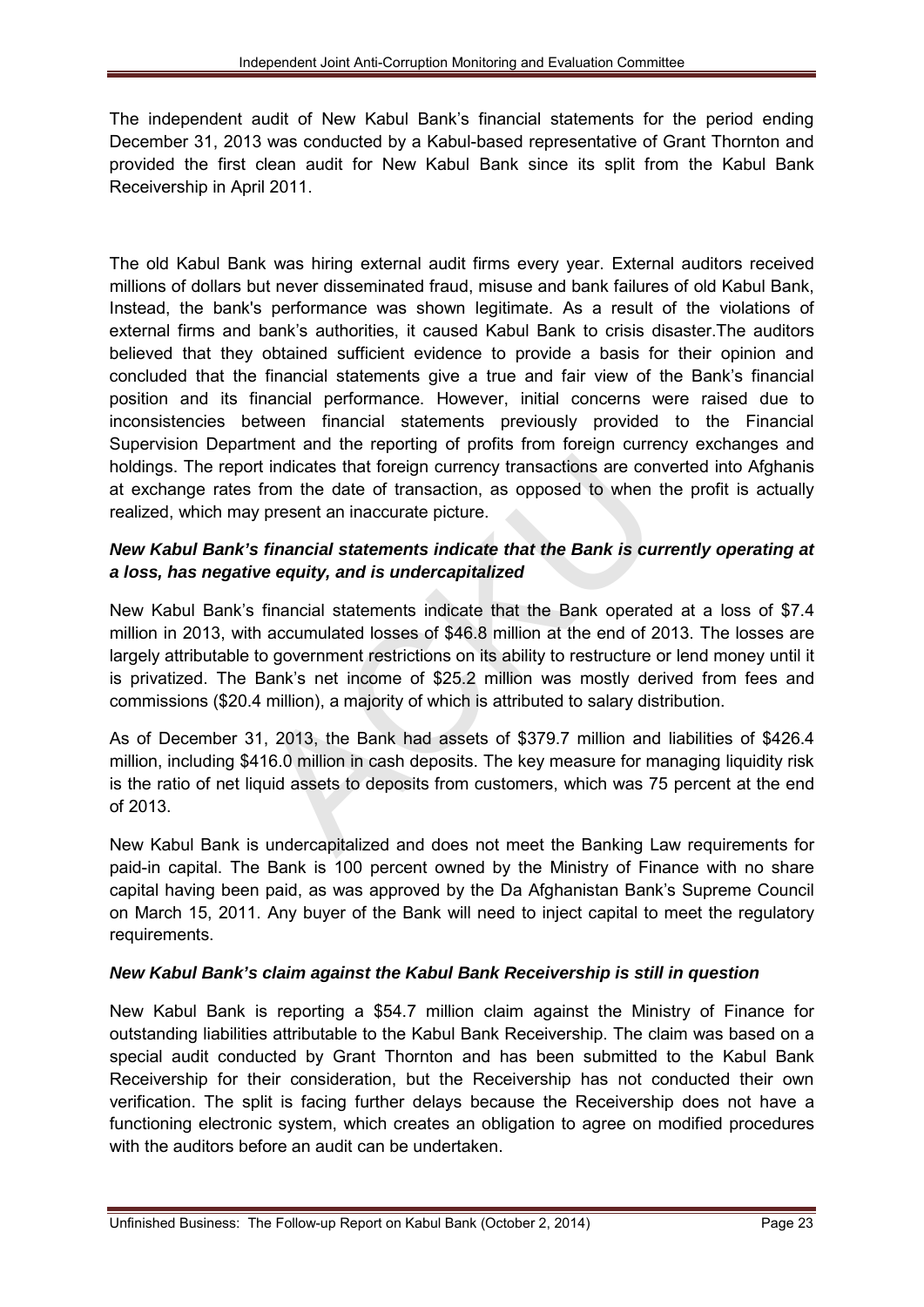The independent audit of New Kabul Bank's financial statements for the period ending December 31, 2013 was conducted by a Kabul-based representative of Grant Thornton and provided the first clean audit for New Kabul Bank since its split from the Kabul Bank Receivership in April 2011.

The old Kabul Bank was hiring external audit firms every year. External auditors received millions of dollars but never disseminated fraud, misuse and bank failures of old Kabul Bank, Instead, the bank's performance was shown legitimate. As a result of the violations of external firms and bank's authorities, it caused Kabul Bank to crisis disaster.The auditors believed that they obtained sufficient evidence to provide a basis for their opinion and concluded that the financial statements give a true and fair view of the Bank's financial position and its financial performance. However, initial concerns were raised due to inconsistencies between financial statements previously provided to the Financial Supervision Department and the reporting of profits from foreign currency exchanges and holdings. The report indicates that foreign currency transactions are converted into Afghanis at exchange rates from the date of transaction, as opposed to when the profit is actually realized, which may present an inaccurate picture.

#### *New Kabul Bank's financial statements indicate that the Bank is currently operating at a loss, has negative equity, and is undercapitalized*

New Kabul Bank's financial statements indicate that the Bank operated at a loss of \$7.4 million in 2013, with accumulated losses of \$46.8 million at the end of 2013. The losses are largely attributable to government restrictions on its ability to restructure or lend money until it is privatized. The Bank's net income of \$25.2 million was mostly derived from fees and commissions (\$20.4 million), a majority of which is attributed to salary distribution. indicates that foreign currency transactions are comprom the date of transaction, as opposed to when y present an inaccurate picture.<br> **Solution: Solution** inaccurate picture.<br> **Solution: Solution** in inaccurate pictur

As of December 31, 2013, the Bank had assets of \$379.7 million and liabilities of \$426.4 million, including \$416.0 million in cash deposits. The key measure for managing liquidity risk is the ratio of net liquid assets to deposits from customers, which was 75 percent at the end of 2013.

New Kabul Bank is undercapitalized and does not meet the Banking Law requirements for paid-in capital. The Bank is 100 percent owned by the Ministry of Finance with no share capital having been paid, as was approved by the Da Afghanistan Bank's Supreme Council on March 15, 2011. Any buyer of the Bank will need to inject capital to meet the regulatory requirements.

#### *New Kabul Bank's claim against the Kabul Bank Receivership is still in question*

New Kabul Bank is reporting a \$54.7 million claim against the Ministry of Finance for outstanding liabilities attributable to the Kabul Bank Receivership. The claim was based on a special audit conducted by Grant Thornton and has been submitted to the Kabul Bank Receivership for their consideration, but the Receivership has not conducted their own verification. The split is facing further delays because the Receivership does not have a functioning electronic system, which creates an obligation to agree on modified procedures with the auditors before an audit can be undertaken.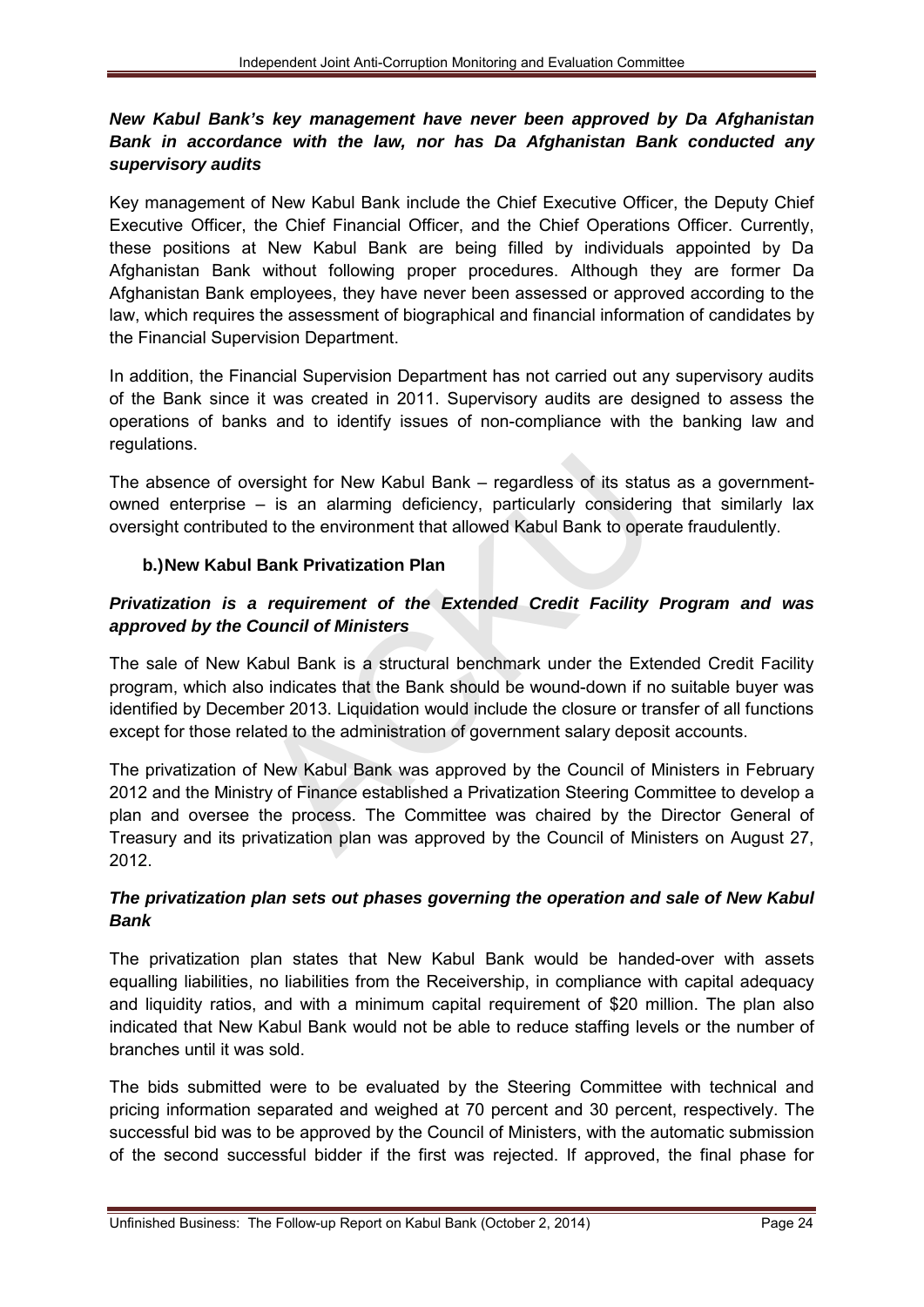#### *New Kabul Bank's key management have never been approved by Da Afghanistan Bank in accordance with the law, nor has Da Afghanistan Bank conducted any supervisory audits*

Key management of New Kabul Bank include the Chief Executive Officer, the Deputy Chief Executive Officer, the Chief Financial Officer, and the Chief Operations Officer. Currently, these positions at New Kabul Bank are being filled by individuals appointed by Da Afghanistan Bank without following proper procedures. Although they are former Da Afghanistan Bank employees, they have never been assessed or approved according to the law, which requires the assessment of biographical and financial information of candidates by the Financial Supervision Department.

In addition, the Financial Supervision Department has not carried out any supervisory audits of the Bank since it was created in 2011. Supervisory audits are designed to assess the operations of banks and to identify issues of non-compliance with the banking law and regulations.

The absence of oversight for New Kabul Bank – regardless of its status as a governmentowned enterprise – is an alarming deficiency, particularly considering that similarly lax oversight contributed to the environment that allowed Kabul Bank to operate fraudulently.

#### <span id="page-25-0"></span>**b.)New Kabul Bank Privatization Plan**

#### *Privatization is a requirement of the Extended Credit Facility Program and was approved by the Council of Ministers*

The sale of New Kabul Bank is a structural benchmark under the Extended Credit Facility program, which also indicates that the Bank should be wound-down if no suitable buyer was identified by December 2013. Liquidation would include the closure or transfer of all functions except for those related to the administration of government salary deposit accounts.

The privatization of New Kabul Bank was approved by the Council of Ministers in February 2012 and the Ministry of Finance established a Privatization Steering Committee to develop a plan and oversee the process. The Committee was chaired by the Director General of Treasury and its privatization plan was approved by the Council of Ministers on August 27, 2012. versight for New Kabul Bank – regardless of its statu<br>
– is an alarming deficiency, particularly considerired to the environment that allowed Kabul Bank to oper<br> **Bank Privatization Plan**<br> **a requirement of the Extended Cr** 

#### *The privatization plan sets out phases governing the operation and sale of New Kabul Bank*

The privatization plan states that New Kabul Bank would be handed-over with assets equalling liabilities, no liabilities from the Receivership, in compliance with capital adequacy and liquidity ratios, and with a minimum capital requirement of \$20 million. The plan also indicated that New Kabul Bank would not be able to reduce staffing levels or the number of branches until it was sold.

The bids submitted were to be evaluated by the Steering Committee with technical and pricing information separated and weighed at 70 percent and 30 percent, respectively. The successful bid was to be approved by the Council of Ministers, with the automatic submission of the second successful bidder if the first was rejected. If approved, the final phase for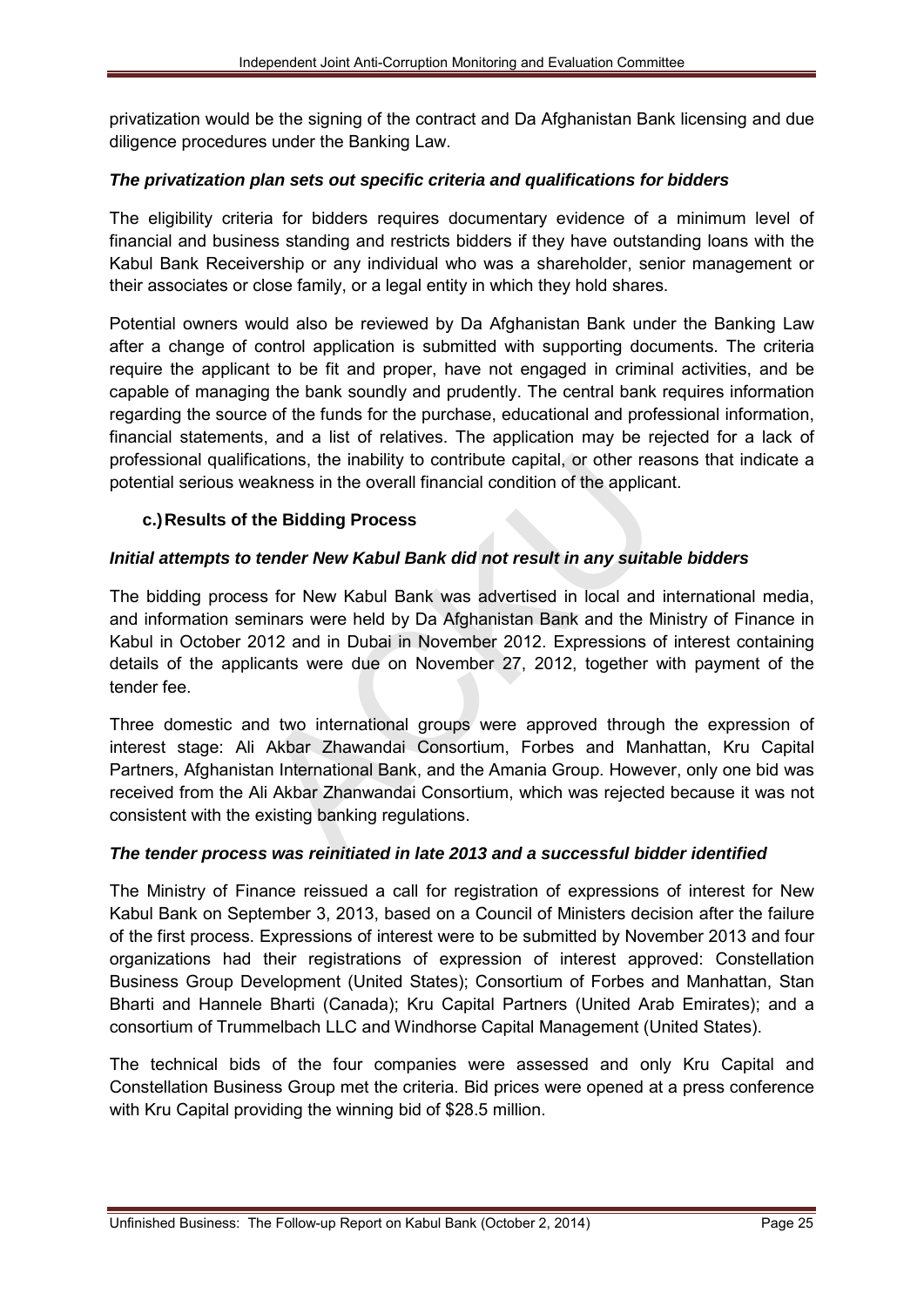privatization would be the signing of the contract and Da Afghanistan Bank licensing and due diligence procedures under the Banking Law.

#### *The privatization plan sets out specific criteria and qualifications for bidders*

The eligibility criteria for bidders requires documentary evidence of a minimum level of financial and business standing and restricts bidders if they have outstanding loans with the Kabul Bank Receivership or any individual who was a shareholder, senior management or their associates or close family, or a legal entity in which they hold shares.

Potential owners would also be reviewed by Da Afghanistan Bank under the Banking Law after a change of control application is submitted with supporting documents. The criteria require the applicant to be fit and proper, have not engaged in criminal activities, and be capable of managing the bank soundly and prudently. The central bank requires information regarding the source of the funds for the purchase, educational and professional information, financial statements, and a list of relatives. The application may be rejected for a lack of professional qualifications, the inability to contribute capital, or other reasons that indicate a potential serious weakness in the overall financial condition of the applicant.

#### <span id="page-26-0"></span>**c.)Results of the Bidding Process**

#### *Initial attempts to tender New Kabul Bank did not result in any suitable bidders*

The bidding process for New Kabul Bank was advertised in local and international media, and information seminars were held by Da Afghanistan Bank and the Ministry of Finance in Kabul in October 2012 and in Dubai in November 2012. Expressions of interest containing details of the applicants were due on November 27, 2012, together with payment of the tender fee.

Three domestic and two international groups were approved through the expression of interest stage: Ali Akbar Zhawandai Consortium, Forbes and Manhattan, Kru Capital Partners, Afghanistan International Bank, and the Amania Group. However, only one bid was received from the Ali Akbar Zhanwandai Consortium, which was rejected because it was not consistent with the existing banking regulations. cations, the inability to contribute capital, or other readences in the overall financial condition of the applica<br>
the Bidding Process<br>
tender New Kabul Bank did not result in any suita<br>
ss for New Kabul Bank was advertis

#### *The tender process was reinitiated in late 2013 and a successful bidder identified*

The Ministry of Finance reissued a call for registration of expressions of interest for New Kabul Bank on September 3, 2013, based on a Council of Ministers decision after the failure of the first process. Expressions of interest were to be submitted by November 2013 and four organizations had their registrations of expression of interest approved: Constellation Business Group Development (United States); Consortium of Forbes and Manhattan, Stan Bharti and Hannele Bharti (Canada); Kru Capital Partners (United Arab Emirates); and a consortium of Trummelbach LLC and Windhorse Capital Management (United States).

The technical bids of the four companies were assessed and only Kru Capital and Constellation Business Group met the criteria. Bid prices were opened at a press conference with Kru Capital providing the winning bid of \$28.5 million.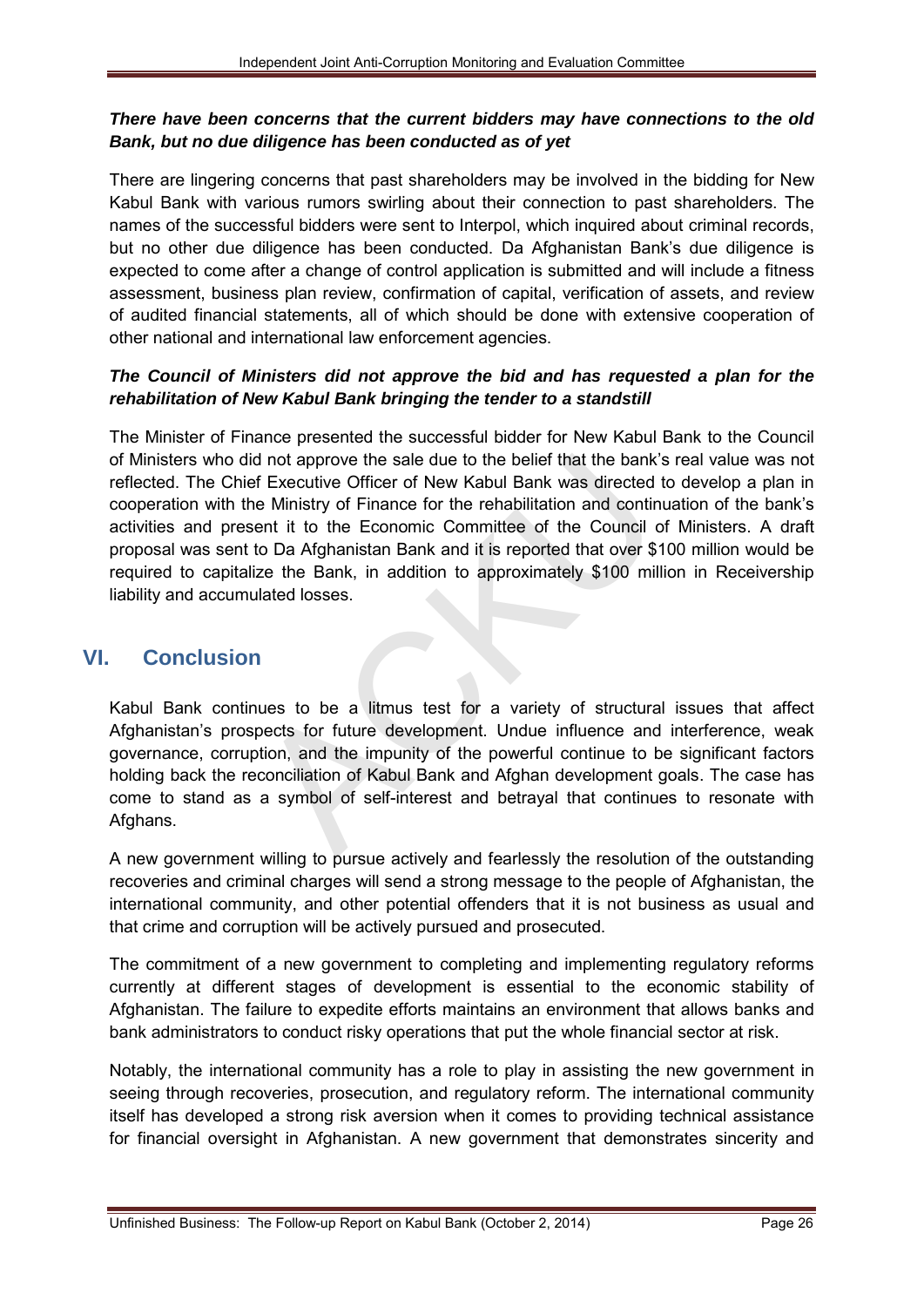#### *There have been concerns that the current bidders may have connections to the old Bank, but no due diligence has been conducted as of yet*

There are lingering concerns that past shareholders may be involved in the bidding for New Kabul Bank with various rumors swirling about their connection to past shareholders. The names of the successful bidders were sent to Interpol, which inquired about criminal records, but no other due diligence has been conducted. Da Afghanistan Bank's due diligence is expected to come after a change of control application is submitted and will include a fitness assessment, business plan review, confirmation of capital, verification of assets, and review of audited financial statements, all of which should be done with extensive cooperation of other national and international law enforcement agencies.

#### *The Council of Ministers did not approve the bid and has requested a plan for the rehabilitation of New Kabul Bank bringing the tender to a standstill*

The Minister of Finance presented the successful bidder for New Kabul Bank to the Council of Ministers who did not approve the sale due to the belief that the bank's real value was not reflected. The Chief Executive Officer of New Kabul Bank was directed to develop a plan in cooperation with the Ministry of Finance for the rehabilitation and continuation of the bank's activities and present it to the Economic Committee of the Council of Ministers. A draft proposal was sent to Da Afghanistan Bank and it is reported that over \$100 million would be required to capitalize the Bank, in addition to approximately \$100 million in Receivership liability and accumulated losses. d not approve the sale due to the belief that the bank<br>of Executive Officer of New Kabul Bank was directed<br>ne Ministry of Finance for the rehabilitation and contir<br>tent it to the Economic Committee of the Council (<br>to Da A

## <span id="page-27-0"></span>**VI. Conclusion**

Kabul Bank continues to be a litmus test for a variety of structural issues that affect Afghanistan's prospects for future development. Undue influence and interference, weak governance, corruption, and the impunity of the powerful continue to be significant factors holding back the reconciliation of Kabul Bank and Afghan development goals. The case has come to stand as a symbol of self-interest and betrayal that continues to resonate with Afghans.

A new government willing to pursue actively and fearlessly the resolution of the outstanding recoveries and criminal charges will send a strong message to the people of Afghanistan, the international community, and other potential offenders that it is not business as usual and that crime and corruption will be actively pursued and prosecuted.

The commitment of a new government to completing and implementing regulatory reforms currently at different stages of development is essential to the economic stability of Afghanistan. The failure to expedite efforts maintains an environment that allows banks and bank administrators to conduct risky operations that put the whole financial sector at risk.

Notably, the international community has a role to play in assisting the new government in seeing through recoveries, prosecution, and regulatory reform. The international community itself has developed a strong risk aversion when it comes to providing technical assistance for financial oversight in Afghanistan. A new government that demonstrates sincerity and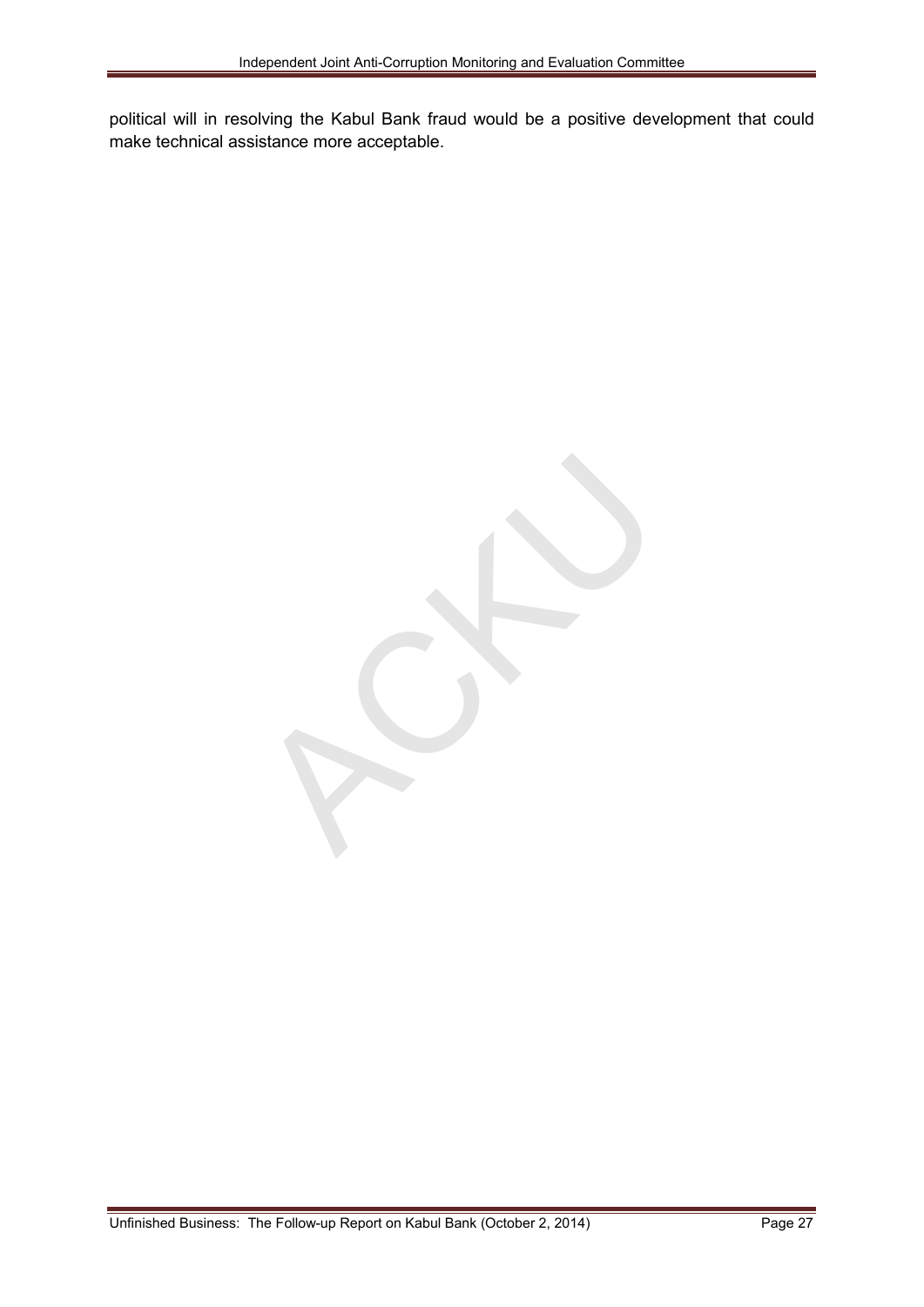<span id="page-28-0"></span>political will in resolving the Kabul Bank fraud would be a positive development that could make technical assistance more acceptable.

ACKU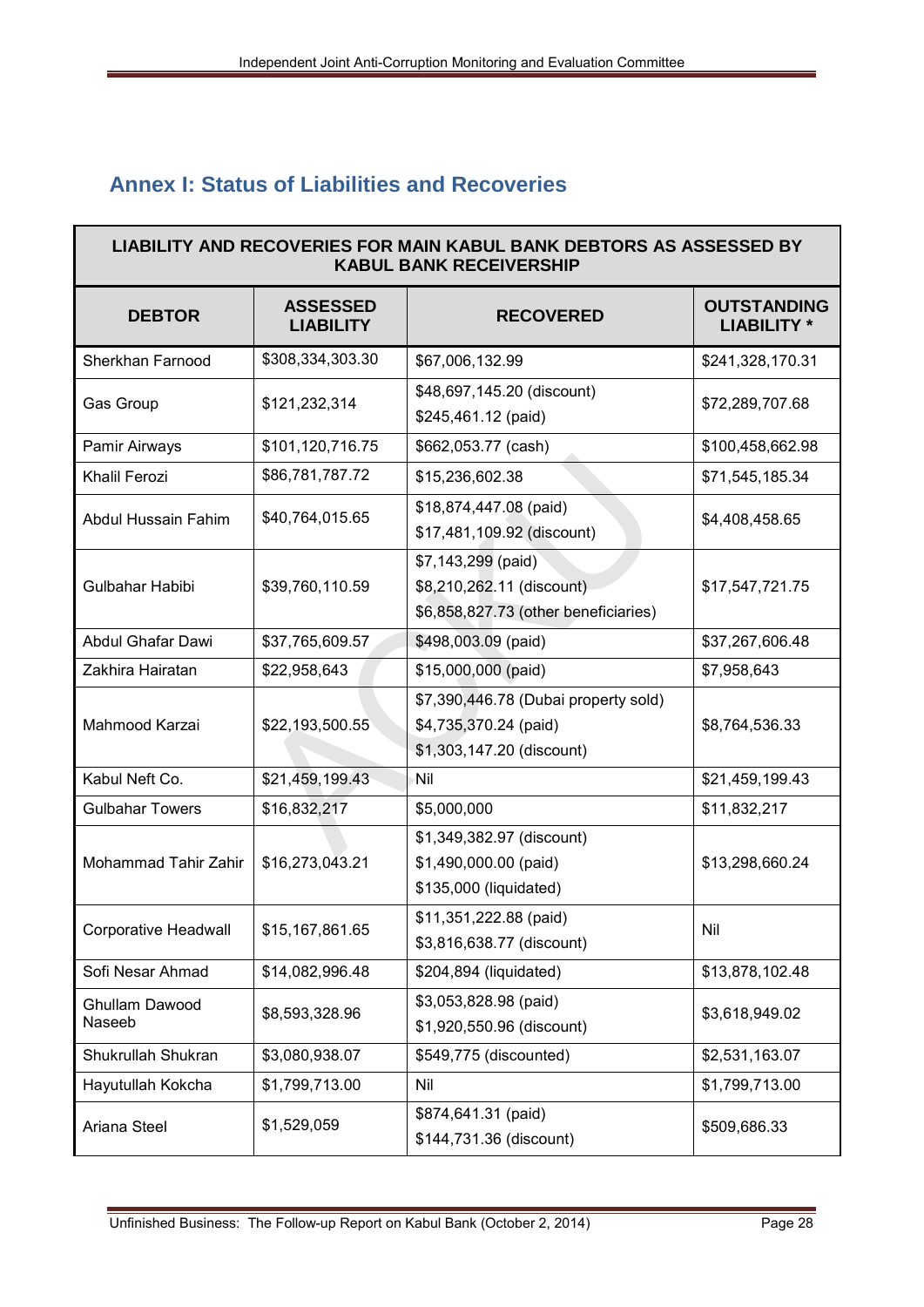## **Annex I: Status of Liabilities and Recoveries**

| <b>LIABILITY AND RECOVERIES FOR MAIN KABUL BANK DEBTORS AS ASSESSED BY</b><br><b>KABUL BANK RECEIVERSHIP</b> |                                     |                                                                                            |                                          |
|--------------------------------------------------------------------------------------------------------------|-------------------------------------|--------------------------------------------------------------------------------------------|------------------------------------------|
| <b>DEBTOR</b>                                                                                                | <b>ASSESSED</b><br><b>LIABILITY</b> | <b>RECOVERED</b>                                                                           | <b>OUTSTANDING</b><br><b>LIABILITY *</b> |
| Sherkhan Farnood                                                                                             | \$308,334,303.30                    | \$67,006,132.99                                                                            | \$241,328,170.31                         |
| Gas Group                                                                                                    | \$121,232,314                       | \$48,697,145.20 (discount)<br>\$245,461.12 (paid)                                          |                                          |
| Pamir Airways                                                                                                | \$101,120,716.75                    | \$662,053.77 (cash)                                                                        | \$100,458,662.98                         |
| <b>Khalil Ferozi</b>                                                                                         | \$86,781,787.72                     | \$15,236,602.38                                                                            | \$71,545,185.34                          |
| Abdul Hussain Fahim                                                                                          | \$40,764,015.65                     | \$18,874,447.08 (paid)<br>\$17,481,109.92 (discount)                                       | \$4,408,458.65                           |
| Gulbahar Habibi                                                                                              | \$39,760,110.59                     | \$7,143,299 (paid)<br>\$8,210,262.11 (discount)<br>\$6,858,827.73 (other beneficiaries)    | \$17,547,721.75                          |
| Abdul Ghafar Dawi                                                                                            | \$37,765,609.57                     | \$498,003.09 (paid)                                                                        | \$37,267,606.48                          |
| Zakhira Hairatan                                                                                             | \$22,958,643                        | \$15,000,000 (paid)                                                                        | \$7,958,643                              |
| Mahmood Karzai                                                                                               | \$22,193,500.55                     | \$7,390,446.78 (Dubai property sold)<br>\$4,735,370.24 (paid)<br>\$1,303,147.20 (discount) | \$8,764,536.33                           |
| Kabul Neft Co.                                                                                               | \$21,459,199.43                     | Nil                                                                                        | \$21,459,199.43                          |
| <b>Gulbahar Towers</b>                                                                                       | \$16,832,217                        | \$5,000,000                                                                                | \$11,832,217                             |
| Mohammad Tahir Zahir                                                                                         | \$16,273,043.21                     | \$1,349,382.97 (discount)<br>\$1,490,000.00 (paid)<br>\$135,000 (liquidated)               | \$13,298,660.24                          |
| <b>Corporative Headwall</b>                                                                                  | \$15,167,861.65                     | \$11,351,222.88 (paid)<br>\$3,816,638.77 (discount)                                        | Nil                                      |
| Sofi Nesar Ahmad                                                                                             | \$14,082,996.48                     | \$204,894 (liquidated)                                                                     | \$13,878,102.48                          |
| Ghullam Dawood<br>Naseeb                                                                                     | \$8,593,328.96                      | \$3,053,828.98 (paid)<br>\$1,920,550.96 (discount)                                         | \$3,618,949.02                           |
| Shukrullah Shukran                                                                                           | \$3,080,938.07                      | \$549,775 (discounted)                                                                     | \$2,531,163.07                           |
| Hayutullah Kokcha                                                                                            | \$1,799,713.00                      | Nil                                                                                        | \$1,799,713.00                           |
| Ariana Steel                                                                                                 | \$1,529,059                         | \$874,641.31 (paid)<br>\$144,731.36 (discount)                                             | \$509,686.33                             |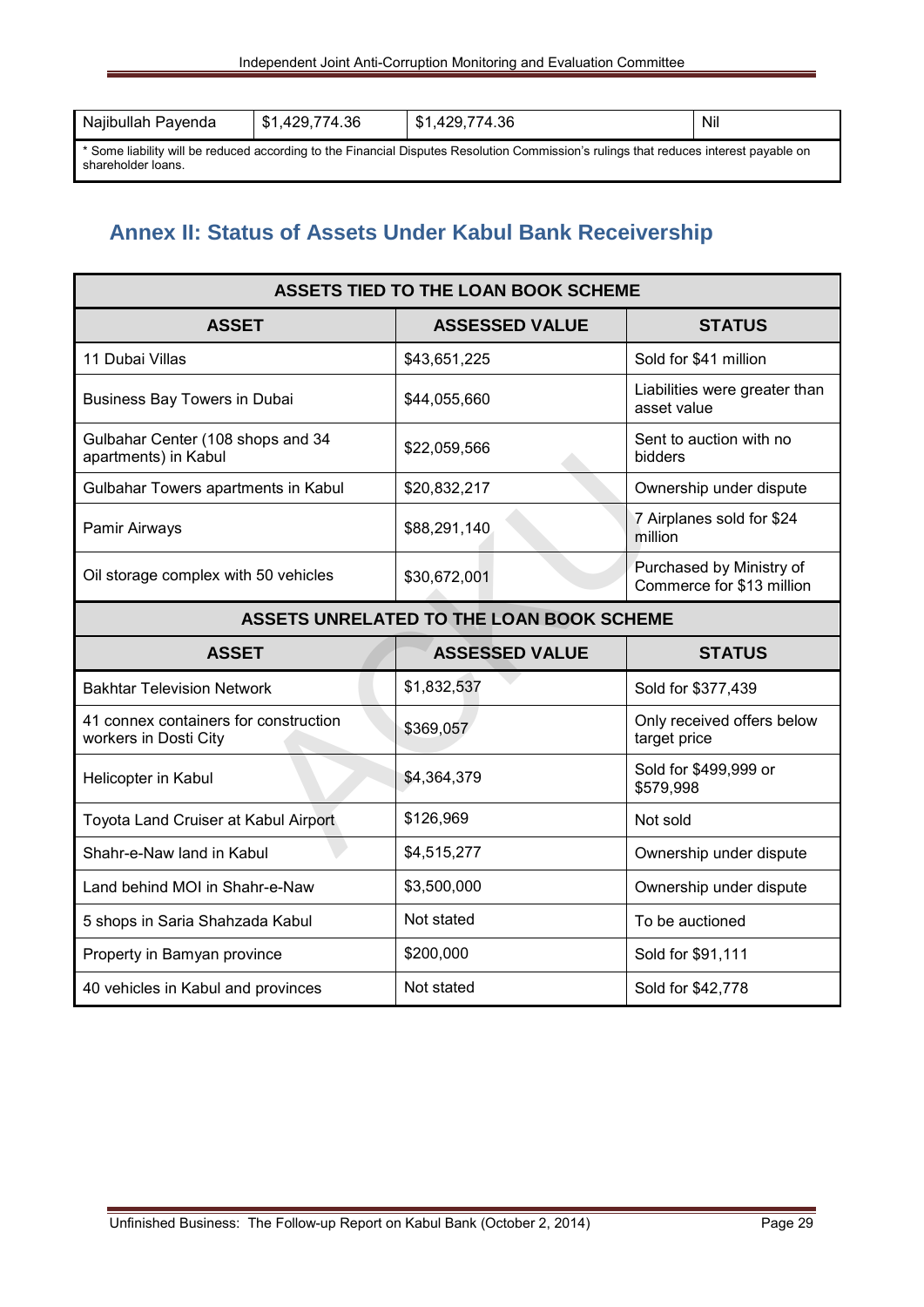| Najibullah Payenda                                                                                                                                          | \$1,429,774.36 | \$1,429,774.36 | Nil |  |
|-------------------------------------------------------------------------------------------------------------------------------------------------------------|----------------|----------------|-----|--|
| * Some liability will be reduced according to the Financial Disputes Resolution Commission's rulings that reduces interest payable on<br>shareholder loans. |                |                |     |  |

## <span id="page-30-0"></span>**Annex II: Status of Assets Under Kabul Bank Receivership**

| <b>ASSETS TIED TO THE LOAN BOOK SCHEME</b>                     |                                          |                                                       |
|----------------------------------------------------------------|------------------------------------------|-------------------------------------------------------|
| <b>ASSET</b>                                                   | <b>ASSESSED VALUE</b>                    | <b>STATUS</b>                                         |
| 11 Dubai Villas                                                | \$43,651,225                             | Sold for \$41 million                                 |
| <b>Business Bay Towers in Dubai</b>                            | \$44,055,660                             | Liabilities were greater than<br>asset value          |
| Gulbahar Center (108 shops and 34<br>apartments) in Kabul      | \$22,059,566                             | Sent to auction with no<br>bidders                    |
| Gulbahar Towers apartments in Kabul                            | \$20,832,217                             | Ownership under dispute                               |
| Pamir Airways                                                  | \$88,291,140                             | 7 Airplanes sold for \$24<br>million                  |
| Oil storage complex with 50 vehicles                           | \$30,672,001                             | Purchased by Ministry of<br>Commerce for \$13 million |
|                                                                | ASSETS UNRELATED TO THE LOAN BOOK SCHEME |                                                       |
| <b>ASSET</b>                                                   | <b>ASSESSED VALUE</b>                    |                                                       |
|                                                                |                                          | <b>STATUS</b>                                         |
| <b>Bakhtar Television Network</b>                              | \$1,832,537                              | Sold for \$377,439                                    |
| 41 connex containers for construction<br>workers in Dosti City | \$369,057                                | Only received offers below<br>target price            |
| Helicopter in Kabul                                            | \$4,364,379                              | Sold for \$499,999 or<br>\$579,998                    |
| Toyota Land Cruiser at Kabul Airport                           | \$126,969                                | Not sold                                              |
| Shahr-e-Naw land in Kabul                                      | \$4,515,277                              | Ownership under dispute                               |
| Land behind MOI in Shahr-e-Naw                                 | \$3,500,000                              | Ownership under dispute                               |
| 5 shops in Saria Shahzada Kabul                                | Not stated                               | To be auctioned                                       |
| Property in Bamyan province                                    | \$200,000                                | Sold for \$91,111                                     |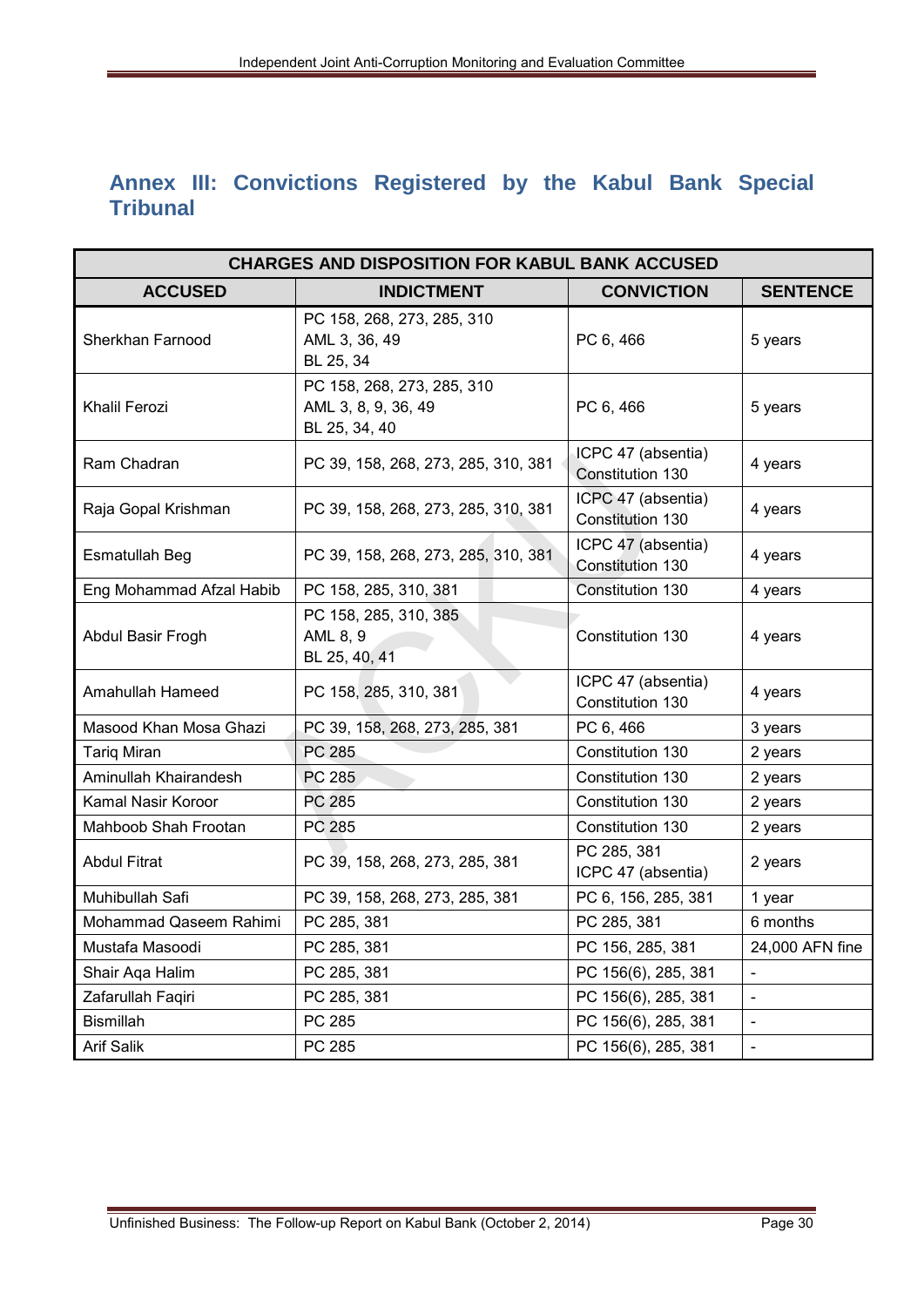## <span id="page-31-0"></span>**Annex III: Convictions Registered by the Kabul Bank Special Tribunal**

| <b>CHARGES AND DISPOSITION FOR KABUL BANK ACCUSED</b> |                                                                    |                                        |                 |
|-------------------------------------------------------|--------------------------------------------------------------------|----------------------------------------|-----------------|
| <b>ACCUSED</b>                                        | <b>INDICTMENT</b>                                                  | <b>CONVICTION</b>                      | <b>SENTENCE</b> |
| Sherkhan Farnood                                      | PC 158, 268, 273, 285, 310<br>AML 3, 36, 49<br>BL 25, 34           | PC 6, 466                              | 5 years         |
| <b>Khalil Ferozi</b>                                  | PC 158, 268, 273, 285, 310<br>AML 3, 8, 9, 36, 49<br>BL 25, 34, 40 | PC 6, 466                              | 5 years         |
| Ram Chadran                                           | PC 39, 158, 268, 273, 285, 310, 381                                | ICPC 47 (absentia)<br>Constitution 130 | 4 years         |
| Raja Gopal Krishman                                   | PC 39, 158, 268, 273, 285, 310, 381                                | ICPC 47 (absentia)<br>Constitution 130 | 4 years         |
| Esmatullah Beg                                        | PC 39, 158, 268, 273, 285, 310, 381                                | ICPC 47 (absentia)<br>Constitution 130 | 4 years         |
| Eng Mohammad Afzal Habib                              | PC 158, 285, 310, 381                                              | Constitution 130                       | 4 years         |
| Abdul Basir Frogh                                     | PC 158, 285, 310, 385<br>AML 8, 9<br>BL 25, 40, 41                 | Constitution 130                       | 4 years         |
| Amahullah Hameed                                      | PC 158, 285, 310, 381                                              | ICPC 47 (absentia)<br>Constitution 130 | 4 years         |
| Masood Khan Mosa Ghazi                                | PC 39, 158, 268, 273, 285, 381                                     | PC 6, 466                              | 3 years         |
| <b>Tariq Miran</b>                                    | PC 285                                                             | Constitution 130                       | 2 years         |
| Aminullah Khairandesh                                 | PC 285                                                             | Constitution 130                       | 2 years         |
| Kamal Nasir Koroor                                    | PC 285                                                             | Constitution 130                       | 2 years         |
| Mahboob Shah Frootan                                  | PC 285                                                             | Constitution 130                       | 2 years         |
| <b>Abdul Fitrat</b>                                   | PC 39, 158, 268, 273, 285, 381                                     | PC 285, 381<br>ICPC 47 (absentia)      | 2 years         |
| Muhibullah Safi                                       | PC 39, 158, 268, 273, 285, 381                                     | PC 6, 156, 285, 381                    | 1 year          |
| Mohammad Qaseem Rahimi                                | PC 285, 381                                                        | PC 285, 381                            | 6 months        |
| Mustafa Masoodi                                       | PC 285, 381                                                        | PC 156, 285, 381                       | 24,000 AFN fine |
| Shair Aqa Halim                                       | PC 285, 381                                                        | PC 156(6), 285, 381                    |                 |
| Zafarullah Faqiri                                     | PC 285, 381                                                        | PC 156(6), 285, 381                    |                 |
| <b>Bismillah</b>                                      | PC 285                                                             | PC 156(6), 285, 381                    | $\blacksquare$  |
| <b>Arif Salik</b>                                     | PC 285                                                             | PC 156(6), 285, 381                    | $\overline{a}$  |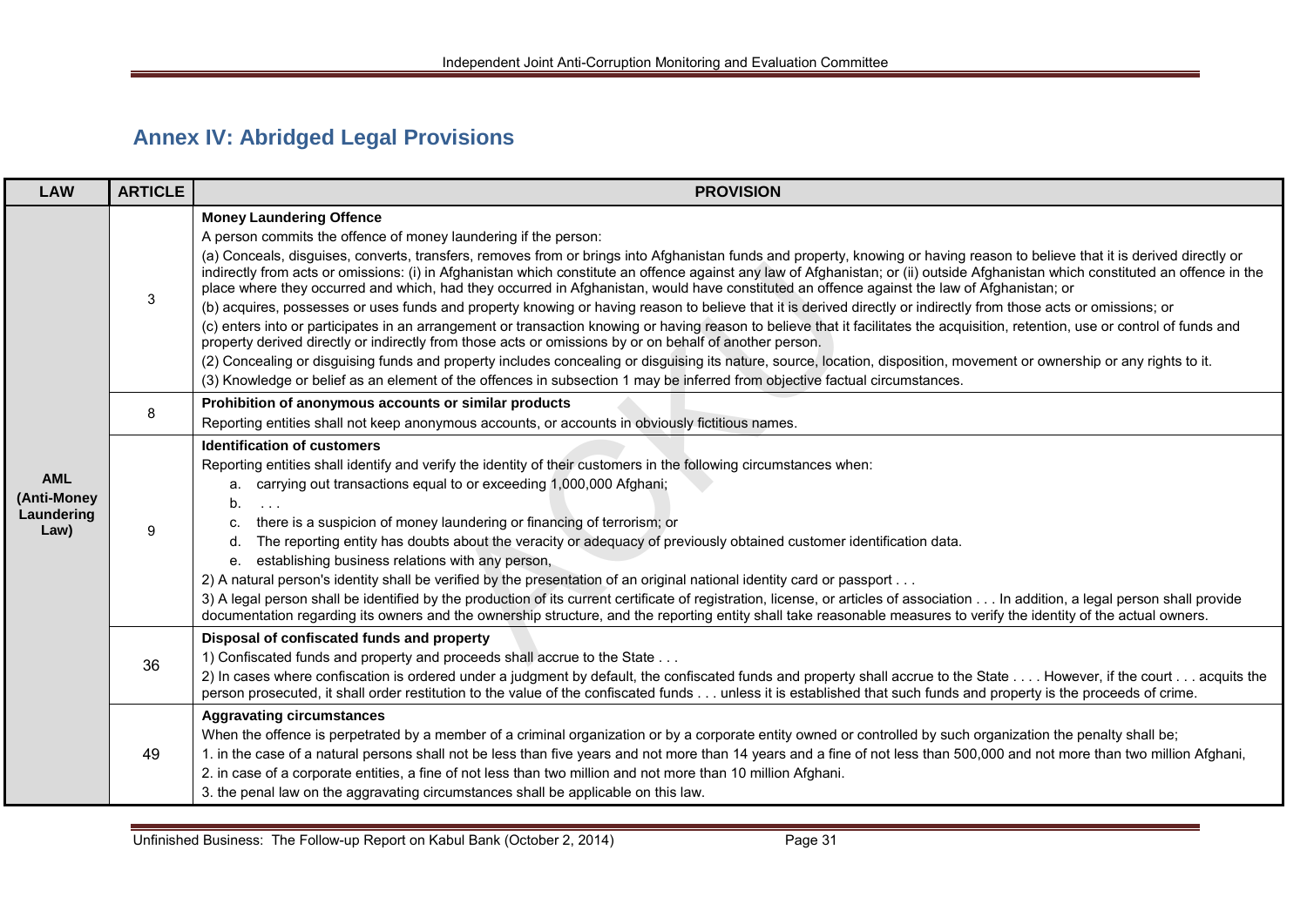## **Annex IV: Abridged Legal Provisions**

<span id="page-32-0"></span>

| <b>LAW</b>                                      | <b>ARTICLE</b> | <b>PROVISION</b>                                                                                                                                                                                                                                                                                                                                                                                                                                                                                                                                                                                                                                                                                                                                                                                                                                                                                                                                                                                                                                                                                                                                                                                                                                                                                                                                                                                     |
|-------------------------------------------------|----------------|------------------------------------------------------------------------------------------------------------------------------------------------------------------------------------------------------------------------------------------------------------------------------------------------------------------------------------------------------------------------------------------------------------------------------------------------------------------------------------------------------------------------------------------------------------------------------------------------------------------------------------------------------------------------------------------------------------------------------------------------------------------------------------------------------------------------------------------------------------------------------------------------------------------------------------------------------------------------------------------------------------------------------------------------------------------------------------------------------------------------------------------------------------------------------------------------------------------------------------------------------------------------------------------------------------------------------------------------------------------------------------------------------|
| <b>AML</b><br>(Anti-Money<br>Laundering<br>Law) | 3              | <b>Money Laundering Offence</b><br>A person commits the offence of money laundering if the person:<br>(a) Conceals, disguises, converts, transfers, removes from or brings into Afghanistan funds and property, knowing or having reason to believe that it is derived directly or<br>indirectly from acts or omissions: (i) in Afghanistan which constitute an offence against any law of Afghanistan; or (ii) outside Afghanistan which constituted an offence in the<br>place where they occurred and which, had they occurred in Afghanistan, would have constituted an offence against the law of Afghanistan; or<br>(b) acquires, possesses or uses funds and property knowing or having reason to believe that it is derived directly or indirectly from those acts or omissions; or<br>(c) enters into or participates in an arrangement or transaction knowing or having reason to believe that it facilitates the acquisition, retention, use or control of funds and<br>property derived directly or indirectly from those acts or omissions by or on behalf of another person.<br>(2) Concealing or disguising funds and property includes concealing or disguising its nature, source, location, disposition, movement or ownership or any rights to it.<br>(3) Knowledge or belief as an element of the offences in subsection 1 may be inferred from objective factual circumstances. |
|                                                 | 8              | Prohibition of anonymous accounts or similar products<br>Reporting entities shall not keep anonymous accounts, or accounts in obviously fictitious names.                                                                                                                                                                                                                                                                                                                                                                                                                                                                                                                                                                                                                                                                                                                                                                                                                                                                                                                                                                                                                                                                                                                                                                                                                                            |
|                                                 | 9              | <b>Identification of customers</b><br>Reporting entities shall identify and verify the identity of their customers in the following circumstances when:<br>a. carrying out transactions equal to or exceeding 1,000,000 Afghani;<br>b.<br>there is a suspicion of money laundering or financing of terrorism; or<br>The reporting entity has doubts about the veracity or adequacy of previously obtained customer identification data.<br>d<br>establishing business relations with any person,<br>е.<br>2) A natural person's identity shall be verified by the presentation of an original national identity card or passport<br>3) A legal person shall be identified by the production of its current certificate of registration, license, or articles of association In addition, a legal person shall provide<br>documentation regarding its owners and the ownership structure, and the reporting entity shall take reasonable measures to verify the identity of the actual owners.                                                                                                                                                                                                                                                                                                                                                                                                        |
|                                                 | 36             | Disposal of confiscated funds and property<br>1) Confiscated funds and property and proceeds shall accrue to the State<br>2) In cases where confiscation is ordered under a judgment by default, the confiscated funds and property shall accrue to the State However, if the court acquits the<br>person prosecuted, it shall order restitution to the value of the confiscated funds unless it is established that such funds and property is the proceeds of crime.                                                                                                                                                                                                                                                                                                                                                                                                                                                                                                                                                                                                                                                                                                                                                                                                                                                                                                                               |
|                                                 | 49             | <b>Aggravating circumstances</b><br>When the offence is perpetrated by a member of a criminal organization or by a corporate entity owned or controlled by such organization the penalty shall be;<br>1. in the case of a natural persons shall not be less than five years and not more than 14 years and a fine of not less than 500,000 and not more than two million Afghani,<br>2. in case of a corporate entities, a fine of not less than two million and not more than 10 million Afghani.<br>3. the penal law on the aggravating circumstances shall be applicable on this law.                                                                                                                                                                                                                                                                                                                                                                                                                                                                                                                                                                                                                                                                                                                                                                                                             |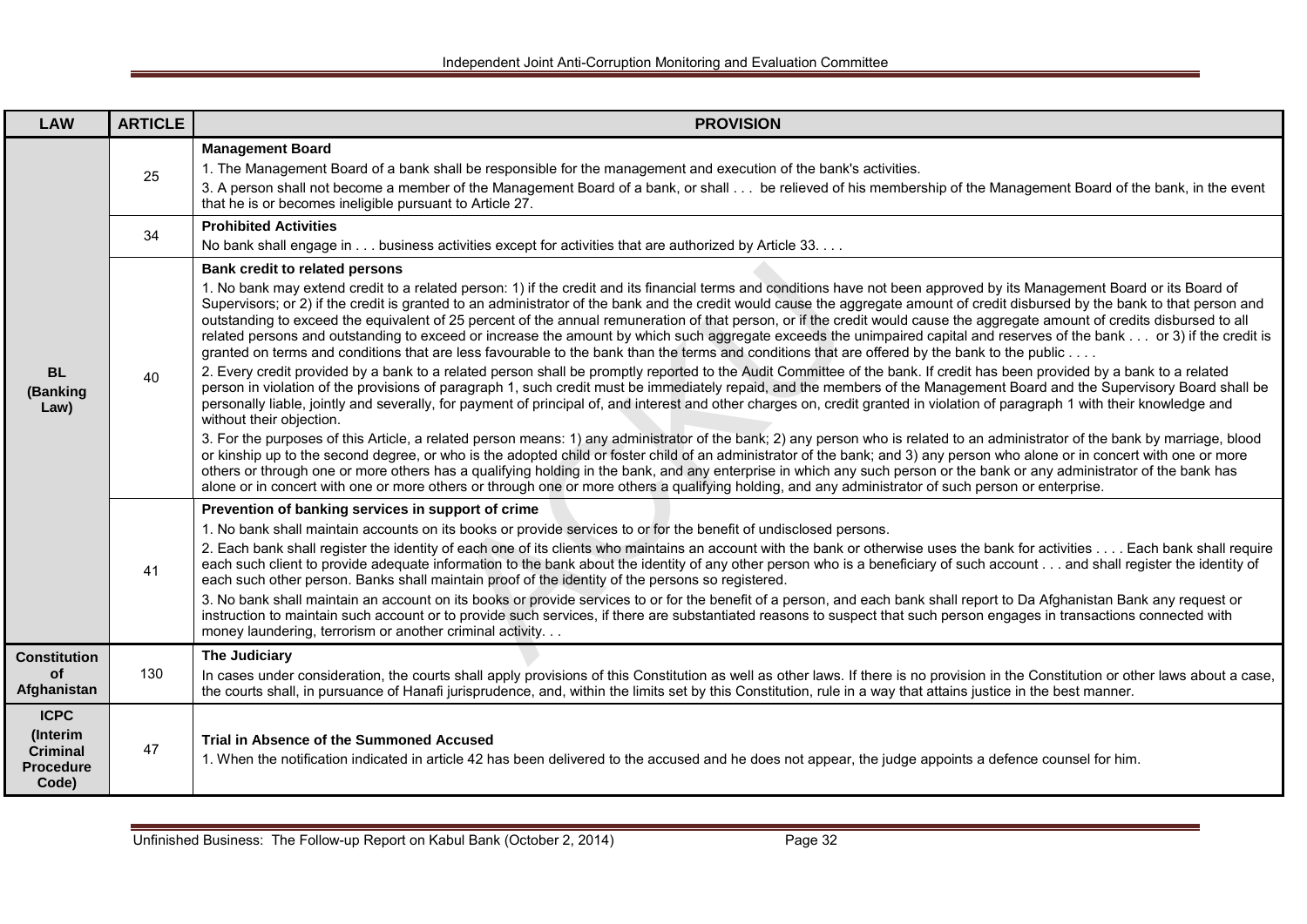| <b>LAW</b>                                                              | <b>ARTICLE</b> | <b>PROVISION</b>                                                                                                                                                                                                                                                                                                                                                                                                                                                                                                                                                                                                                                                                                                                                                                                                                                                                                                                                                                                                                                                                                                                                                                                                                                                                                                                                                                                                                                                                                                                                                                                                                                                                                                                                                                                                                                                                                                                                                                                                                                                                                                                                                                       |
|-------------------------------------------------------------------------|----------------|----------------------------------------------------------------------------------------------------------------------------------------------------------------------------------------------------------------------------------------------------------------------------------------------------------------------------------------------------------------------------------------------------------------------------------------------------------------------------------------------------------------------------------------------------------------------------------------------------------------------------------------------------------------------------------------------------------------------------------------------------------------------------------------------------------------------------------------------------------------------------------------------------------------------------------------------------------------------------------------------------------------------------------------------------------------------------------------------------------------------------------------------------------------------------------------------------------------------------------------------------------------------------------------------------------------------------------------------------------------------------------------------------------------------------------------------------------------------------------------------------------------------------------------------------------------------------------------------------------------------------------------------------------------------------------------------------------------------------------------------------------------------------------------------------------------------------------------------------------------------------------------------------------------------------------------------------------------------------------------------------------------------------------------------------------------------------------------------------------------------------------------------------------------------------------------|
| <b>BL</b><br>(Banking<br>Law)                                           | 25             | <b>Management Board</b><br>1. The Management Board of a bank shall be responsible for the management and execution of the bank's activities.<br>3. A person shall not become a member of the Management Board of a bank, or shall be relieved of his membership of the Management Board of the bank, in the event<br>that he is or becomes ineligible pursuant to Article 27.                                                                                                                                                                                                                                                                                                                                                                                                                                                                                                                                                                                                                                                                                                                                                                                                                                                                                                                                                                                                                                                                                                                                                                                                                                                                                                                                                                                                                                                                                                                                                                                                                                                                                                                                                                                                          |
|                                                                         | 34             | <b>Prohibited Activities</b><br>No bank shall engage in business activities except for activities that are authorized by Article 33.                                                                                                                                                                                                                                                                                                                                                                                                                                                                                                                                                                                                                                                                                                                                                                                                                                                                                                                                                                                                                                                                                                                                                                                                                                                                                                                                                                                                                                                                                                                                                                                                                                                                                                                                                                                                                                                                                                                                                                                                                                                   |
|                                                                         | 40             | <b>Bank credit to related persons</b><br>1. No bank may extend credit to a related person: 1) if the credit and its financial terms and conditions have not been approved by its Management Board or its Board of<br>Supervisors; or 2) if the credit is granted to an administrator of the bank and the credit would cause the aggregate amount of credit disbursed by the bank to that person and<br>outstanding to exceed the equivalent of 25 percent of the annual remuneration of that person, or if the credit would cause the aggregate amount of credits disbursed to all<br>related persons and outstanding to exceed or increase the amount by which such aggregate exceeds the unimpaired capital and reserves of the bank or 3) if the credit is<br>granted on terms and conditions that are less favourable to the bank than the terms and conditions that are offered by the bank to the public<br>2. Every credit provided by a bank to a related person shall be promptly reported to the Audit Committee of the bank. If credit has been provided by a bank to a related<br>person in violation of the provisions of paragraph 1, such credit must be immediately repaid, and the members of the Management Board and the Supervisory Board shall be<br>personally liable, jointly and severally, for payment of principal of, and interest and other charges on, credit granted in violation of paragraph 1 with their knowledge and<br>without their objection.<br>3. For the purposes of this Article, a related person means: 1) any administrator of the bank; 2) any person who is related to an administrator of the bank by marriage, blood<br>or kinship up to the second degree, or who is the adopted child or foster child of an administrator of the bank; and 3) any person who alone or in concert with one or more<br>others or through one or more others has a qualifying holding in the bank, and any enterprise in which any such person or the bank or any administrator of the bank has<br>alone or in concert with one or more others or through one or more others a qualifying holding, and any administrator of such person or enterprise. |
|                                                                         | 41             | Prevention of banking services in support of crime<br>1. No bank shall maintain accounts on its books or provide services to or for the benefit of undisclosed persons.<br>2. Each bank shall register the identity of each one of its clients who maintains an account with the bank or otherwise uses the bank for activities Each bank shall require<br>each such client to provide adequate information to the bank about the identity of any other person who is a beneficiary of such account and shall register the identity of<br>each such other person. Banks shall maintain proof of the identity of the persons so registered.<br>3. No bank shall maintain an account on its books or provide services to or for the benefit of a person, and each bank shall report to Da Afghanistan Bank any request or<br>instruction to maintain such account or to provide such services, if there are substantiated reasons to suspect that such person engages in transactions connected with<br>money laundering, terrorism or another criminal activity                                                                                                                                                                                                                                                                                                                                                                                                                                                                                                                                                                                                                                                                                                                                                                                                                                                                                                                                                                                                                                                                                                                         |
| <b>Constitution</b><br><b>of</b><br>Afghanistan                         | 130            | <b>The Judiciary</b><br>In cases under consideration, the courts shall apply provisions of this Constitution as well as other laws. If there is no provision in the Constitution or other laws about a case,<br>the courts shall, in pursuance of Hanafi jurisprudence, and, within the limits set by this Constitution, rule in a way that attains justice in the best manner.                                                                                                                                                                                                                                                                                                                                                                                                                                                                                                                                                                                                                                                                                                                                                                                                                                                                                                                                                                                                                                                                                                                                                                                                                                                                                                                                                                                                                                                                                                                                                                                                                                                                                                                                                                                                        |
| <b>ICPC</b><br>(Interim<br><b>Criminal</b><br><b>Procedure</b><br>Code) | 47             | Trial in Absence of the Summoned Accused<br>1. When the notification indicated in article 42 has been delivered to the accused and he does not appear, the judge appoints a defence counsel for him.                                                                                                                                                                                                                                                                                                                                                                                                                                                                                                                                                                                                                                                                                                                                                                                                                                                                                                                                                                                                                                                                                                                                                                                                                                                                                                                                                                                                                                                                                                                                                                                                                                                                                                                                                                                                                                                                                                                                                                                   |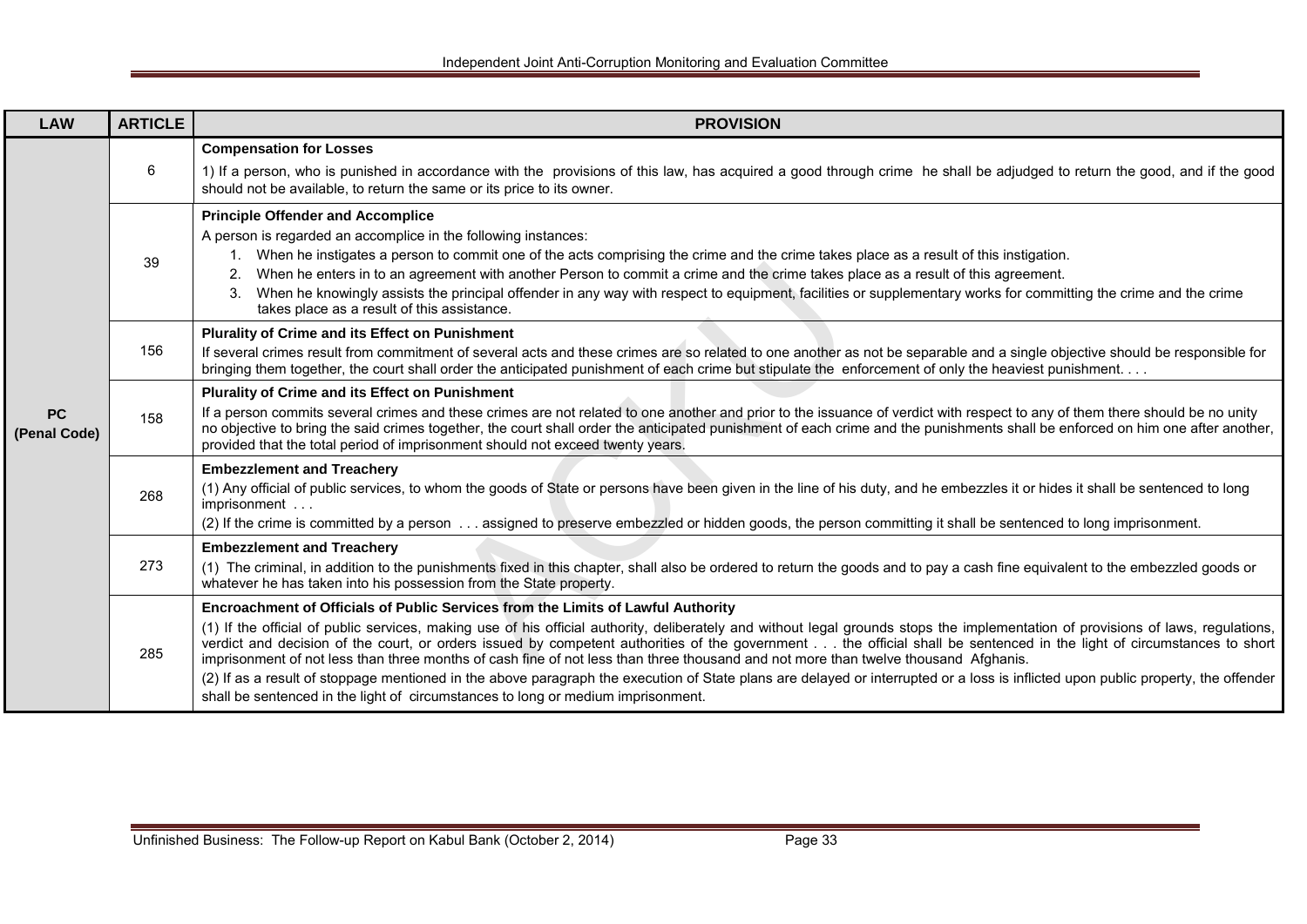| <b>LAW</b>                | <b>ARTICLE</b> | <b>PROVISION</b>                                                                                                                                                                                                                                                                                                                                                                                                                                                                                                                                                                                                                                                                                                                                                                                                                                               |
|---------------------------|----------------|----------------------------------------------------------------------------------------------------------------------------------------------------------------------------------------------------------------------------------------------------------------------------------------------------------------------------------------------------------------------------------------------------------------------------------------------------------------------------------------------------------------------------------------------------------------------------------------------------------------------------------------------------------------------------------------------------------------------------------------------------------------------------------------------------------------------------------------------------------------|
|                           | 6              | <b>Compensation for Losses</b><br>1) If a person, who is punished in accordance with the provisions of this law, has acquired a good through crime he shall be adjudged to return the good, and if the good<br>should not be available, to return the same or its price to its owner.                                                                                                                                                                                                                                                                                                                                                                                                                                                                                                                                                                          |
|                           | 39             | <b>Principle Offender and Accomplice</b><br>A person is regarded an accomplice in the following instances:<br>When he instigates a person to commit one of the acts comprising the crime and the crime takes place as a result of this instigation.<br>When he enters in to an agreement with another Person to commit a crime and the crime takes place as a result of this agreement.<br>When he knowingly assists the principal offender in any way with respect to equipment, facilities or supplementary works for committing the crime and the crime<br>takes place as a result of this assistance.                                                                                                                                                                                                                                                      |
|                           | 156            | Plurality of Crime and its Effect on Punishment<br>If several crimes result from commitment of several acts and these crimes are so related to one another as not be separable and a single objective should be responsible for<br>bringing them together, the court shall order the anticipated punishment of each crime but stipulate the enforcement of only the heaviest punishment.                                                                                                                                                                                                                                                                                                                                                                                                                                                                       |
| <b>PC</b><br>(Penal Code) | 158            | <b>Plurality of Crime and its Effect on Punishment</b><br>If a person commits several crimes and these crimes are not related to one another and prior to the issuance of verdict with respect to any of them there should be no unity<br>no objective to bring the said crimes together, the court shall order the anticipated punishment of each crime and the punishments shall be enforced on him one after another,<br>provided that the total period of imprisonment should not exceed twenty years.                                                                                                                                                                                                                                                                                                                                                     |
|                           | 268            | <b>Embezzlement and Treachery</b><br>(1) Any official of public services, to whom the goods of State or persons have been given in the line of his duty, and he embezzles it or hides it shall be sentenced to long<br>imprisonment<br>(2) If the crime is committed by a person assigned to preserve embezzled or hidden goods, the person committing it shall be sentenced to long imprisonment.                                                                                                                                                                                                                                                                                                                                                                                                                                                             |
|                           | 273            | <b>Embezzlement and Treachery</b><br>(1) The criminal, in addition to the punishments fixed in this chapter, shall also be ordered to return the goods and to pay a cash fine equivalent to the embezzled goods or<br>whatever he has taken into his possession from the State property.                                                                                                                                                                                                                                                                                                                                                                                                                                                                                                                                                                       |
|                           | 285            | Encroachment of Officials of Public Services from the Limits of Lawful Authority<br>(1) If the official of public services, making use of his official authority, deliberately and without legal grounds stops the implementation of provisions of laws, regulations,<br>verdict and decision of the court, or orders issued by competent authorities of the government the official shall be sentenced in the light of circumstances to short<br>imprisonment of not less than three months of cash fine of not less than three thousand and not more than twelve thousand Afghanis.<br>(2) If as a result of stoppage mentioned in the above paragraph the execution of State plans are delayed or interrupted or a loss is inflicted upon public property, the offender<br>shall be sentenced in the light of circumstances to long or medium imprisonment. |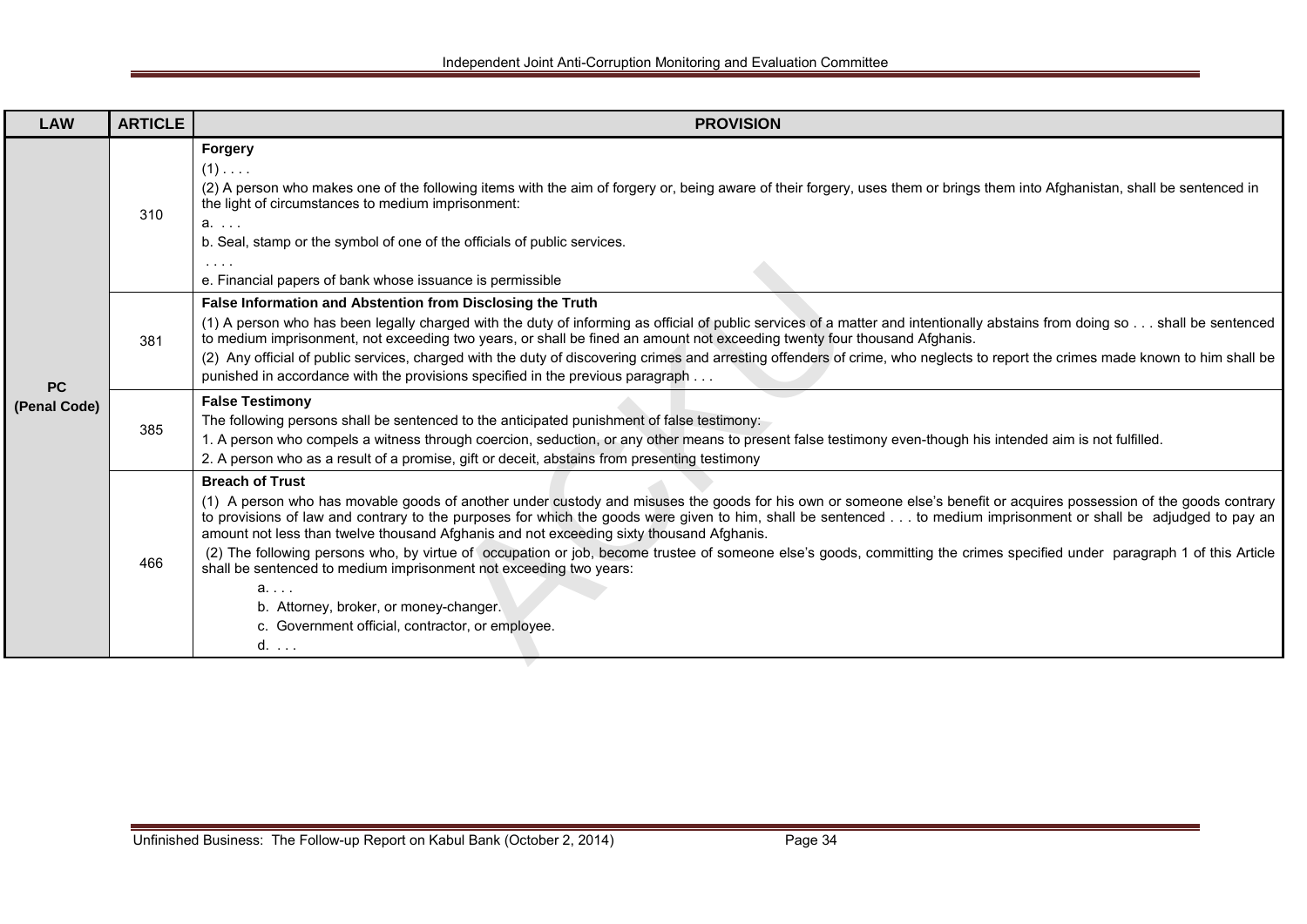| <b>LAW</b>                | <b>ARTICLE</b> | <b>PROVISION</b>                                                                                                                                                                                                                                                                                                                                                                                                                                                                                                                                                                                                                                                                                                                                                                                                                              |
|---------------------------|----------------|-----------------------------------------------------------------------------------------------------------------------------------------------------------------------------------------------------------------------------------------------------------------------------------------------------------------------------------------------------------------------------------------------------------------------------------------------------------------------------------------------------------------------------------------------------------------------------------------------------------------------------------------------------------------------------------------------------------------------------------------------------------------------------------------------------------------------------------------------|
| <b>PC</b><br>(Penal Code) | 310            | Forgery<br>$(1)$<br>(2) A person who makes one of the following items with the aim of forgery or, being aware of their forgery, uses them or brings them into Afghanistan, shall be sentenced in<br>the light of circumstances to medium imprisonment:<br>$a. \ldots$<br>b. Seal, stamp or the symbol of one of the officials of public services.<br>$\sim$ $\sim$ $\sim$<br>e. Financial papers of bank whose issuance is permissible                                                                                                                                                                                                                                                                                                                                                                                                        |
|                           | 381            | False Information and Abstention from Disclosing the Truth<br>(1) A person who has been legally charged with the duty of informing as official of public services of a matter and intentionally abstains from doing so shall be sentenced<br>to medium imprisonment, not exceeding two years, or shall be fined an amount not exceeding twenty four thousand Afghanis.<br>(2) Any official of public services, charged with the duty of discovering crimes and arresting offenders of crime, who neglects to report the crimes made known to him shall be<br>punished in accordance with the provisions specified in the previous paragraph                                                                                                                                                                                                   |
|                           | 385            | <b>False Testimony</b><br>The following persons shall be sentenced to the anticipated punishment of false testimony:<br>1. A person who compels a witness through coercion, seduction, or any other means to present false testimony even-though his intended aim is not fulfilled.<br>2. A person who as a result of a promise, gift or deceit, abstains from presenting testimony                                                                                                                                                                                                                                                                                                                                                                                                                                                           |
|                           | 466            | <b>Breach of Trust</b><br>(1) A person who has movable goods of another under custody and misuses the goods for his own or someone else's benefit or acquires possession of the goods contrary<br>to provisions of law and contrary to the purposes for which the goods were given to him, shall be sentenced to medium imprisonment or shall be adjudged to pay an<br>amount not less than twelve thousand Afghanis and not exceeding sixty thousand Afghanis.<br>(2) The following persons who, by virtue of occupation or job, become trustee of someone else's goods, committing the crimes specified under paragraph 1 of this Article<br>shall be sentenced to medium imprisonment not exceeding two years:<br>$a. \ldots$<br>b. Attorney, broker, or money-changer.<br>c. Government official, contractor, or employee.<br>$d. \ldots$ |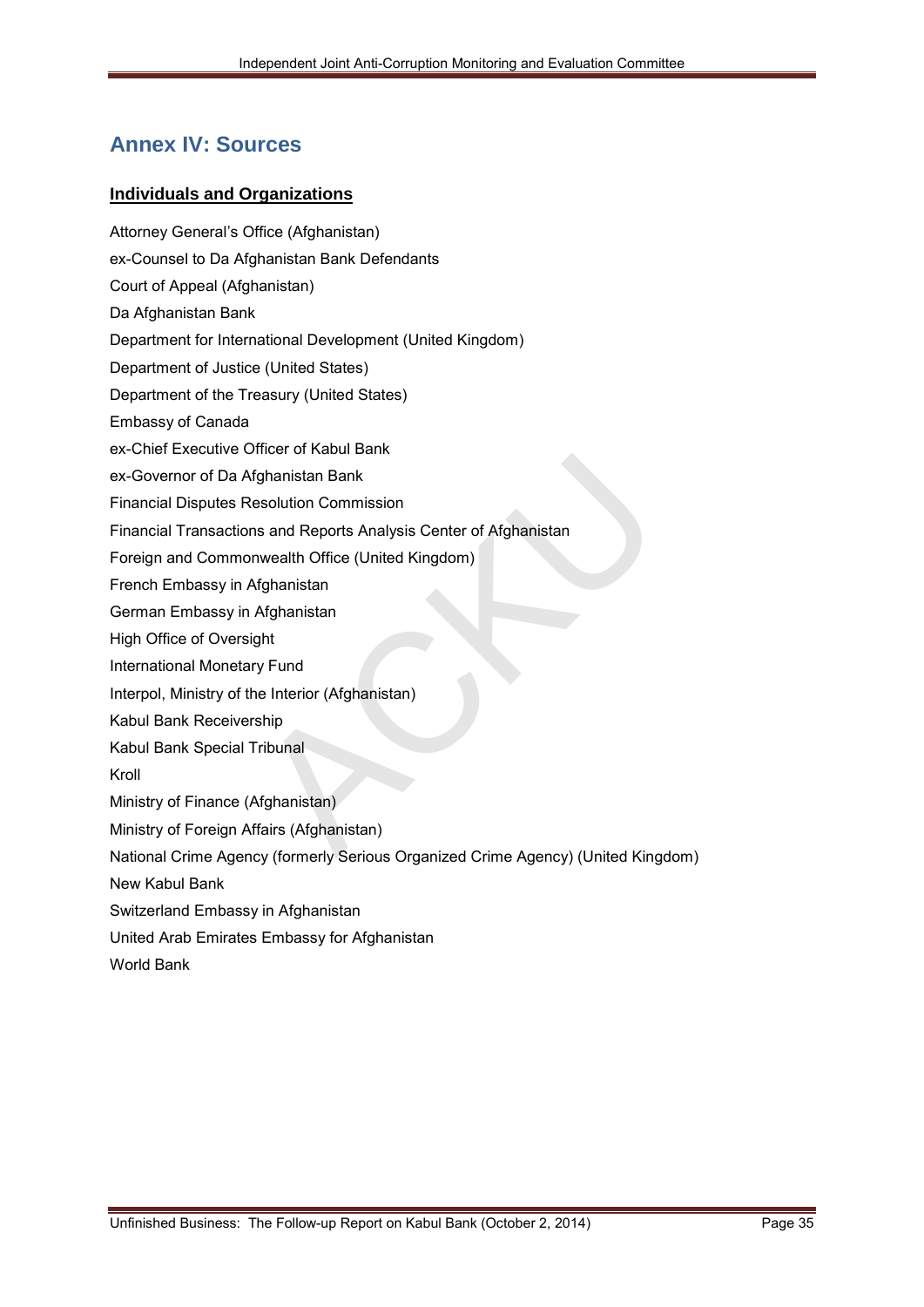## <span id="page-36-0"></span>**Annex IV: Sources**

#### **Individuals and Organizations**

- Attorney General's Office (Afghanistan)
- ex-Counsel to Da Afghanistan Bank Defendants
- Court of Appeal (Afghanistan)
- Da Afghanistan Bank
- Department for International Development (United Kingdom)
- Department of Justice (United States)
- Department of the Treasury (United States)
- Embassy of Canada
- ex-Chief Executive Officer of Kabul Bank
- ex-Governor of Da Afghanistan Bank
- Financial Disputes Resolution Commission
- Financial Transactions and Reports Analysis Center of Afghanistan med of hadal damit<br>fghanistan Bank<br>mwealth Office (United Kingdom)<br>Mfghanistan<br>Afghanistan<br>Mfghanistan<br>metheric (Afghanistan)<br>Tribunal<br>Afghanistan)<br>ffairs (Afghanistan)<br>ffairs (Afghanistan)<br>cy (formerly Serious Organized C
- Foreign and Commonwealth Office (United Kingdom)
- French Embassy in Afghanistan
- German Embassy in Afghanistan
- High Office of Oversight
- International Monetary Fund
- Interpol, Ministry of the Interior (Afghanistan)
- Kabul Bank Receivership
- Kabul Bank Special Tribunal
- Kroll
- Ministry of Finance (Afghanistan)
- Ministry of Foreign Affairs (Afghanistan)
- National Crime Agency (formerly Serious Organized Crime Agency) (United Kingdom)
- New Kabul Bank
- Switzerland Embassy in Afghanistan
- United Arab Emirates Embassy for Afghanistan
- World Bank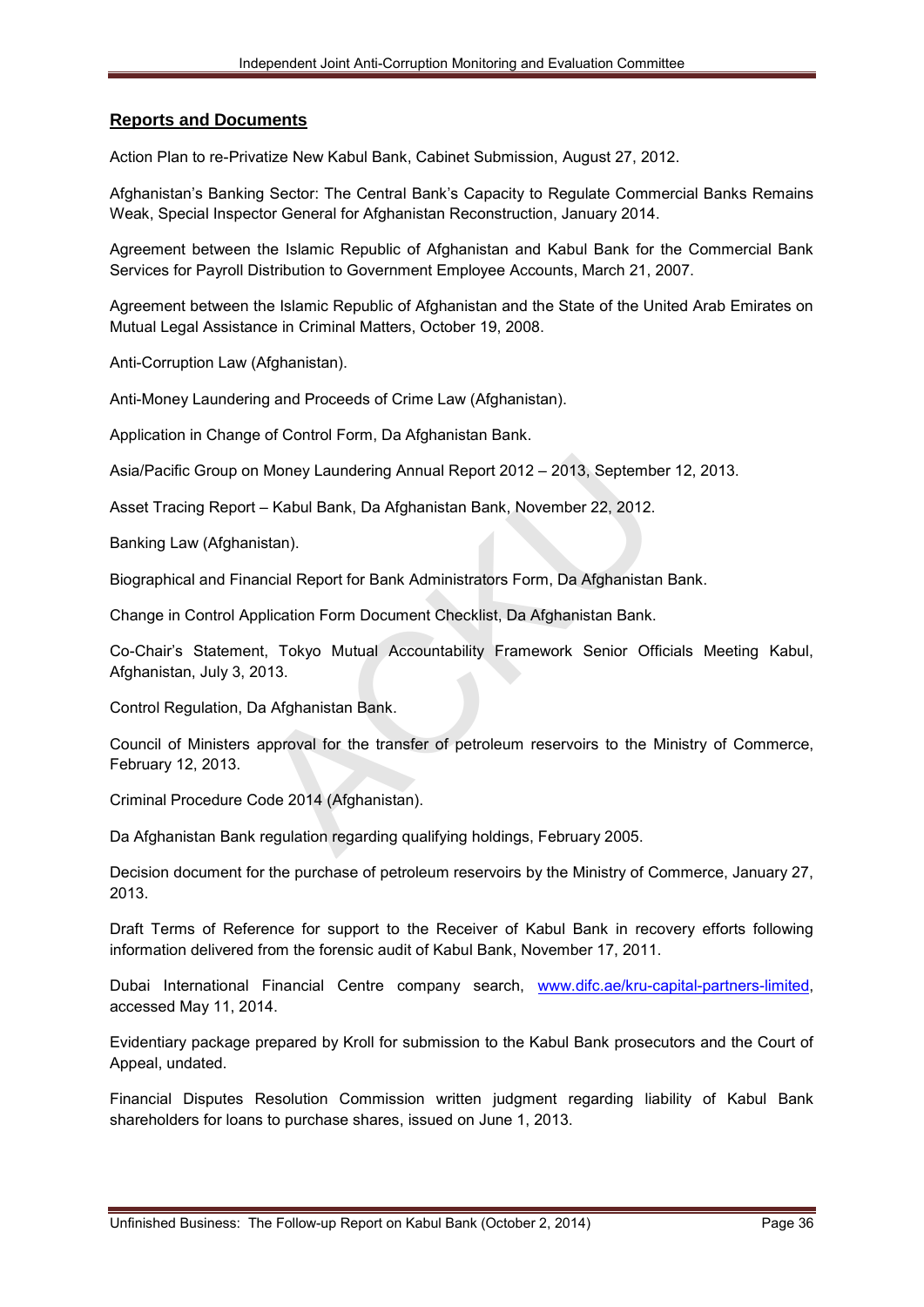#### **Reports and Documents**

Action Plan to re-Privatize New Kabul Bank, Cabinet Submission, August 27, 2012.

Afghanistan's Banking Sector: The Central Bank's Capacity to Regulate Commercial Banks Remains Weak, Special Inspector General for Afghanistan Reconstruction, January 2014.

Agreement between the Islamic Republic of Afghanistan and Kabul Bank for the Commercial Bank Services for Payroll Distribution to Government Employee Accounts, March 21, 2007.

Agreement between the Islamic Republic of Afghanistan and the State of the United Arab Emirates on Mutual Legal Assistance in Criminal Matters, October 19, 2008.

Anti-Corruption Law (Afghanistan).

Anti-Money Laundering and Proceeds of Crime Law (Afghanistan).

Application in Change of Control Form, Da Afghanistan Bank.

Asia/Pacific Group on Money Laundering Annual Report 2012 – 2013, September 12, 2013.

Asset Tracing Report – Kabul Bank, Da Afghanistan Bank, November 22, 2012.

Banking Law (Afghanistan).

Biographical and Financial Report for Bank Administrators Form, Da Afghanistan Bank.

Change in Control Application Form Document Checklist, Da Afghanistan Bank.

Co-Chair's Statement, Tokyo Mutual Accountability Framework Senior Officials Meeting Kabul, Afghanistan, July 3, 2013. n Money Laundering Annual Report 2012 – 2013, September<br>
1 – Kabul Bank, Da Afghanistan Bank, November 22, 2012.<br>
histan).<br>
ancial Report for Bank Administrators Form, Da Afghanistan<br>
pplication Form Document Checklist, Da

Control Regulation, Da Afghanistan Bank.

Council of Ministers approval for the transfer of petroleum reservoirs to the Ministry of Commerce, February 12, 2013.

Criminal Procedure Code 2014 (Afghanistan).

Da Afghanistan Bank regulation regarding qualifying holdings, February 2005.

Decision document for the purchase of petroleum reservoirs by the Ministry of Commerce, January 27, 2013.

Draft Terms of Reference for support to the Receiver of Kabul Bank in recovery efforts following information delivered from the forensic audit of Kabul Bank, November 17, 2011.

Dubai International Financial Centre company search, [www.difc.ae/kru-capital-partners-limited,](http://www.difc.ae/kru-capital-partners-limited) accessed May 11, 2014.

Evidentiary package prepared by Kroll for submission to the Kabul Bank prosecutors and the Court of Appeal, undated.

Financial Disputes Resolution Commission written judgment regarding liability of Kabul Bank shareholders for loans to purchase shares, issued on June 1, 2013.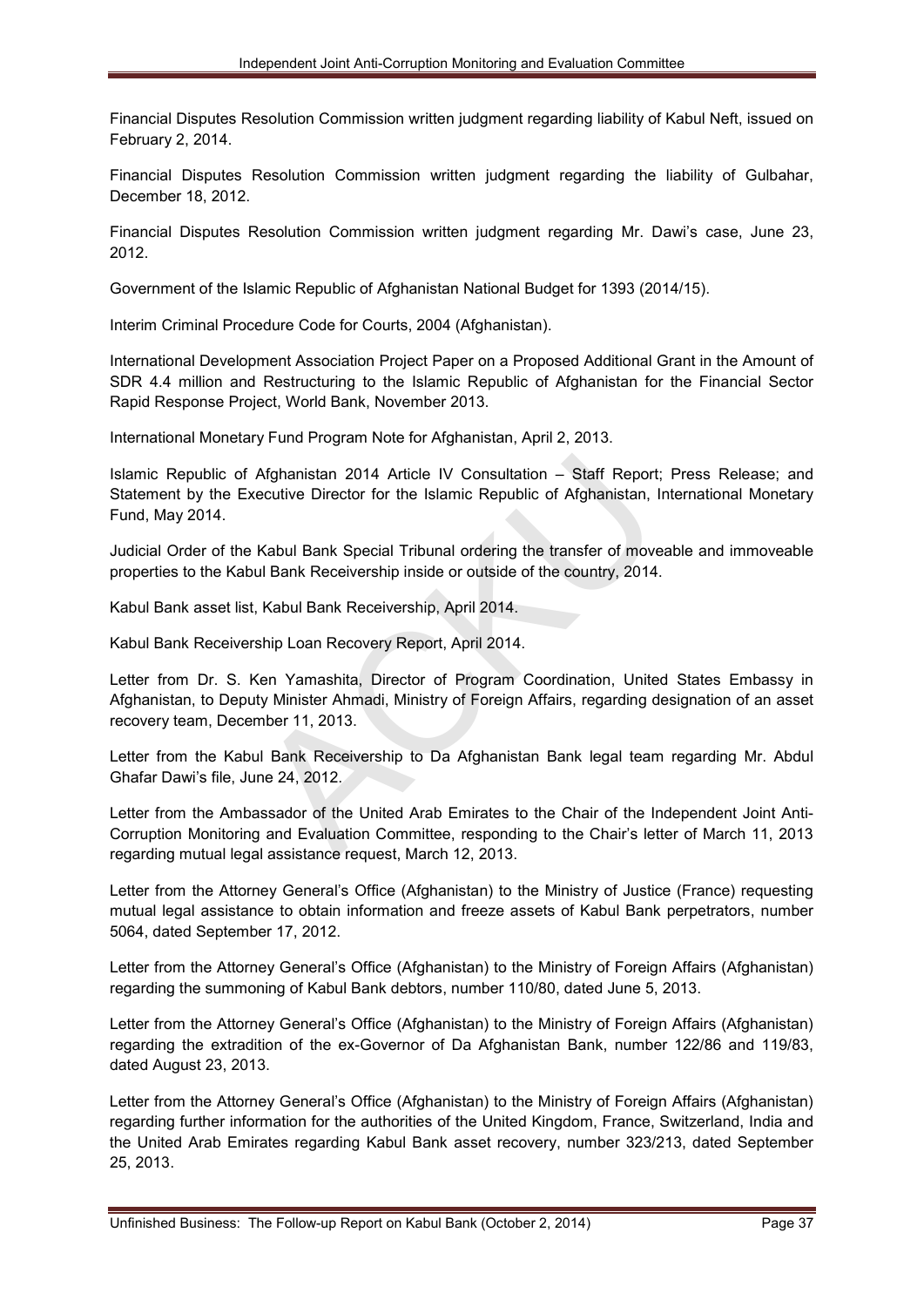Financial Disputes Resolution Commission written judgment regarding liability of Kabul Neft, issued on February 2, 2014.

Financial Disputes Resolution Commission written judgment regarding the liability of Gulbahar, December 18, 2012.

Financial Disputes Resolution Commission written judgment regarding Mr. Dawi's case, June 23, 2012.

Government of the Islamic Republic of Afghanistan National Budget for 1393 (2014/15).

Interim Criminal Procedure Code for Courts, 2004 (Afghanistan).

International Development Association Project Paper on a Proposed Additional Grant in the Amount of SDR 4.4 million and Restructuring to the Islamic Republic of Afghanistan for the Financial Sector Rapid Response Project, World Bank, November 2013.

International Monetary Fund Program Note for Afghanistan, April 2, 2013.

Islamic Republic of Afghanistan 2014 Article IV Consultation – Staff Report; Press Release; and Statement by the Executive Director for the Islamic Republic of Afghanistan, International Monetary Fund, May 2014. Afghanistan 2014 Article IV Consultation – Staff Report<br>
secutive Director for the Islamic Republic of Afghanistan,<br>
Kabul Bank Special Tribunal ordering the transfer of move<br>
ul Bank Receivership inside or outside of the

Judicial Order of the Kabul Bank Special Tribunal ordering the transfer of moveable and immoveable properties to the Kabul Bank Receivership inside or outside of the country, 2014.

Kabul Bank asset list, Kabul Bank Receivership, April 2014.

Kabul Bank Receivership Loan Recovery Report, April 2014.

Letter from Dr. S. Ken Yamashita, Director of Program Coordination, United States Embassy in Afghanistan, to Deputy Minister Ahmadi, Ministry of Foreign Affairs, regarding designation of an asset recovery team, December 11, 2013.

Letter from the Kabul Bank Receivership to Da Afghanistan Bank legal team regarding Mr. Abdul Ghafar Dawi's file, June 24, 2012.

Letter from the Ambassador of the United Arab Emirates to the Chair of the Independent Joint Anti-Corruption Monitoring and Evaluation Committee, responding to the Chair's letter of March 11, 2013 regarding mutual legal assistance request, March 12, 2013.

Letter from the Attorney General's Office (Afghanistan) to the Ministry of Justice (France) requesting mutual legal assistance to obtain information and freeze assets of Kabul Bank perpetrators, number 5064, dated September 17, 2012.

Letter from the Attorney General's Office (Afghanistan) to the Ministry of Foreign Affairs (Afghanistan) regarding the summoning of Kabul Bank debtors, number 110/80, dated June 5, 2013.

Letter from the Attorney General's Office (Afghanistan) to the Ministry of Foreign Affairs (Afghanistan) regarding the extradition of the ex-Governor of Da Afghanistan Bank, number 122/86 and 119/83, dated August 23, 2013.

Letter from the Attorney General's Office (Afghanistan) to the Ministry of Foreign Affairs (Afghanistan) regarding further information for the authorities of the United Kingdom, France, Switzerland, India and the United Arab Emirates regarding Kabul Bank asset recovery, number 323/213, dated September 25, 2013.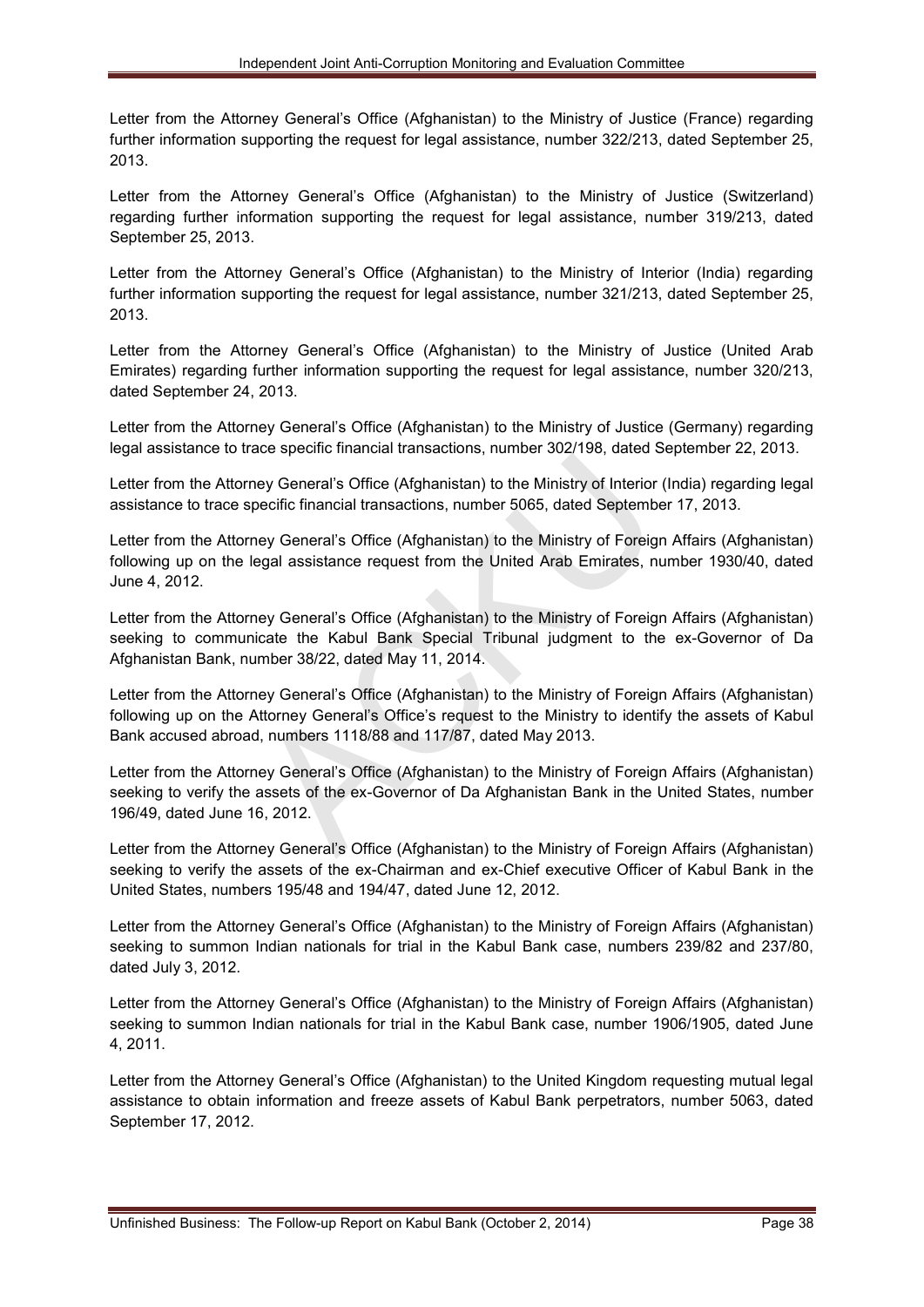Letter from the Attorney General's Office (Afghanistan) to the Ministry of Justice (France) regarding further information supporting the request for legal assistance, number 322/213, dated September 25, 2013.

Letter from the Attorney General's Office (Afghanistan) to the Ministry of Justice (Switzerland) regarding further information supporting the request for legal assistance, number 319/213, dated September 25, 2013.

Letter from the Attorney General's Office (Afghanistan) to the Ministry of Interior (India) regarding further information supporting the request for legal assistance, number 321/213, dated September 25, 2013.

Letter from the Attorney General's Office (Afghanistan) to the Ministry of Justice (United Arab Emirates) regarding further information supporting the request for legal assistance, number 320/213, dated September 24, 2013.

Letter from the Attorney General's Office (Afghanistan) to the Ministry of Justice (Germany) regarding legal assistance to trace specific financial transactions, number 302/198, dated September 22, 2013.

Letter from the Attorney General's Office (Afghanistan) to the Ministry of Interior (India) regarding legal assistance to trace specific financial transactions, number 5065, dated September 17, 2013.

Letter from the Attorney General's Office (Afghanistan) to the Ministry of Foreign Affairs (Afghanistan) following up on the legal assistance request from the United Arab Emirates, number 1930/40, dated June 4, 2012.

Letter from the Attorney General's Office (Afghanistan) to the Ministry of Foreign Affairs (Afghanistan) seeking to communicate the Kabul Bank Special Tribunal judgment to the ex-Governor of Da Afghanistan Bank, number 38/22, dated May 11, 2014. The Preminimum ameriancy, manufactory and the Premin<br>They General's Office (Afghanistan) to the Ministry of Interior<br>pecific financial transactions, number 5065, dated Septemb<br>ney General's Office (Afghanistan) to the Mini

Letter from the Attorney General's Office (Afghanistan) to the Ministry of Foreign Affairs (Afghanistan) following up on the Attorney General's Office's request to the Ministry to identify the assets of Kabul Bank accused abroad, numbers 1118/88 and 117/87, dated May 2013.

Letter from the Attorney General's Office (Afghanistan) to the Ministry of Foreign Affairs (Afghanistan) seeking to verify the assets of the ex-Governor of Da Afghanistan Bank in the United States, number 196/49, dated June 16, 2012.

Letter from the Attorney General's Office (Afghanistan) to the Ministry of Foreign Affairs (Afghanistan) seeking to verify the assets of the ex-Chairman and ex-Chief executive Officer of Kabul Bank in the United States, numbers 195/48 and 194/47, dated June 12, 2012.

Letter from the Attorney General's Office (Afghanistan) to the Ministry of Foreign Affairs (Afghanistan) seeking to summon Indian nationals for trial in the Kabul Bank case, numbers 239/82 and 237/80, dated July 3, 2012.

Letter from the Attorney General's Office (Afghanistan) to the Ministry of Foreign Affairs (Afghanistan) seeking to summon Indian nationals for trial in the Kabul Bank case, number 1906/1905, dated June 4, 2011.

Letter from the Attorney General's Office (Afghanistan) to the United Kingdom requesting mutual legal assistance to obtain information and freeze assets of Kabul Bank perpetrators, number 5063, dated September 17, 2012.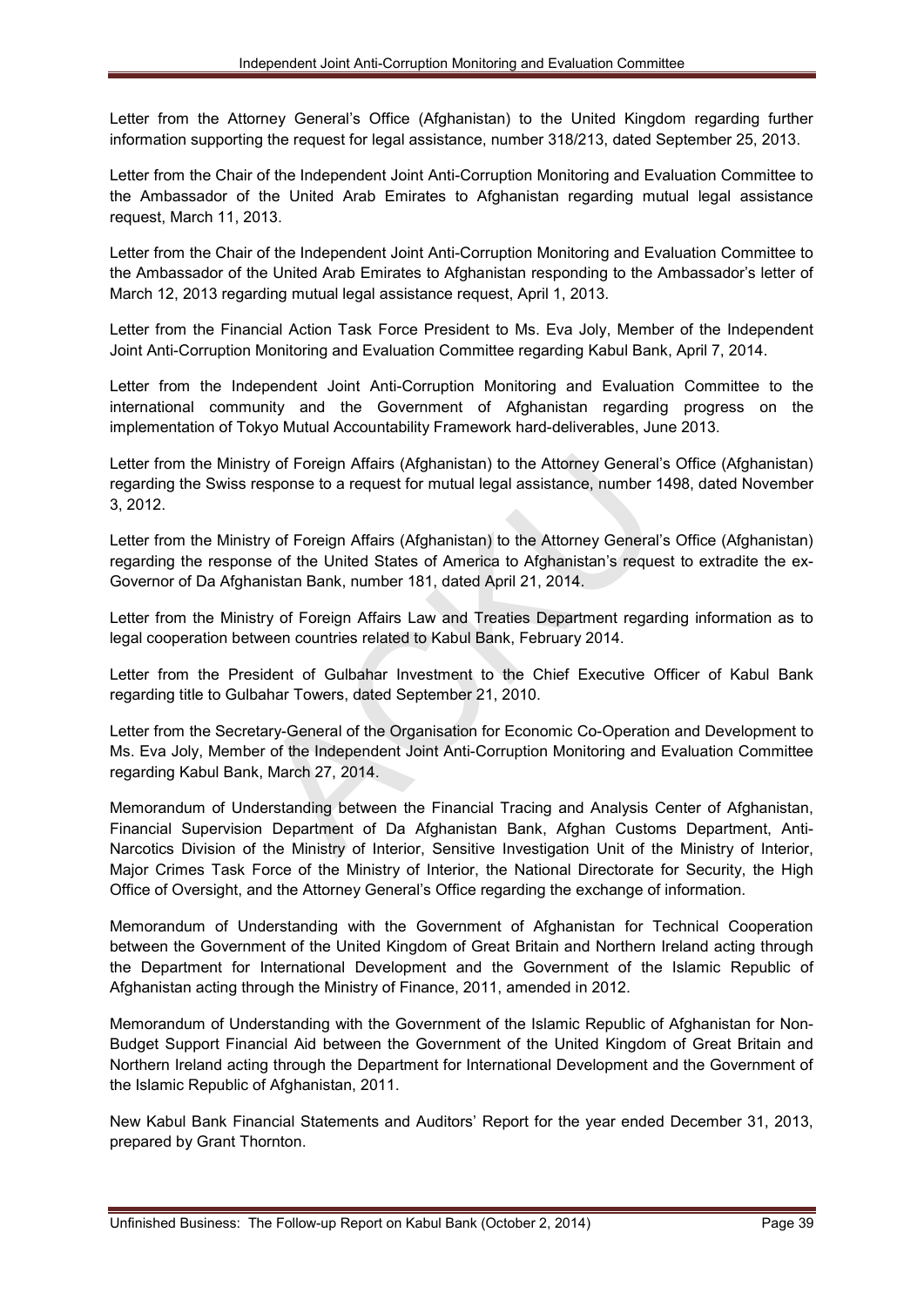Letter from the Attorney General's Office (Afghanistan) to the United Kingdom regarding further information supporting the request for legal assistance, number 318/213, dated September 25, 2013.

Letter from the Chair of the Independent Joint Anti-Corruption Monitoring and Evaluation Committee to the Ambassador of the United Arab Emirates to Afghanistan regarding mutual legal assistance request, March 11, 2013.

Letter from the Chair of the Independent Joint Anti-Corruption Monitoring and Evaluation Committee to the Ambassador of the United Arab Emirates to Afghanistan responding to the Ambassador's letter of March 12, 2013 regarding mutual legal assistance request, April 1, 2013.

Letter from the Financial Action Task Force President to Ms. Eva Joly, Member of the Independent Joint Anti-Corruption Monitoring and Evaluation Committee regarding Kabul Bank, April 7, 2014.

Letter from the Independent Joint Anti-Corruption Monitoring and Evaluation Committee to the international community and the Government of Afghanistan regarding progress on the implementation of Tokyo Mutual Accountability Framework hard-deliverables, June 2013.

Letter from the Ministry of Foreign Affairs (Afghanistan) to the Attorney General's Office (Afghanistan) regarding the Swiss response to a request for mutual legal assistance, number 1498, dated November 3, 2012.

Letter from the Ministry of Foreign Affairs (Afghanistan) to the Attorney General's Office (Afghanistan) regarding the response of the United States of America to Afghanistan's request to extradite the ex-Governor of Da Afghanistan Bank, number 181, dated April 21, 2014.

Letter from the Ministry of Foreign Affairs Law and Treaties Department regarding information as to legal cooperation between countries related to Kabul Bank, February 2014.

Letter from the President of Gulbahar Investment to the Chief Executive Officer of Kabul Bank regarding title to Gulbahar Towers, dated September 21, 2010.

Letter from the Secretary-General of the Organisation for Economic Co-Operation and Development to Ms. Eva Joly, Member of the Independent Joint Anti-Corruption Monitoring and Evaluation Committee regarding Kabul Bank, March 27, 2014.

Memorandum of Understanding between the Financial Tracing and Analysis Center of Afghanistan, Financial Supervision Department of Da Afghanistan Bank, Afghan Customs Department, Anti-Narcotics Division of the Ministry of Interior, Sensitive Investigation Unit of the Ministry of Interior, Major Crimes Task Force of the Ministry of Interior, the National Directorate for Security, the High Office of Oversight, and the Attorney General's Office regarding the exchange of information. try of Foreign Affairs (Afghanistan) to the Attorney General<br>response to a request for mutual legal assistance, number<br>try of Foreign Affairs (Afghanistan) to the Attorney General<br>se of the United States of America to Afgh

Memorandum of Understanding with the Government of Afghanistan for Technical Cooperation between the Government of the United Kingdom of Great Britain and Northern Ireland acting through the Department for International Development and the Government of the Islamic Republic of Afghanistan acting through the Ministry of Finance, 2011, amended in 2012.

Memorandum of Understanding with the Government of the Islamic Republic of Afghanistan for Non-Budget Support Financial Aid between the Government of the United Kingdom of Great Britain and Northern Ireland acting through the Department for International Development and the Government of the Islamic Republic of Afghanistan, 2011.

New Kabul Bank Financial Statements and Auditors' Report for the year ended December 31, 2013, prepared by Grant Thornton.